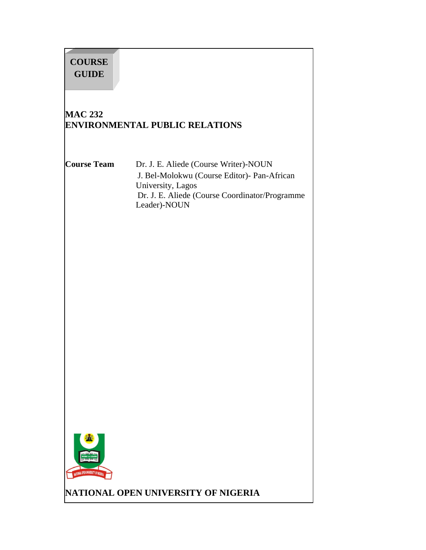# **COURSE GUIDE**

# **MAC 232 ENVIRONMENTAL PUBLIC RELATIONS**

**Course Team** Dr. J. E. Aliede (Course Writer)-NOUN J. Bel-Molokwu (Course Editor)- Pan-African University, Lagos Dr. J. E. Aliede (Course Coordinator/Programme Leader)-NOUN



**NATIONAL OPEN UNIVERSITY OF NIGERIA**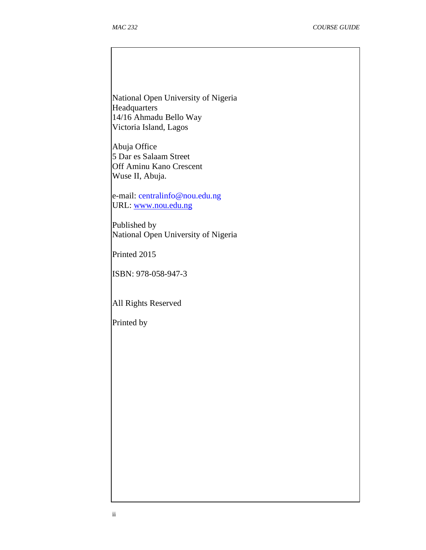National Open University of Nigeria Headquarters 14/16 Ahmadu Bello Way Victoria Island, Lagos

Abuja Office 5 Dar es Salaam Street Off Aminu Kano Crescent Wuse II, Abuja.

e-mail: centralinfo@nou.edu.ng URL: www.nou.edu.ng

Published by National Open University of Nigeria

Printed 2015

ISBN: 978-058-947-3

All Rights Reserved

Printed by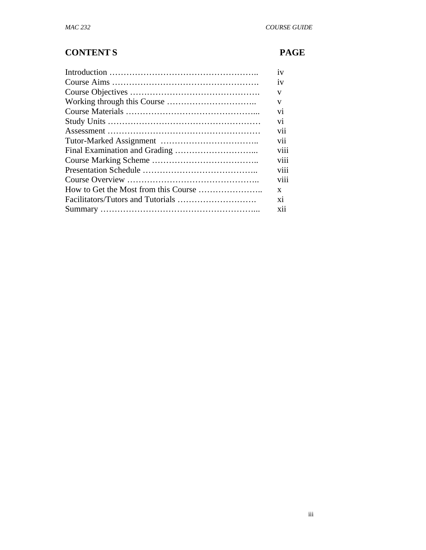# **CONTENT S PAGE**

| 1V              |
|-----------------|
| 1V              |
| V               |
| V               |
| V <sub>1</sub>  |
| V1              |
| V11             |
| V <sub>i</sub>  |
| V111            |
| V111            |
| V <sub>11</sub> |
| V111            |
| X               |
| X1              |
| <b>X11</b>      |
|                 |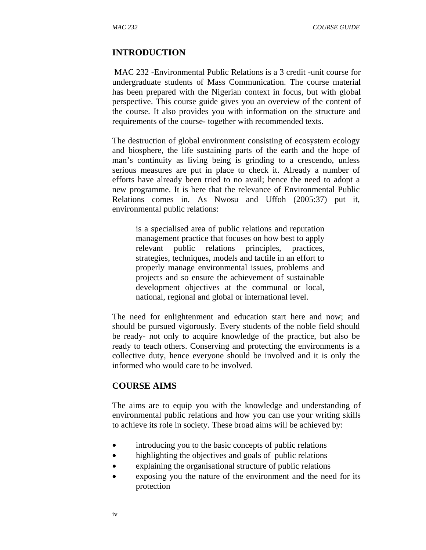#### **INTRODUCTION**

 MAC 232 -Environmental Public Relations is a 3 credit -unit course for undergraduate students of Mass Communication. The course material has been prepared with the Nigerian context in focus, but with global perspective. This course guide gives you an overview of the content of the course. It also provides you with information on the structure and requirements of the course- together with recommended texts.

The destruction of global environment consisting of ecosystem ecology and biosphere, the life sustaining parts of the earth and the hope of man's continuity as living being is grinding to a crescendo, unless serious measures are put in place to check it. Already a number of efforts have already been tried to no avail; hence the need to adopt a new programme. It is here that the relevance of Environmental Public Relations comes in. As Nwosu and Uffoh (2005:37) put it, environmental public relations:

is a specialised area of public relations and reputation management practice that focuses on how best to apply relevant public relations principles, practices, strategies, techniques, models and tactile in an effort to properly manage environmental issues, problems and projects and so ensure the achievement of sustainable development objectives at the communal or local, national, regional and global or international level.

The need for enlightenment and education start here and now; and should be pursued vigorously. Every students of the noble field should be ready- not only to acquire knowledge of the practice, but also be ready to teach others. Conserving and protecting the environments is a collective duty, hence everyone should be involved and it is only the informed who would care to be involved.

#### **COURSE AIMS**

The aims are to equip you with the knowledge and understanding of environmental public relations and how you can use your writing skills to achieve its role in society. These broad aims will be achieved by:

- introducing you to the basic concepts of public relations
- highlighting the objectives and goals of public relations
- explaining the organisational structure of public relations
- exposing you the nature of the environment and the need for its protection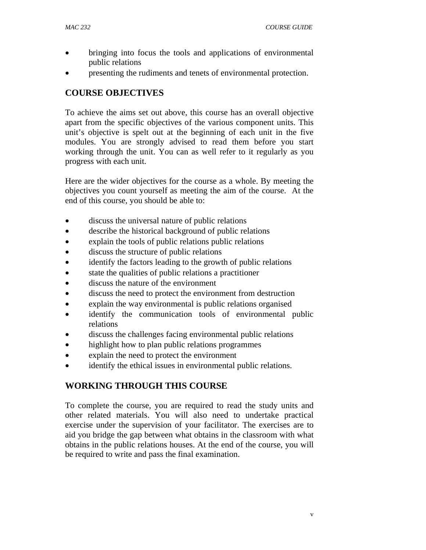- bringing into focus the tools and applications of environmental public relations
- presenting the rudiments and tenets of environmental protection.

#### **COURSE OBJECTIVES**

To achieve the aims set out above, this course has an overall objective apart from the specific objectives of the various component units. This unit's objective is spelt out at the beginning of each unit in the five modules. You are strongly advised to read them before you start working through the unit. You can as well refer to it regularly as you progress with each unit.

Here are the wider objectives for the course as a whole. By meeting the objectives you count yourself as meeting the aim of the course. At the end of this course, you should be able to:

- discuss the universal nature of public relations
- describe the historical background of public relations
- explain the tools of public relations public relations
- discuss the structure of public relations
- identify the factors leading to the growth of public relations
- state the qualities of public relations a practitioner
- discuss the nature of the environment
- discuss the need to protect the environment from destruction
- explain the way environmental is public relations organised
- identify the communication tools of environmental public relations
- discuss the challenges facing environmental public relations
- highlight how to plan public relations programmes
- explain the need to protect the environment
- identify the ethical issues in environmental public relations.

## **WORKING THROUGH THIS COURSE**

To complete the course, you are required to read the study units and other related materials. You will also need to undertake practical exercise under the supervision of your facilitator. The exercises are to aid you bridge the gap between what obtains in the classroom with what obtains in the public relations houses. At the end of the course, you will be required to write and pass the final examination.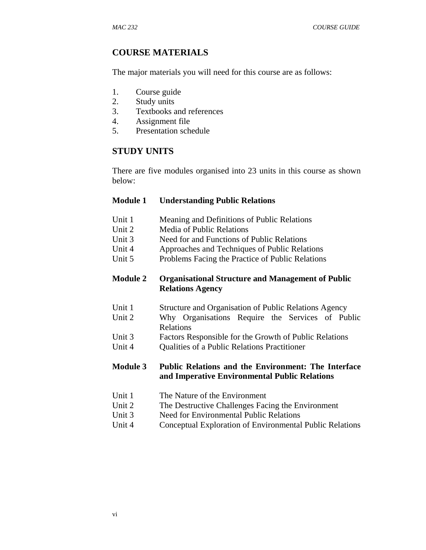#### **COURSE MATERIALS**

The major materials you will need for this course are as follows:

- 1. Course guide
- 2. Study units
- 3. Textbooks and references
- 4. Assignment file
- 5. Presentation schedule

#### **STUDY UNITS**

There are five modules organised into 23 units in this course as shown below:

#### **Module 1 Understanding Public Relations**

- Unit 1 Meaning and Definitions of Public Relations
- Unit 2 Media of Public Relations
- Unit 3 Need for and Functions of Public Relations
- Unit 4 Approaches and Techniques of Public Relations
- Unit 5 Problems Facing the Practice of Public Relations

#### **Module 2 Organisational Structure and Management of Public Relations Agency**

- Unit 1 Structure and Organisation of Public Relations Agency
- Unit 2 Why Organisations Require the Services of Public Relations
- Unit 3 Factors Responsible for the Growth of Public Relations
- Unit 4 Qualities of a Public Relations Practitioner

#### **Module 3 Public Relations and the Environment: The Interface and Imperative Environmental Public Relations**

- Unit 1 The Nature of the Environment
- Unit 2 The Destructive Challenges Facing the Environment
- Unit 3 Need for Environmental Public Relations
- Unit 4 Conceptual Exploration of Environmental Public Relations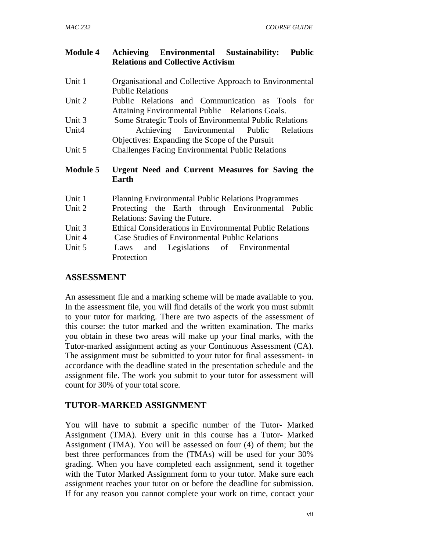| <b>Module 4</b> | Achieving Environmental Sustainability:<br><b>Public</b>                                           |
|-----------------|----------------------------------------------------------------------------------------------------|
|                 | <b>Relations and Collective Activism</b>                                                           |
| Unit 1          | Organisational and Collective Approach to Environmental<br><b>Public Relations</b>                 |
| Unit 2          | Public Relations and Communication as Tools for<br>Attaining Environmental Public Relations Goals. |
| Unit 3          | Some Strategic Tools of Environmental Public Relations                                             |
| Unit4           | Achieving Environmental Public Relations<br>Objectives: Expanding the Scope of the Pursuit         |
| Unit 5          | <b>Challenges Facing Environmental Public Relations</b>                                            |
| <b>Module 5</b> | Urgent Need and Current Measures for Saving the<br>Earth                                           |
| Unit 1          | <b>Planning Environmental Public Relations Programmes</b>                                          |
| Unit 2          | Protecting the Earth through Environmental Public<br>Relations: Saving the Future.                 |
| Unit 3          | <b>Ethical Considerations in Environmental Public Relations</b>                                    |
| Unit 4          | <b>Case Studies of Environmental Public Relations</b>                                              |
| Unit 5          | and Legislations of Environmental<br>Laws                                                          |
|                 | Protection                                                                                         |

#### **ASSESSMENT**

An assessment file and a marking scheme will be made available to you. In the assessment file, you will find details of the work you must submit to your tutor for marking. There are two aspects of the assessment of this course: the tutor marked and the written examination. The marks you obtain in these two areas will make up your final marks, with the Tutor-marked assignment acting as your Continuous Assessment (CA). The assignment must be submitted to your tutor for final assessment- in accordance with the deadline stated in the presentation schedule and the assignment file. The work you submit to your tutor for assessment will count for 30% of your total score.

## **TUTOR-MARKED ASSIGNMENT**

You will have to submit a specific number of the Tutor- Marked Assignment (TMA). Every unit in this course has a Tutor- Marked Assignment (TMA). You will be assessed on four (4) of them; but the best three performances from the (TMAs) will be used for your 30% grading. When you have completed each assignment, send it together with the Tutor Marked Assignment form to your tutor. Make sure each assignment reaches your tutor on or before the deadline for submission. If for any reason you cannot complete your work on time, contact your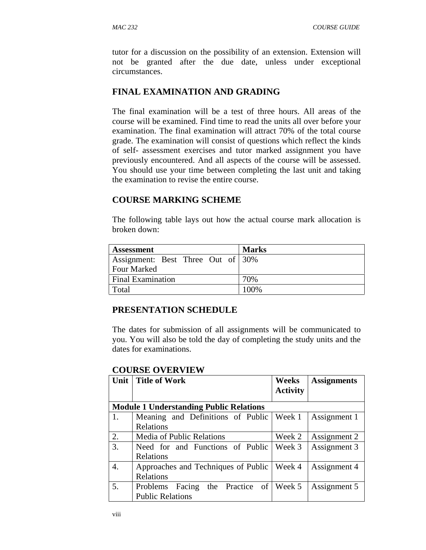tutor for a discussion on the possibility of an extension. Extension will not be granted after the due date, unless under exceptional circumstances.

#### **FINAL EXAMINATION AND GRADING**

The final examination will be a test of three hours. All areas of the course will be examined. Find time to read the units all over before your examination. The final examination will attract 70% of the total course grade. The examination will consist of questions which reflect the kinds of self- assessment exercises and tutor marked assignment you have previously encountered. And all aspects of the course will be assessed. You should use your time between completing the last unit and taking the examination to revise the entire course.

#### **COURSE MARKING SCHEME**

The following table lays out how the actual course mark allocation is broken down:

| <b>Assessment</b>                 | <b>Marks</b> |
|-----------------------------------|--------------|
| Assignment: Best Three Out of 30% |              |
| <b>Four Marked</b>                |              |
| <b>Final Examination</b>          | 70%          |
| Total                             | $100\%$      |

#### **PRESENTATION SCHEDULE**

The dates for submission of all assignments will be communicated to you. You will also be told the day of completing the study units and the dates for examinations.

| Unit | <b>Title of Work</b>                           | Weeks<br><b>Activity</b> | <b>Assignments</b> |
|------|------------------------------------------------|--------------------------|--------------------|
|      |                                                |                          |                    |
|      | <b>Module 1 Understanding Public Relations</b> |                          |                    |
| 1.   | Meaning and Definitions of Public   Week 1     |                          | Assignment 1       |
|      | Relations                                      |                          |                    |
| 2.   | <b>Media of Public Relations</b>               | Week 2                   | Assignment 2       |
| 3.   | Need for and Functions of Public               | Week 3                   | Assignment 3       |
|      | Relations                                      |                          |                    |
| 4.   | Approaches and Techniques of Public            | Week 4                   | Assignment 4       |
|      | Relations                                      |                          |                    |
| 5.   | the Practice of Week 5<br>Problems Facing      |                          | Assignment 5       |
|      | <b>Public Relations</b>                        |                          |                    |

#### **COURSE OVERVIEW**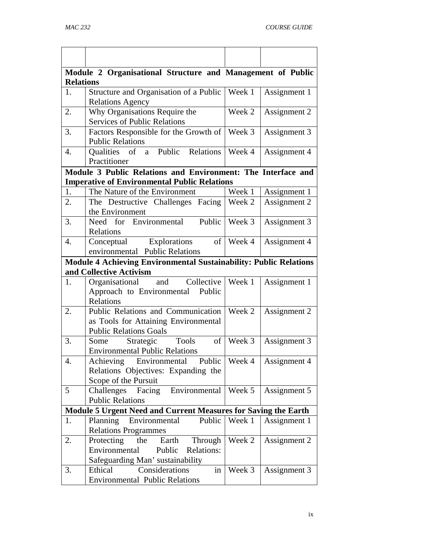|                                                                | Module 2 Organisational Structure and Management of Public               |           |              |  |  |
|----------------------------------------------------------------|--------------------------------------------------------------------------|-----------|--------------|--|--|
| <b>Relations</b>                                               |                                                                          |           |              |  |  |
| 1.                                                             | Structure and Organisation of a Public                                   | Week 1    | Assignment 1 |  |  |
|                                                                | <b>Relations Agency</b>                                                  |           |              |  |  |
| 2.                                                             | Why Organisations Require the                                            | Week 2    | Assignment 2 |  |  |
|                                                                | <b>Services of Public Relations</b>                                      |           |              |  |  |
| 3.                                                             | Factors Responsible for the Growth of                                    | Week 3    | Assignment 3 |  |  |
|                                                                | <b>Public Relations</b>                                                  |           |              |  |  |
| 4.                                                             | Qualities of a Public Relations<br>Practitioner                          | Week 4    | Assignment 4 |  |  |
|                                                                | Module 3 Public Relations and Environment: The Interface and             |           |              |  |  |
|                                                                | <b>Imperative of Environmental Public Relations</b>                      |           |              |  |  |
| 1.                                                             | The Nature of the Environment                                            | Week 1    | Assignment 1 |  |  |
| 2.                                                             | The Destructive Challenges Facing   Week 2                               |           | Assignment 2 |  |  |
|                                                                | the Environment                                                          |           |              |  |  |
| 3.                                                             | Need for Environmental<br>Public                                         | Week 3    | Assignment 3 |  |  |
|                                                                | Relations                                                                |           |              |  |  |
| 4.                                                             | Conceptual Explorations                                                  | of Week 4 | Assignment 4 |  |  |
|                                                                | environmental Public Relations                                           |           |              |  |  |
|                                                                | <b>Module 4 Achieving Environmental Sustainability: Public Relations</b> |           |              |  |  |
|                                                                | and Collective Activism                                                  |           |              |  |  |
| 1.                                                             | Organisational and Collective                                            | Week 1    | Assignment 1 |  |  |
|                                                                | Approach to Environmental<br>Public                                      |           |              |  |  |
|                                                                | Relations                                                                |           |              |  |  |
| 2.                                                             | Public Relations and Communication                                       | Week 2    | Assignment 2 |  |  |
|                                                                | as Tools for Attaining Environmental                                     |           |              |  |  |
|                                                                | <b>Public Relations Goals</b>                                            |           |              |  |  |
| 3.                                                             | Strategic Tools<br>Some                                                  | of Week 3 | Assignment 3 |  |  |
|                                                                | <b>Environmental Public Relations</b>                                    |           |              |  |  |
| 4.                                                             | Achieving<br>Environmental<br>Public                                     | Week 4    | Assignment 4 |  |  |
|                                                                | Relations Objectives: Expanding the                                      |           |              |  |  |
| 5                                                              | Scope of the Pursuit<br>Challenges Facing Environmental                  | Week 5    | Assignment 5 |  |  |
|                                                                | <b>Public Relations</b>                                                  |           |              |  |  |
| Module 5 Urgent Need and Current Measures for Saving the Earth |                                                                          |           |              |  |  |
| 1.                                                             | Planning<br>Environmental<br>Public                                      | Week 1    | Assignment 1 |  |  |
|                                                                | <b>Relations Programmes</b>                                              |           |              |  |  |
| 2.                                                             | Protecting<br>the<br>Earth<br>Through                                    | Week 2    | Assignment 2 |  |  |
|                                                                | Environmental<br>Public<br>Relations:                                    |           |              |  |  |
|                                                                | Safeguarding Man' sustainability                                         |           |              |  |  |
| 3.                                                             | in<br>Considerations<br>Ethical                                          | Week 3    | Assignment 3 |  |  |
|                                                                | <b>Environmental Public Relations</b>                                    |           |              |  |  |
|                                                                |                                                                          |           |              |  |  |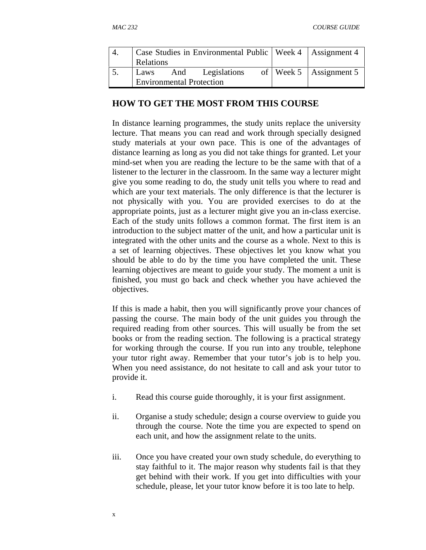| 4. | Case Studies in Environmental Public   Week 4   Assignment 4 |  |                       |  |                            |
|----|--------------------------------------------------------------|--|-----------------------|--|----------------------------|
|    | Relations                                                    |  |                       |  |                            |
|    |                                                              |  | Laws And Legislations |  | of   Week 5   Assignment 5 |
|    | <b>Environmental Protection</b>                              |  |                       |  |                            |

#### **HOW TO GET THE MOST FROM THIS COURSE**

In distance learning programmes, the study units replace the university lecture. That means you can read and work through specially designed study materials at your own pace. This is one of the advantages of distance learning as long as you did not take things for granted. Let your mind-set when you are reading the lecture to be the same with that of a listener to the lecturer in the classroom. In the same way a lecturer might give you some reading to do, the study unit tells you where to read and which are your text materials. The only difference is that the lecturer is not physically with you. You are provided exercises to do at the appropriate points, just as a lecturer might give you an in-class exercise. Each of the study units follows a common format. The first item is an introduction to the subject matter of the unit, and how a particular unit is integrated with the other units and the course as a whole. Next to this is a set of learning objectives. These objectives let you know what you should be able to do by the time you have completed the unit. These learning objectives are meant to guide your study. The moment a unit is finished, you must go back and check whether you have achieved the objectives.

If this is made a habit, then you will significantly prove your chances of passing the course. The main body of the unit guides you through the required reading from other sources. This will usually be from the set books or from the reading section. The following is a practical strategy for working through the course. If you run into any trouble, telephone your tutor right away. Remember that your tutor's job is to help you. When you need assistance, do not hesitate to call and ask your tutor to provide it.

- i. Read this course guide thoroughly, it is your first assignment.
- ii. Organise a study schedule; design a course overview to guide you through the course. Note the time you are expected to spend on each unit, and how the assignment relate to the units.
- iii. Once you have created your own study schedule, do everything to stay faithful to it. The major reason why students fail is that they get behind with their work. If you get into difficulties with your schedule, please, let your tutor know before it is too late to help.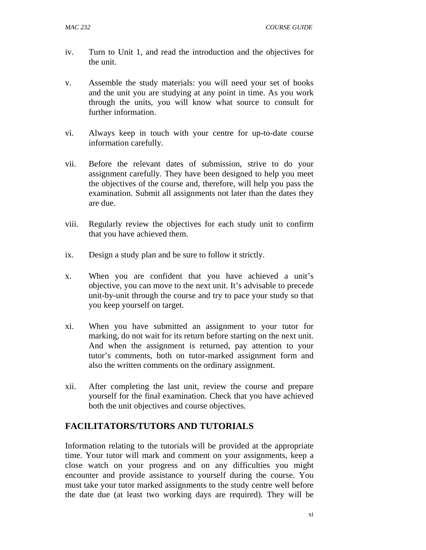- iv. Turn to Unit 1, and read the introduction and the objectives for the unit.
- v. Assemble the study materials: you will need your set of books and the unit you are studying at any point in time. As you work through the units, you will know what source to consult for further information.
- vi. Always keep in touch with your centre for up-to-date course information carefully.
- vii. Before the relevant dates of submission, strive to do your assignment carefully. They have been designed to help you meet the objectives of the course and, therefore, will help you pass the examination. Submit all assignments not later than the dates they are due.
- viii. Regularly review the objectives for each study unit to confirm that you have achieved them.
- ix. Design a study plan and be sure to follow it strictly.
- x. When you are confident that you have achieved a unit's objective, you can move to the next unit. It's advisable to precede unit-by-unit through the course and try to pace your study so that you keep yourself on target.
- xi. When you have submitted an assignment to your tutor for marking, do not wait for its return before starting on the next unit. And when the assignment is returned, pay attention to your tutor's comments, both on tutor-marked assignment form and also the written comments on the ordinary assignment.
- xii. After completing the last unit, review the course and prepare yourself for the final examination. Check that you have achieved both the unit objectives and course objectives.

#### **FACILITATORS/TUTORS AND TUTORIALS**

Information relating to the tutorials will be provided at the appropriate time. Your tutor will mark and comment on your assignments, keep a close watch on your progress and on any difficulties you might encounter and provide assistance to yourself during the course. You must take your tutor marked assignments to the study centre well before the date due (at least two working days are required). They will be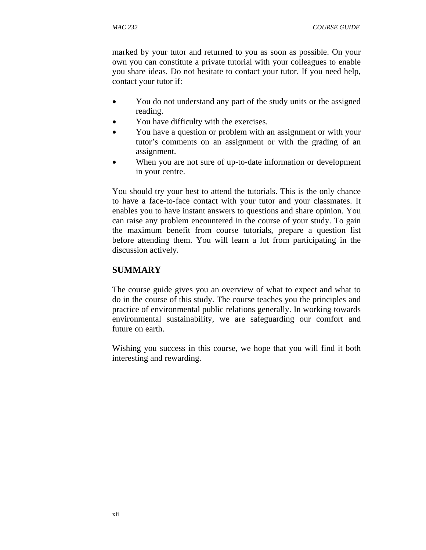marked by your tutor and returned to you as soon as possible. On your own you can constitute a private tutorial with your colleagues to enable you share ideas. Do not hesitate to contact your tutor. If you need help, contact your tutor if:

- You do not understand any part of the study units or the assigned reading.
- You have difficulty with the exercises.
- You have a question or problem with an assignment or with your tutor's comments on an assignment or with the grading of an assignment.
- When you are not sure of up-to-date information or development in your centre.

You should try your best to attend the tutorials. This is the only chance to have a face-to-face contact with your tutor and your classmates. It enables you to have instant answers to questions and share opinion. You can raise any problem encountered in the course of your study. To gain the maximum benefit from course tutorials, prepare a question list before attending them. You will learn a lot from participating in the discussion actively.

#### **SUMMARY**

The course guide gives you an overview of what to expect and what to do in the course of this study. The course teaches you the principles and practice of environmental public relations generally. In working towards environmental sustainability, we are safeguarding our comfort and future on earth.

Wishing you success in this course, we hope that you will find it both interesting and rewarding.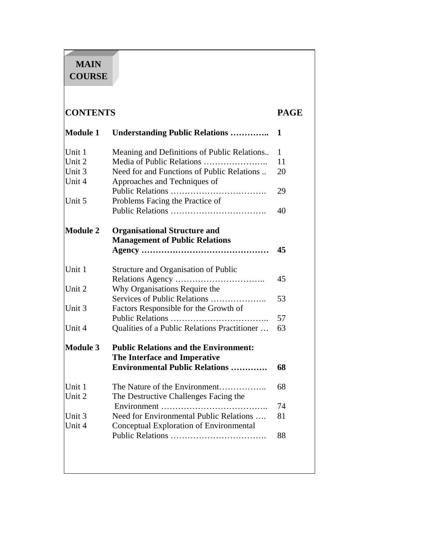# **MAIN COURSE**

# **CONTENTS PAGE**

| <b>Module 1</b> | <b>Understanding Public Relations </b>                                       | 1            |
|-----------------|------------------------------------------------------------------------------|--------------|
| Unit 1          | Meaning and Definitions of Public Relations                                  | $\mathbf{1}$ |
| Unit 2          |                                                                              | 11           |
| Unit 3          | Need for and Functions of Public Relations                                   | 20           |
| Unit 4          | Approaches and Techniques of                                                 |              |
|                 |                                                                              | 29           |
| Unit 5          | Problems Facing the Practice of                                              |              |
|                 |                                                                              | 40           |
| <b>Module 2</b> | <b>Organisational Structure and</b><br><b>Management of Public Relations</b> |              |
|                 |                                                                              | 45           |
| Unit 1          | Structure and Organisation of Public                                         |              |
|                 |                                                                              | 45           |
| Unit 2          | Why Organisations Require the                                                |              |
|                 | Services of Public Relations                                                 | 53           |
| Unit 3          | Factors Responsible for the Growth of                                        |              |
|                 |                                                                              | 57           |
| Unit 4          | Qualities of a Public Relations Practitioner                                 | 63           |
| <b>Module 3</b> | <b>Public Relations and the Environment:</b>                                 |              |
|                 | The Interface and Imperative                                                 |              |
|                 | <b>Environmental Public Relations </b>                                       | 68           |
| Unit 1          | The Nature of the Environment                                                | 68           |
| Unit 2          | The Destructive Challenges Facing the                                        |              |
|                 |                                                                              | 74           |
| Unit 3          | Need for Environmental Public Relations                                      | 81           |
| Unit 4          | Conceptual Exploration of Environmental                                      |              |
|                 |                                                                              | 88           |
|                 |                                                                              |              |
|                 |                                                                              |              |
|                 |                                                                              |              |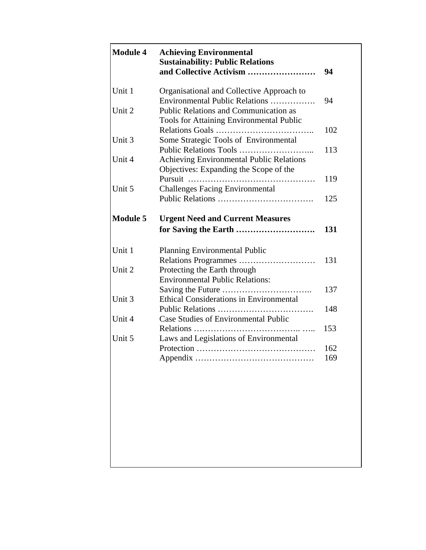| <b>Module 4</b> | <b>Achieving Environmental</b><br><b>Sustainability: Public Relations</b> |     |
|-----------------|---------------------------------------------------------------------------|-----|
|                 | and Collective Activism                                                   | 94  |
| Unit 1          | Organisational and Collective Approach to                                 |     |
|                 | Environmental Public Relations                                            | 94  |
| Unit 2          | <b>Public Relations and Communication as</b>                              |     |
|                 | Tools for Attaining Environmental Public                                  |     |
|                 |                                                                           | 102 |
| Unit 3          | Some Strategic Tools of Environmental                                     | 113 |
| Unit 4          | Achieving Environmental Public Relations                                  |     |
|                 | Objectives: Expanding the Scope of the                                    |     |
|                 | Pursuit<br>.                                                              | 119 |
| Unit 5          | <b>Challenges Facing Environmental</b>                                    |     |
|                 |                                                                           | 125 |
|                 |                                                                           |     |
| <b>Module 5</b> | <b>Urgent Need and Current Measures</b>                                   |     |
|                 | for Saving the Earth                                                      | 131 |
| Unit 1          | <b>Planning Environmental Public</b>                                      |     |
|                 |                                                                           | 131 |
| Unit 2          | Protecting the Earth through                                              |     |
|                 | <b>Environmental Public Relations:</b>                                    |     |
|                 |                                                                           | 137 |
| Unit 3          | <b>Ethical Considerations in Environmental</b>                            |     |
|                 |                                                                           | 148 |
| Unit 4          | <b>Case Studies of Environmental Public</b>                               |     |
| Unit 5          | Relations<br>Laws and Legislations of Environmental                       | 153 |
|                 |                                                                           | 162 |
|                 | Appendix                                                                  | 169 |
|                 |                                                                           |     |
|                 |                                                                           |     |
|                 |                                                                           |     |
|                 |                                                                           |     |
|                 |                                                                           |     |
|                 |                                                                           |     |
|                 |                                                                           |     |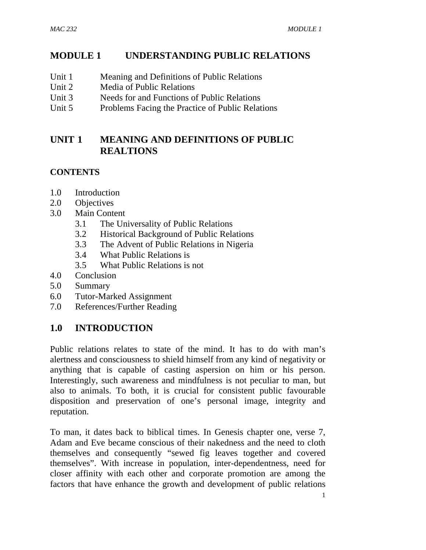# **MODULE 1 UNDERSTANDING PUBLIC RELATIONS**

- Unit 1 Meaning and Definitions of Public Relations
- Unit 2 Media of Public Relations
- Unit 3 Needs for and Functions of Public Relations
- Unit 5 Problems Facing the Practice of Public Relations

# **UNIT 1 MEANING AND DEFINITIONS OF PUBLIC REALTIONS**

# **CONTENTS**

- 1.0 Introduction
- 2.0 Objectives
- 3.0 Main Content
	- 3.1 The Universality of Public Relations
	- 3.2 Historical Background of Public Relations
	- 3.3 The Advent of Public Relations in Nigeria
	- 3.4 What Public Relations is
	- 3.5 What Public Relations is not
- 4.0 Conclusion
- 5.0 Summary
- 6.0 Tutor-Marked Assignment
- 7.0 References/Further Reading

# **1.0 INTRODUCTION**

Public relations relates to state of the mind. It has to do with man's alertness and consciousness to shield himself from any kind of negativity or anything that is capable of casting aspersion on him or his person. Interestingly, such awareness and mindfulness is not peculiar to man, but also to animals. To both, it is crucial for consistent public favourable disposition and preservation of one's personal image, integrity and reputation.

To man, it dates back to biblical times. In Genesis chapter one, verse 7, Adam and Eve became conscious of their nakedness and the need to cloth themselves and consequently "sewed fig leaves together and covered themselves". With increase in population, inter-dependentness, need for closer affinity with each other and corporate promotion are among the factors that have enhance the growth and development of public relations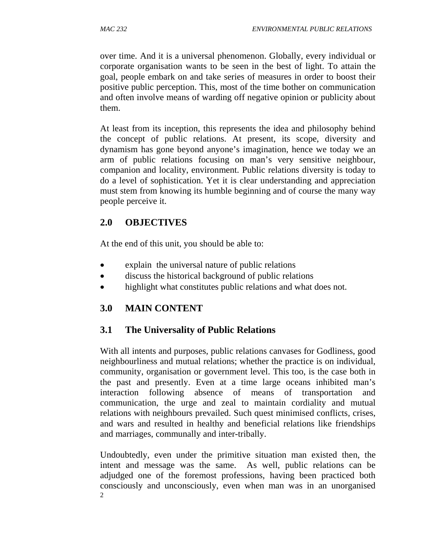over time. And it is a universal phenomenon. Globally, every individual or corporate organisation wants to be seen in the best of light. To attain the goal, people embark on and take series of measures in order to boost their positive public perception. This, most of the time bother on communication and often involve means of warding off negative opinion or publicity about them.

At least from its inception, this represents the idea and philosophy behind the concept of public relations. At present, its scope, diversity and dynamism has gone beyond anyone's imagination, hence we today we an arm of public relations focusing on man's very sensitive neighbour, companion and locality, environment. Public relations diversity is today to do a level of sophistication. Yet it is clear understanding and appreciation must stem from knowing its humble beginning and of course the many way people perceive it.

# **2.0 OBJECTIVES**

At the end of this unit, you should be able to:

- explain the universal nature of public relations
- discuss the historical background of public relations
- highlight what constitutes public relations and what does not.

# **3.0 MAIN CONTENT**

# **3.1 The Universality of Public Relations**

With all intents and purposes, public relations canvases for Godliness, good neighbourliness and mutual relations; whether the practice is on individual, community, organisation or government level. This too, is the case both in the past and presently. Even at a time large oceans inhibited man's interaction following absence of means of transportation and communication, the urge and zeal to maintain cordiality and mutual relations with neighbours prevailed. Such quest minimised conflicts, crises, and wars and resulted in healthy and beneficial relations like friendships and marriages, communally and inter-tribally.

2 Undoubtedly, even under the primitive situation man existed then, the intent and message was the same. As well, public relations can be adjudged one of the foremost professions, having been practiced both consciously and unconsciously, even when man was in an unorganised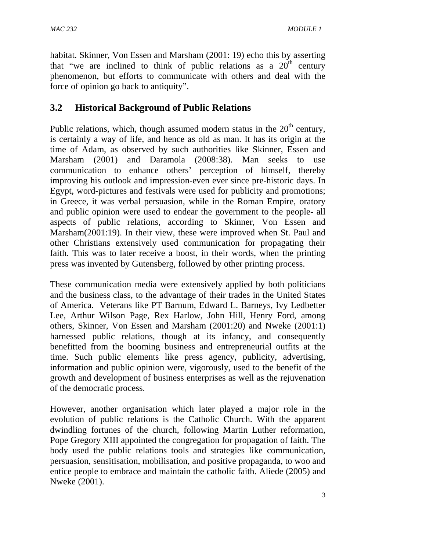habitat. Skinner, Von Essen and Marsham (2001: 19) echo this by asserting that "we are inclined to think of public relations as a  $20<sup>th</sup>$  century phenomenon, but efforts to communicate with others and deal with the force of opinion go back to antiquity".

# **3.2 Historical Background of Public Relations**

Public relations, which, though assumed modern status in the  $20<sup>th</sup>$  century, is certainly a way of life, and hence as old as man. It has its origin at the time of Adam, as observed by such authorities like Skinner, Essen and Marsham (2001) and Daramola (2008:38). Man seeks to use communication to enhance others' perception of himself, thereby improving his outlook and impression-even ever since pre-historic days. In Egypt, word-pictures and festivals were used for publicity and promotions; in Greece, it was verbal persuasion, while in the Roman Empire, oratory and public opinion were used to endear the government to the people- all aspects of public relations, according to Skinner, Von Essen and Marsham(2001:19). In their view, these were improved when St. Paul and other Christians extensively used communication for propagating their faith. This was to later receive a boost, in their words, when the printing press was invented by Gutensberg, followed by other printing process.

These communication media were extensively applied by both politicians and the business class, to the advantage of their trades in the United States of America. Veterans like PT Barnum, Edward L. Barneys, Ivy Ledbetter Lee, Arthur Wilson Page, Rex Harlow, John Hill, Henry Ford, among others, Skinner, Von Essen and Marsham (2001:20) and Nweke (2001:1) harnessed public relations, though at its infancy, and consequently benefitted from the booming business and entrepreneurial outfits at the time. Such public elements like press agency, publicity, advertising, information and public opinion were, vigorously, used to the benefit of the growth and development of business enterprises as well as the rejuvenation of the democratic process.

However, another organisation which later played a major role in the evolution of public relations is the Catholic Church. With the apparent dwindling fortunes of the church, following Martin Luther reformation, Pope Gregory XIII appointed the congregation for propagation of faith. The body used the public relations tools and strategies like communication, persuasion, sensitisation, mobilisation, and positive propaganda, to woo and entice people to embrace and maintain the catholic faith. Aliede (2005) and Nweke (2001).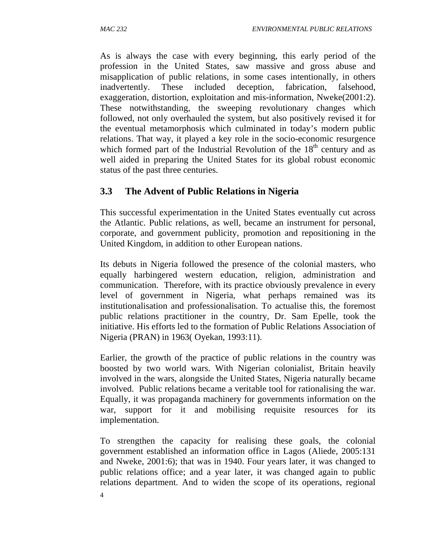As is always the case with every beginning, this early period of the profession in the United States, saw massive and gross abuse and misapplication of public relations, in some cases intentionally, in others inadvertently. These included deception, fabrication, falsehood, exaggeration, distortion, exploitation and mis-information, Nweke(2001:2). These notwithstanding, the sweeping revolutionary changes which followed, not only overhauled the system, but also positively revised it for the eventual metamorphosis which culminated in today's modern public relations. That way, it played a key role in the socio-economic resurgence which formed part of the Industrial Revolution of the  $18<sup>th</sup>$  century and as well aided in preparing the United States for its global robust economic status of the past three centuries.

# **3.3 The Advent of Public Relations in Nigeria**

This successful experimentation in the United States eventually cut across the Atlantic. Public relations, as well, became an instrument for personal, corporate, and government publicity, promotion and repositioning in the United Kingdom, in addition to other European nations.

Its debuts in Nigeria followed the presence of the colonial masters, who equally harbingered western education, religion, administration and communication. Therefore, with its practice obviously prevalence in every level of government in Nigeria, what perhaps remained was its institutionalisation and professionalisation. To actualise this, the foremost public relations practitioner in the country, Dr. Sam Epelle, took the initiative. His efforts led to the formation of Public Relations Association of Nigeria (PRAN) in 1963( Oyekan, 1993:11).

Earlier, the growth of the practice of public relations in the country was boosted by two world wars. With Nigerian colonialist, Britain heavily involved in the wars, alongside the United States, Nigeria naturally became involved. Public relations became a veritable tool for rationalising the war. Equally, it was propaganda machinery for governments information on the war, support for it and mobilising requisite resources for its implementation.

To strengthen the capacity for realising these goals, the colonial government established an information office in Lagos (Aliede, 2005:131 and Nweke, 2001:6); that was in 1940. Four years later, it was changed to public relations office; and a year later, it was changed again to public relations department. And to widen the scope of its operations, regional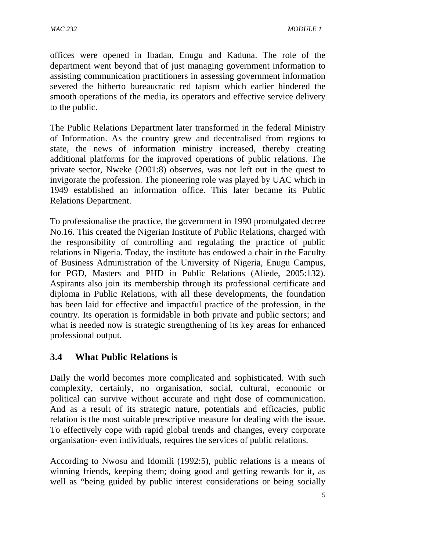offices were opened in Ibadan, Enugu and Kaduna. The role of the department went beyond that of just managing government information to assisting communication practitioners in assessing government information severed the hitherto bureaucratic red tapism which earlier hindered the smooth operations of the media, its operators and effective service delivery to the public.

The Public Relations Department later transformed in the federal Ministry of Information. As the country grew and decentralised from regions to state, the news of information ministry increased, thereby creating additional platforms for the improved operations of public relations. The private sector, Nweke (2001:8) observes, was not left out in the quest to invigorate the profession. The pioneering role was played by UAC which in 1949 established an information office. This later became its Public Relations Department.

To professionalise the practice, the government in 1990 promulgated decree No.16. This created the Nigerian Institute of Public Relations, charged with the responsibility of controlling and regulating the practice of public relations in Nigeria. Today, the institute has endowed a chair in the Faculty of Business Administration of the University of Nigeria, Enugu Campus, for PGD, Masters and PHD in Public Relations (Aliede, 2005:132). Aspirants also join its membership through its professional certificate and diploma in Public Relations, with all these developments, the foundation has been laid for effective and impactful practice of the profession, in the country. Its operation is formidable in both private and public sectors; and what is needed now is strategic strengthening of its key areas for enhanced professional output.

# **3.4 What Public Relations is**

Daily the world becomes more complicated and sophisticated. With such complexity, certainly, no organisation, social, cultural, economic or political can survive without accurate and right dose of communication. And as a result of its strategic nature, potentials and efficacies, public relation is the most suitable prescriptive measure for dealing with the issue. To effectively cope with rapid global trends and changes, every corporate organisation- even individuals, requires the services of public relations.

According to Nwosu and Idomili (1992:5), public relations is a means of winning friends, keeping them; doing good and getting rewards for it, as well as "being guided by public interest considerations or being socially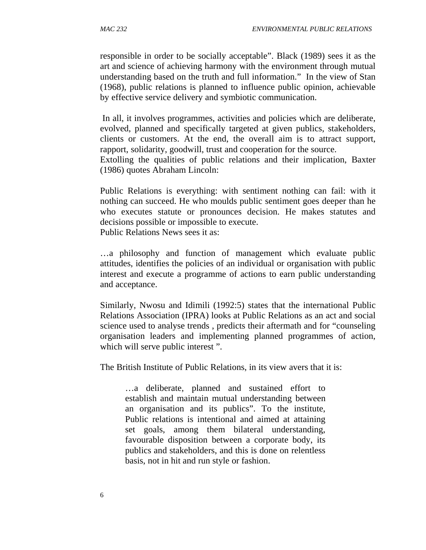responsible in order to be socially acceptable". Black (1989) sees it as the art and science of achieving harmony with the environment through mutual understanding based on the truth and full information." In the view of Stan (1968), public relations is planned to influence public opinion, achievable by effective service delivery and symbiotic communication.

 In all, it involves programmes, activities and policies which are deliberate, evolved, planned and specifically targeted at given publics, stakeholders, clients or customers. At the end, the overall aim is to attract support, rapport, solidarity, goodwill, trust and cooperation for the source.

Extolling the qualities of public relations and their implication, Baxter (1986) quotes Abraham Lincoln:

Public Relations is everything: with sentiment nothing can fail: with it nothing can succeed. He who moulds public sentiment goes deeper than he who executes statute or pronounces decision. He makes statutes and decisions possible or impossible to execute.

Public Relations News sees it as:

…a philosophy and function of management which evaluate public attitudes, identifies the policies of an individual or organisation with public interest and execute a programme of actions to earn public understanding and acceptance.

Similarly, Nwosu and Idimili (1992:5) states that the international Public Relations Association (IPRA) looks at Public Relations as an act and social science used to analyse trends , predicts their aftermath and for "counseling organisation leaders and implementing planned programmes of action, which will serve public interest ".

The British Institute of Public Relations, in its view avers that it is:

…a deliberate, planned and sustained effort to establish and maintain mutual understanding between an organisation and its publics". To the institute, Public relations is intentional and aimed at attaining set goals, among them bilateral understanding, favourable disposition between a corporate body, its publics and stakeholders, and this is done on relentless basis, not in hit and run style or fashion.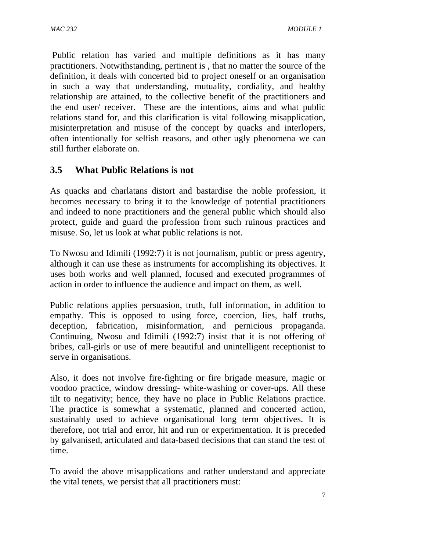Public relation has varied and multiple definitions as it has many practitioners. Notwithstanding, pertinent is , that no matter the source of the definition, it deals with concerted bid to project oneself or an organisation in such a way that understanding, mutuality, cordiality, and healthy relationship are attained, to the collective benefit of the practitioners and the end user/ receiver. These are the intentions, aims and what public relations stand for, and this clarification is vital following misapplication, misinterpretation and misuse of the concept by quacks and interlopers, often intentionally for selfish reasons, and other ugly phenomena we can still further elaborate on.

# **3.5 What Public Relations is not**

As quacks and charlatans distort and bastardise the noble profession, it becomes necessary to bring it to the knowledge of potential practitioners and indeed to none practitioners and the general public which should also protect, guide and guard the profession from such ruinous practices and misuse. So, let us look at what public relations is not.

To Nwosu and Idimili (1992:7) it is not journalism, public or press agentry, although it can use these as instruments for accomplishing its objectives. It uses both works and well planned, focused and executed programmes of action in order to influence the audience and impact on them, as well.

Public relations applies persuasion, truth, full information, in addition to empathy. This is opposed to using force, coercion, lies, half truths, deception, fabrication, misinformation, and pernicious propaganda. Continuing, Nwosu and Idimili (1992:7) insist that it is not offering of bribes, call-girls or use of mere beautiful and unintelligent receptionist to serve in organisations.

Also, it does not involve fire-fighting or fire brigade measure, magic or voodoo practice, window dressing- white-washing or cover-ups. All these tilt to negativity; hence, they have no place in Public Relations practice. The practice is somewhat a systematic, planned and concerted action, sustainably used to achieve organisational long term objectives. It is therefore, not trial and error, hit and run or experimentation. It is preceded by galvanised, articulated and data-based decisions that can stand the test of time.

To avoid the above misapplications and rather understand and appreciate the vital tenets, we persist that all practitioners must: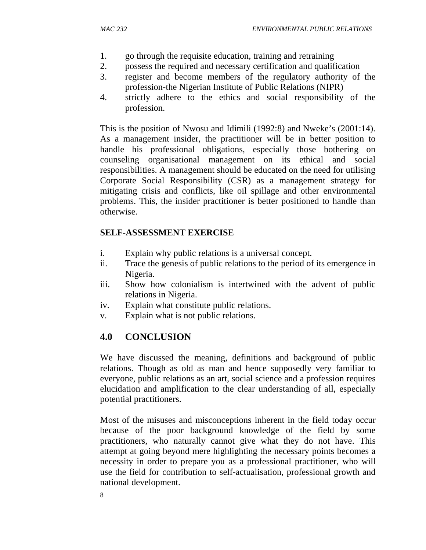- 1. go through the requisite education, training and retraining
- 2. possess the required and necessary certification and qualification
- 3. register and become members of the regulatory authority of the profession-the Nigerian Institute of Public Relations (NIPR)
- 4. strictly adhere to the ethics and social responsibility of the profession.

This is the position of Nwosu and Idimili (1992:8) and Nweke's (2001:14). As a management insider, the practitioner will be in better position to handle his professional obligations, especially those bothering on counseling organisational management on its ethical and social responsibilities. A management should be educated on the need for utilising Corporate Social Responsibility (CSR) as a management strategy for mitigating crisis and conflicts, like oil spillage and other environmental problems. This, the insider practitioner is better positioned to handle than otherwise.

## **SELF-ASSESSMENT EXERCISE**

- i. Explain why public relations is a universal concept.
- ii. Trace the genesis of public relations to the period of its emergence in Nigeria.
- iii. Show how colonialism is intertwined with the advent of public relations in Nigeria.
- iv. Explain what constitute public relations.
- v. Explain what is not public relations.

## **4.0 CONCLUSION**

We have discussed the meaning, definitions and background of public relations. Though as old as man and hence supposedly very familiar to everyone, public relations as an art, social science and a profession requires elucidation and amplification to the clear understanding of all, especially potential practitioners.

Most of the misuses and misconceptions inherent in the field today occur because of the poor background knowledge of the field by some practitioners, who naturally cannot give what they do not have. This attempt at going beyond mere highlighting the necessary points becomes a necessity in order to prepare you as a professional practitioner, who will use the field for contribution to self-actualisation, professional growth and national development.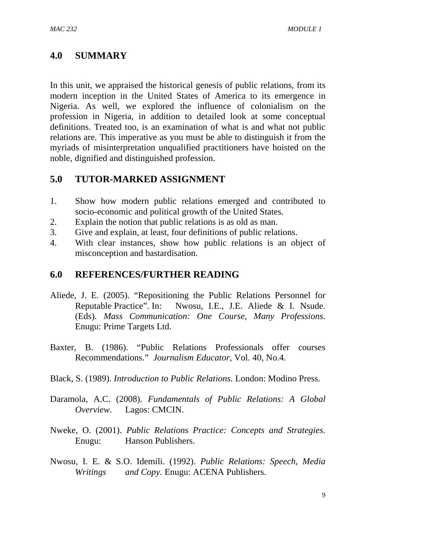# **4.0 SUMMARY**

In this unit, we appraised the historical genesis of public relations, from its modern inception in the United States of America to its emergence in Nigeria. As well, we explored the influence of colonialism on the profession in Nigeria, in addition to detailed look at some conceptual definitions. Treated too, is an examination of what is and what not public relations are. This imperative as you must be able to distinguish it from the myriads of misinterpretation unqualified practitioners have hoisted on the noble, dignified and distinguished profession.

## **5.0 TUTOR-MARKED ASSIGNMENT**

- 1. Show how modern public relations emerged and contributed to socio-economic and political growth of the United States.
- 2. Explain the notion that public relations is as old as man.
- 3. Give and explain, at least, four definitions of public relations.
- 4. With clear instances, show how public relations is an object of misconception and bastardisation.

## **6.0 REFERENCES/FURTHER READING**

- Aliede, J. E. (2005). "Repositioning the Public Relations Personnel for Reputable Practice". In: Nwosu, I.E., J.E. Aliede & I. Nsude. (Eds). *Mass Communication: One Course, Many Professions*. Enugu: Prime Targets Ltd.
- Baxter, B. (1986). "Public Relations Professionals offer courses Recommendations." *Journalism Educator*, Vol. 40, No.4.
- Black, S. (1989). *Introduction to Public Relations*. London: Modino Press.
- Daramola, A.C. (2008). *Fundamentals of Public Relations: A Global Overview*. Lagos: CMCIN.
- Nweke, O. (2001). *Public Relations Practice: Concepts and Strategies*. Enugu: Hanson Publishers.
- Nwosu, I. E. & S.O. Idemili. (1992). *Public Relations: Speech, Media Writings and Copy*. Enugu: ACENA Publishers.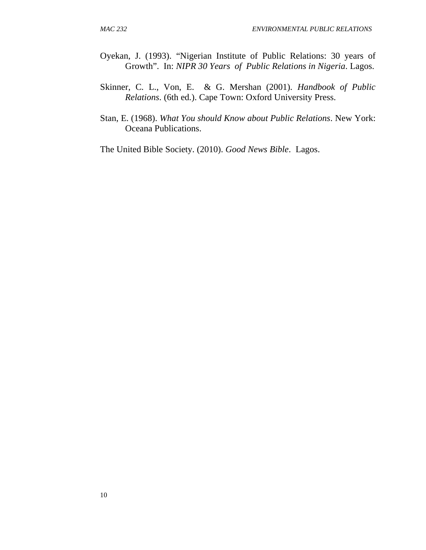- Oyekan, J. (1993). "Nigerian Institute of Public Relations: 30 years of Growth". In: *NIPR 30 Years of Public Relations in Nigeria*. Lagos.
- Skinner, C. L., Von, E. & G. Mershan (2001). *Handbook of Public Relations*. (6th ed.). Cape Town: Oxford University Press.
- Stan, E. (1968). *What You should Know about Public Relations*. New York: Oceana Publications.

The United Bible Society. (2010). *Good News Bible*. Lagos.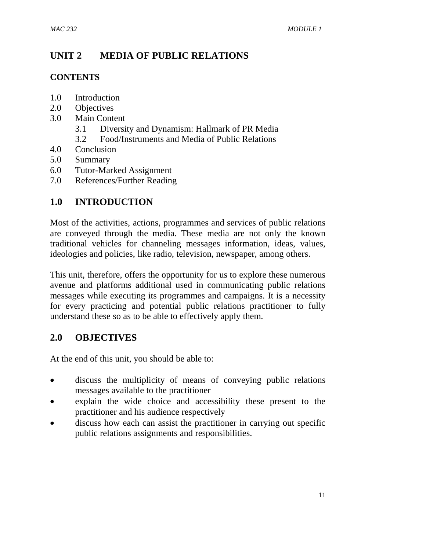# **UNIT 2 MEDIA OF PUBLIC RELATIONS**

#### **CONTENTS**

- 1.0 Introduction
- 2.0 Objectives
- 3.0 Main Content
	- 3.1 Diversity and Dynamism: Hallmark of PR Media
	- 3.2 Food/Instruments and Media of Public Relations
- 4.0 Conclusion
- 5.0 Summary
- 6.0 Tutor-Marked Assignment
- 7.0 References/Further Reading

# **1.0 INTRODUCTION**

Most of the activities, actions, programmes and services of public relations are conveyed through the media. These media are not only the known traditional vehicles for channeling messages information, ideas, values, ideologies and policies, like radio, television, newspaper, among others.

This unit, therefore, offers the opportunity for us to explore these numerous avenue and platforms additional used in communicating public relations messages while executing its programmes and campaigns. It is a necessity for every practicing and potential public relations practitioner to fully understand these so as to be able to effectively apply them.

## **2.0 OBJECTIVES**

At the end of this unit, you should be able to:

- discuss the multiplicity of means of conveying public relations messages available to the practitioner
- explain the wide choice and accessibility these present to the practitioner and his audience respectively
- discuss how each can assist the practitioner in carrying out specific public relations assignments and responsibilities.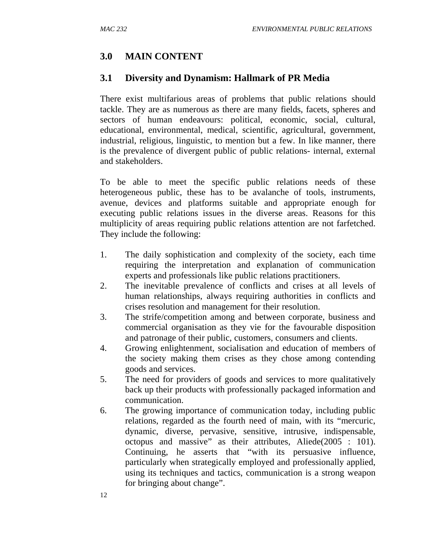# **3.0 MAIN CONTENT**

## **3.1 Diversity and Dynamism: Hallmark of PR Media**

There exist multifarious areas of problems that public relations should tackle. They are as numerous as there are many fields, facets, spheres and sectors of human endeavours: political, economic, social, cultural, educational, environmental, medical, scientific, agricultural, government, industrial, religious, linguistic, to mention but a few. In like manner, there is the prevalence of divergent public of public relations- internal, external and stakeholders.

To be able to meet the specific public relations needs of these heterogeneous public, these has to be avalanche of tools, instruments, avenue, devices and platforms suitable and appropriate enough for executing public relations issues in the diverse areas. Reasons for this multiplicity of areas requiring public relations attention are not farfetched. They include the following:

- 1. The daily sophistication and complexity of the society, each time requiring the interpretation and explanation of communication experts and professionals like public relations practitioners.
- 2. The inevitable prevalence of conflicts and crises at all levels of human relationships, always requiring authorities in conflicts and crises resolution and management for their resolution.
- 3. The strife/competition among and between corporate, business and commercial organisation as they vie for the favourable disposition and patronage of their public, customers, consumers and clients.
- 4. Growing enlightenment, socialisation and education of members of the society making them crises as they chose among contending goods and services.
- 5. The need for providers of goods and services to more qualitatively back up their products with professionally packaged information and communication.
- 6. The growing importance of communication today, including public relations, regarded as the fourth need of main, with its "mercuric, dynamic, diverse, pervasive, sensitive, intrusive, indispensable, octopus and massive" as their attributes, Aliede(2005 : 101). Continuing, he asserts that "with its persuasive influence, particularly when strategically employed and professionally applied, using its techniques and tactics, communication is a strong weapon for bringing about change".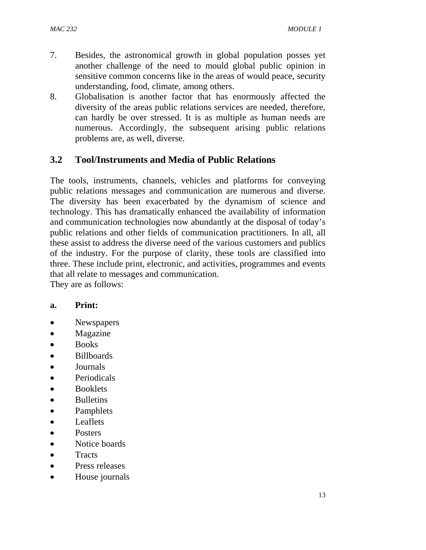- 7. Besides, the astronomical growth in global population posses yet another challenge of the need to mould global public opinion in sensitive common concerns like in the areas of would peace, security understanding, food, climate, among others.
- 8. Globalisation is another factor that has enormously affected the diversity of the areas public relations services are needed, therefore, can hardly be over stressed. It is as multiple as human needs are numerous. Accordingly, the subsequent arising public relations problems are, as well, diverse.

# **3.2 Tool/Instruments and Media of Public Relations**

The tools, instruments, channels, vehicles and platforms for conveying public relations messages and communication are numerous and diverse. The diversity has been exacerbated by the dynamism of science and technology. This has dramatically enhanced the availability of information and communication technologies now abundantly at the disposal of today's public relations and other fields of communication practitioners. In all, all these assist to address the diverse need of the various customers and publics of the industry. For the purpose of clarity, these tools are classified into three. These include print, electronic, and activities, programmes and events that all relate to messages and communication.

They are as follows:

#### **a. Print:**

- Newspapers
- Magazine
- Books
- Billboards
- Journals
- Periodicals
- Booklets
- Bulletins
- Pamphlets
- Leaflets
- Posters
- Notice boards
- Tracts
- Press releases
- House journals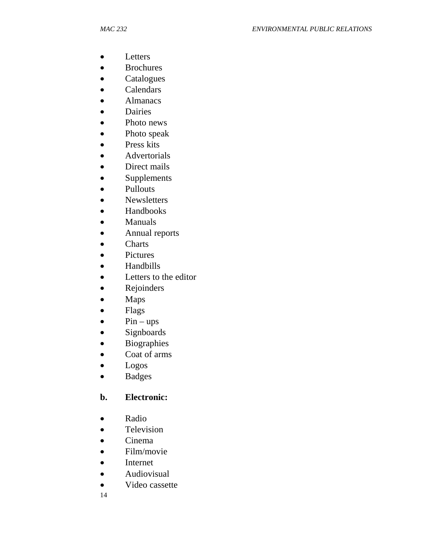- Letters
- Brochures
- Catalogues
- Calendars
- **Almanacs**
- Dairies
- Photo news
- Photo speak
- Press kits
- Advertorials
- Direct mails
- Supplements
- Pullouts
- Newsletters
- Handbooks
- Manuals
- Annual reports
- Charts
- Pictures
- Handbills
- Letters to the editor
- Rejoinders
- Maps
- Flags
- $\bullet$  Pin ups
- Signboards
- Biographies
- Coat of arms
- Logos
- Badges

## **b. Electronic:**

- Radio
- Television
- Cinema
- Film/movie
- Internet
- Audiovisual
- Video cassette
- 14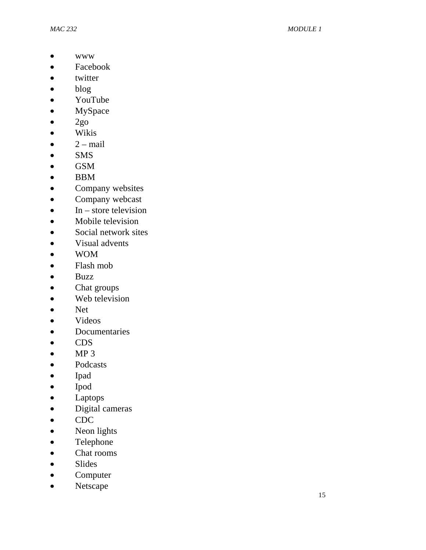- www
- Facebook
- twitter
- blog
- YouTube
- MySpace
- $\bullet$  2go
- Wikis
- $\bullet$  2 mail
- SMS
- GSM
- BBM
- Company websites
- Company webcast
- $\bullet$  In store television
- Mobile television
- Social network sites
- Visual advents
- WOM
- Flash mob
- Buzz
- Chat groups
- Web television
- Net
- Videos
- Documentaries
- CDS
- $\bullet$  MP 3
- Podcasts
- Ipad
- Ipod
- Laptops
- Digital cameras
- CDC
- Neon lights
- Telephone
- Chat rooms
- Slides
- Computer
- Netscape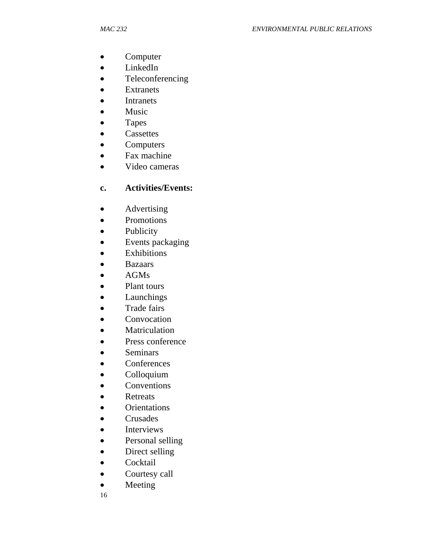- Computer
- LinkedIn
- Teleconferencing
- **Extranets**
- Intranets
- Music
- Tapes
- Cassettes
- Computers
- Fax machine
- Video cameras

# **c. Activities/Events:**

- Advertising
- Promotions
- Publicity
- Events packaging
- Exhibitions
- Bazaars
- AGMs
- Plant tours
- Launchings
- Trade fairs
- Convocation
- Matriculation
- Press conference
- Seminars
- Conferences
- Colloquium
- Conventions
- Retreats
- Orientations
- Crusades
- Interviews
- Personal selling
- Direct selling
- Cocktail
- Courtesy call
- Meeting

16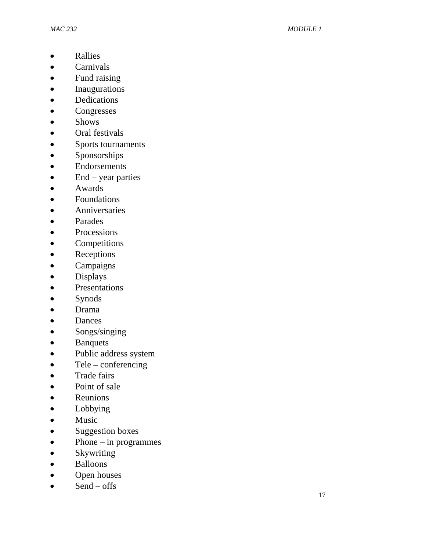- Rallies
- Carnivals
- Fund raising
- Inaugurations
- Dedications
- Congresses
- Shows
- Oral festivals
- Sports tournaments
- Sponsorships
- Endorsements
- End year parties
- Awards
- Foundations
- **Anniversaries**
- Parades
- Processions
- Competitions
- Receptions
- Campaigns
- Displays
- Presentations
- Synods
- Drama
- Dances
- Songs/singing
- Banquets
- Public address system
- Tele conferencing
- Trade fairs
- Point of sale
- Reunions
- Lobbying
- Music
- Suggestion boxes
- Phone in programmes
- Skywriting
- Balloons
- Open houses
- Send offs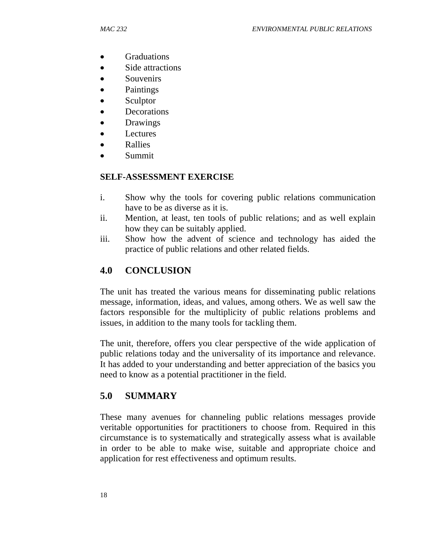- Graduations
- Side attractions
- Souvenirs
- Paintings
- Sculptor
- **Decorations**
- Drawings
- **Lectures**
- Rallies
- Summit

#### **SELF-ASSESSMENT EXERCISE**

- i. Show why the tools for covering public relations communication have to be as diverse as it is.
- ii. Mention, at least, ten tools of public relations; and as well explain how they can be suitably applied.
- iii. Show how the advent of science and technology has aided the practice of public relations and other related fields.

# **4.0 CONCLUSION**

The unit has treated the various means for disseminating public relations message, information, ideas, and values, among others. We as well saw the factors responsible for the multiplicity of public relations problems and issues, in addition to the many tools for tackling them.

The unit, therefore, offers you clear perspective of the wide application of public relations today and the universality of its importance and relevance. It has added to your understanding and better appreciation of the basics you need to know as a potential practitioner in the field.

# **5.0 SUMMARY**

These many avenues for channeling public relations messages provide veritable opportunities for practitioners to choose from. Required in this circumstance is to systematically and strategically assess what is available in order to be able to make wise, suitable and appropriate choice and application for rest effectiveness and optimum results.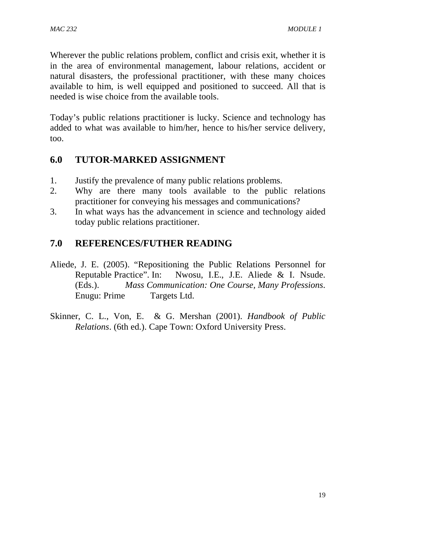Wherever the public relations problem, conflict and crisis exit, whether it is in the area of environmental management, labour relations, accident or natural disasters, the professional practitioner, with these many choices available to him, is well equipped and positioned to succeed. All that is needed is wise choice from the available tools.

Today's public relations practitioner is lucky. Science and technology has added to what was available to him/her, hence to his/her service delivery, too.

# **6.0 TUTOR-MARKED ASSIGNMENT**

- 1. Justify the prevalence of many public relations problems.
- 2. Why are there many tools available to the public relations practitioner for conveying his messages and communications?
- 3. In what ways has the advancement in science and technology aided today public relations practitioner.

# **7.0 REFERENCES/FUTHER READING**

- Aliede, J. E. (2005). "Repositioning the Public Relations Personnel for Reputable Practice". In: Nwosu, I.E., J.E. Aliede & I. Nsude. (Eds.). *Mass Communication: One Course, Many Professions*. Enugu: Prime Targets Ltd.
- Skinner, C. L., Von, E. & G. Mershan (2001). *Handbook of Public Relations*. (6th ed.). Cape Town: Oxford University Press.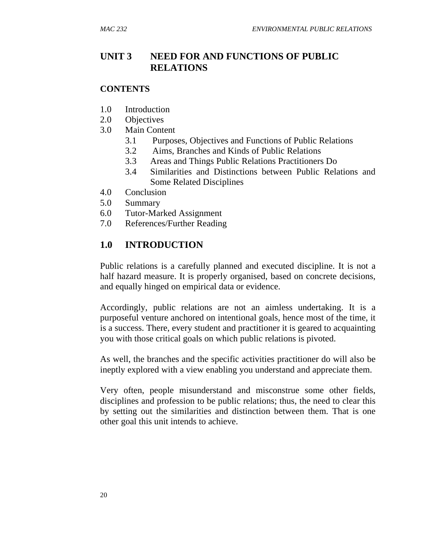#### **UNIT 3 NEED FOR AND FUNCTIONS OF PUBLIC RELATIONS**

#### **CONTENTS**

- 1.0 Introduction
- 2.0 Objectives
- 3.0 Main Content
	- 3.1 Purposes, Objectives and Functions of Public Relations
	- 3.2 Aims, Branches and Kinds of Public Relations
	- 3.3 Areas and Things Public Relations Practitioners Do
	- 3.4 Similarities and Distinctions between Public Relations and Some Related Disciplines
- 4.0 Conclusion
- 5.0 Summary
- 6.0 Tutor-Marked Assignment
- 7.0 References/Further Reading

#### **1.0 INTRODUCTION**

Public relations is a carefully planned and executed discipline. It is not a half hazard measure. It is properly organised, based on concrete decisions, and equally hinged on empirical data or evidence.

Accordingly, public relations are not an aimless undertaking. It is a purposeful venture anchored on intentional goals, hence most of the time, it is a success. There, every student and practitioner it is geared to acquainting you with those critical goals on which public relations is pivoted.

As well, the branches and the specific activities practitioner do will also be ineptly explored with a view enabling you understand and appreciate them.

Very often, people misunderstand and misconstrue some other fields, disciplines and profession to be public relations; thus, the need to clear this by setting out the similarities and distinction between them. That is one other goal this unit intends to achieve.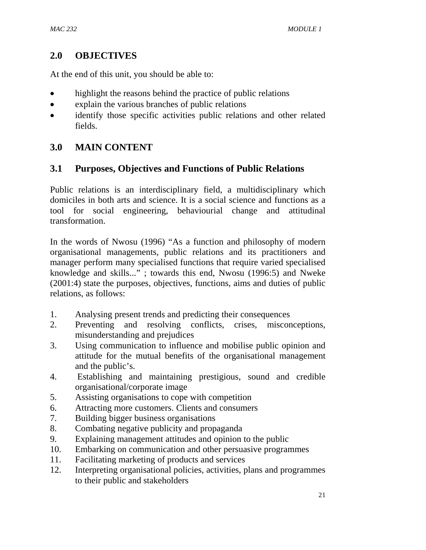# **2.0 OBJECTIVES**

At the end of this unit, you should be able to:

- highlight the reasons behind the practice of public relations
- explain the various branches of public relations
- identify those specific activities public relations and other related fields.

# **3.0 MAIN CONTENT**

# **3.1 Purposes, Objectives and Functions of Public Relations**

Public relations is an interdisciplinary field, a multidisciplinary which domiciles in both arts and science. It is a social science and functions as a tool for social engineering, behaviourial change and attitudinal transformation.

In the words of Nwosu (1996) "As a function and philosophy of modern organisational managements, public relations and its practitioners and manager perform many specialised functions that require varied specialised knowledge and skills..." ; towards this end, Nwosu (1996:5) and Nweke (2001:4) state the purposes, objectives, functions, aims and duties of public relations, as follows:

- 1. Analysing present trends and predicting their consequences
- 2. Preventing and resolving conflicts, crises, misconceptions, misunderstanding and prejudices
- 3. Using communication to influence and mobilise public opinion and attitude for the mutual benefits of the organisational management and the public's.
- 4. Establishing and maintaining prestigious, sound and credible organisational/corporate image
- 5. Assisting organisations to cope with competition
- 6. Attracting more customers. Clients and consumers
- 7. Building bigger business organisations
- 8. Combating negative publicity and propaganda
- 9. Explaining management attitudes and opinion to the public
- 10. Embarking on communication and other persuasive programmes
- 11. Facilitating marketing of products and services
- 12. Interpreting organisational policies, activities, plans and programmes to their public and stakeholders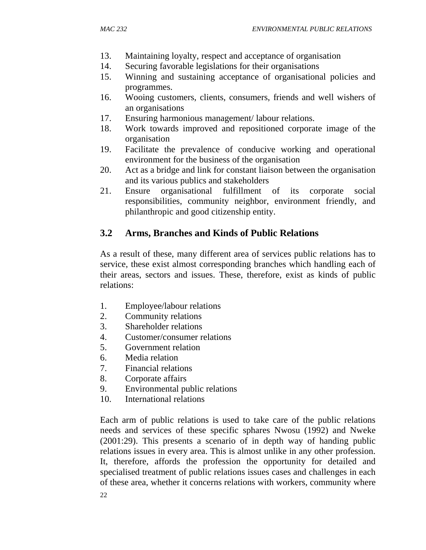- 13. Maintaining loyalty, respect and acceptance of organisation
- 14. Securing favorable legislations for their organisations
- 15. Winning and sustaining acceptance of organisational policies and programmes.
- 16. Wooing customers, clients, consumers, friends and well wishers of an organisations
- 17. Ensuring harmonious management/ labour relations.
- 18. Work towards improved and repositioned corporate image of the organisation
- 19. Facilitate the prevalence of conducive working and operational environment for the business of the organisation
- 20. Act as a bridge and link for constant liaison between the organisation and its various publics and stakeholders
- 21. Ensure organisational fulfillment of its corporate social responsibilities, community neighbor, environment friendly, and philanthropic and good citizenship entity.

# **3.2 Arms, Branches and Kinds of Public Relations**

As a result of these, many different area of services public relations has to service, these exist almost corresponding branches which handling each of their areas, sectors and issues. These, therefore, exist as kinds of public relations:

- 1. Employee/labour relations
- 2. Community relations
- 3. Shareholder relations
- 4. Customer/consumer relations
- 5. Government relation
- 6. Media relation
- 7. Financial relations
- 8. Corporate affairs
- 9. Environmental public relations
- 10. International relations

Each arm of public relations is used to take care of the public relations needs and services of these specific sphares Nwosu (1992) and Nweke (2001:29). This presents a scenario of in depth way of handing public relations issues in every area. This is almost unlike in any other profession. It, therefore, affords the profession the opportunity for detailed and specialised treatment of public relations issues cases and challenges in each of these area, whether it concerns relations with workers, community where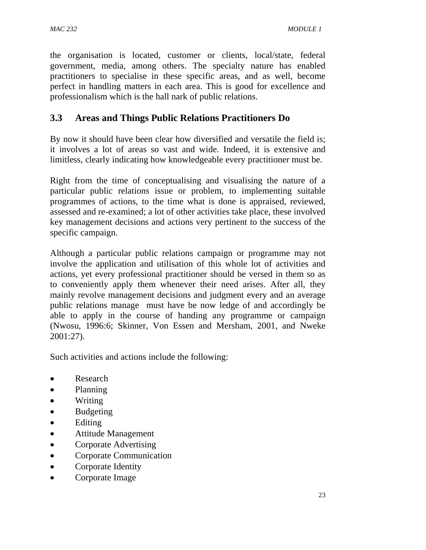the organisation is located, customer or clients, local/state, federal government, media, among others. The specialty nature has enabled practitioners to specialise in these specific areas, and as well, become perfect in handling matters in each area. This is good for excellence and professionalism which is the hall nark of public relations.

# **3.3 Areas and Things Public Relations Practitioners Do**

By now it should have been clear how diversified and versatile the field is; it involves a lot of areas so vast and wide. Indeed, it is extensive and limitless, clearly indicating how knowledgeable every practitioner must be.

Right from the time of conceptualising and visualising the nature of a particular public relations issue or problem, to implementing suitable programmes of actions, to the time what is done is appraised, reviewed, assessed and re-examined; a lot of other activities take place, these involved key management decisions and actions very pertinent to the success of the specific campaign.

Although a particular public relations campaign or programme may not involve the application and utilisation of this whole lot of activities and actions, yet every professional practitioner should be versed in them so as to conveniently apply them whenever their need arises. After all, they mainly revolve management decisions and judgment every and an average public relations manage must have be now ledge of and accordingly be able to apply in the course of handing any programme or campaign (Nwosu, 1996:6; Skinner, Von Essen and Mersham, 2001, and Nweke 2001:27).

Such activities and actions include the following:

- Research
- Planning
- Writing
- Budgeting
- Editing
- Attitude Management
- Corporate Advertising
- Corporate Communication
- Corporate Identity
- Corporate Image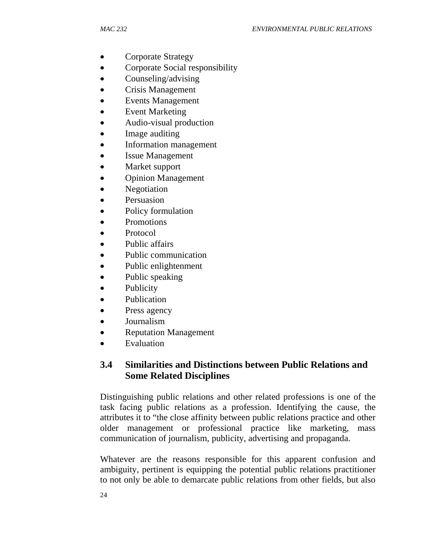- Corporate Strategy
- Corporate Social responsibility
- Counseling/advising
- Crisis Management
- Events Management
- **Event Marketing**
- Audio-visual production
- Image auditing
- Information management
- **Issue Management**
- Market support
- Opinion Management
- Negotiation
- Persuasion
- Policy formulation
- Promotions
- Protocol
- Public affairs
- Public communication
- Public enlightenment
- Public speaking
- Publicity
- Publication
- Press agency
- Journalism
- Reputation Management
- **Evaluation**

# **3.4 Similarities and Distinctions between Public Relations and Some Related Disciplines**

Distinguishing public relations and other related professions is one of the task facing public relations as a profession. Identifying the cause, the attributes it to "the close affinity between public relations practice and other older management or professional practice like marketing, mass communication of journalism, publicity, advertising and propaganda.

Whatever are the reasons responsible for this apparent confusion and ambiguity, pertinent is equipping the potential public relations practitioner to not only be able to demarcate public relations from other fields, but also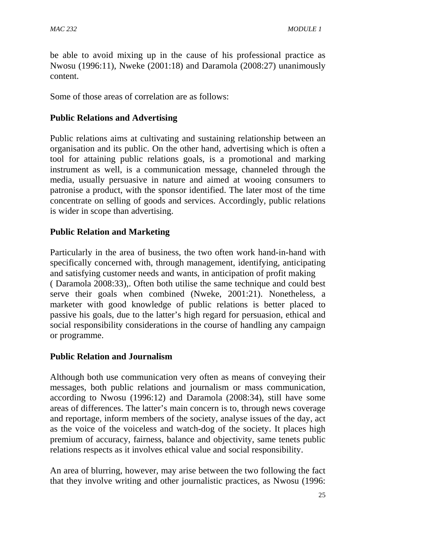be able to avoid mixing up in the cause of his professional practice as Nwosu (1996:11), Nweke (2001:18) and Daramola (2008:27) unanimously content.

Some of those areas of correlation are as follows:

### **Public Relations and Advertising**

Public relations aims at cultivating and sustaining relationship between an organisation and its public. On the other hand, advertising which is often a tool for attaining public relations goals, is a promotional and marking instrument as well, is a communication message, channeled through the media, usually persuasive in nature and aimed at wooing consumers to patronise a product, with the sponsor identified. The later most of the time concentrate on selling of goods and services. Accordingly, public relations is wider in scope than advertising.

## **Public Relation and Marketing**

Particularly in the area of business, the two often work hand-in-hand with specifically concerned with, through management, identifying, anticipating and satisfying customer needs and wants, in anticipation of profit making ( Daramola 2008:33),. Often both utilise the same technique and could best serve their goals when combined (Nweke, 2001:21). Nonetheless, a marketer with good knowledge of public relations is better placed to passive his goals, due to the latter's high regard for persuasion, ethical and social responsibility considerations in the course of handling any campaign or programme.

## **Public Relation and Journalism**

Although both use communication very often as means of conveying their messages, both public relations and journalism or mass communication, according to Nwosu (1996:12) and Daramola (2008:34), still have some areas of differences. The latter's main concern is to, through news coverage and reportage, inform members of the society, analyse issues of the day, act as the voice of the voiceless and watch-dog of the society. It places high premium of accuracy, fairness, balance and objectivity, same tenets public relations respects as it involves ethical value and social responsibility.

An area of blurring, however, may arise between the two following the fact that they involve writing and other journalistic practices, as Nwosu (1996: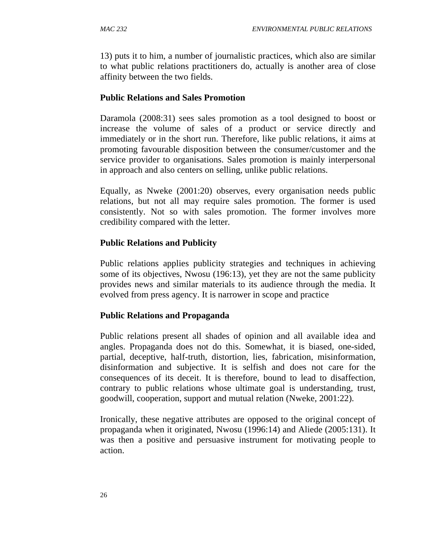13) puts it to him, a number of journalistic practices, which also are similar to what public relations practitioners do, actually is another area of close affinity between the two fields.

#### **Public Relations and Sales Promotion**

Daramola (2008:31) sees sales promotion as a tool designed to boost or increase the volume of sales of a product or service directly and immediately or in the short run. Therefore, like public relations, it aims at promoting favourable disposition between the consumer/customer and the service provider to organisations. Sales promotion is mainly interpersonal in approach and also centers on selling, unlike public relations.

Equally, as Nweke (2001:20) observes, every organisation needs public relations, but not all may require sales promotion. The former is used consistently. Not so with sales promotion. The former involves more credibility compared with the letter.

#### **Public Relations and Publicity**

Public relations applies publicity strategies and techniques in achieving some of its objectives, Nwosu (196:13), yet they are not the same publicity provides news and similar materials to its audience through the media. It evolved from press agency. It is narrower in scope and practice

#### **Public Relations and Propaganda**

Public relations present all shades of opinion and all available idea and angles. Propaganda does not do this. Somewhat, it is biased, one-sided, partial, deceptive, half-truth, distortion, lies, fabrication, misinformation, disinformation and subjective. It is selfish and does not care for the consequences of its deceit. It is therefore, bound to lead to disaffection, contrary to public relations whose ultimate goal is understanding, trust, goodwill, cooperation, support and mutual relation (Nweke, 2001:22).

Ironically, these negative attributes are opposed to the original concept of propaganda when it originated, Nwosu (1996:14) and Aliede (2005:131). It was then a positive and persuasive instrument for motivating people to action.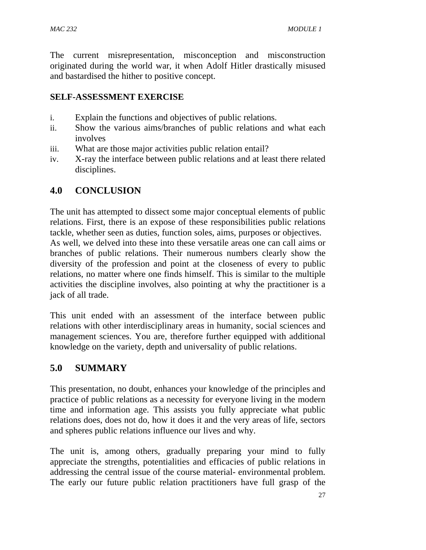The current misrepresentation, misconception and misconstruction originated during the world war, it when Adolf Hitler drastically misused and bastardised the hither to positive concept.

### **SELF-ASSESSMENT EXERCISE**

- i. Explain the functions and objectives of public relations.
- ii. Show the various aims/branches of public relations and what each involves
- iii. What are those major activities public relation entail?
- iv. X-ray the interface between public relations and at least there related disciplines.

# **4.0 CONCLUSION**

The unit has attempted to dissect some major conceptual elements of public relations. First, there is an expose of these responsibilities public relations tackle, whether seen as duties, function soles, aims, purposes or objectives. As well, we delved into these into these versatile areas one can call aims or branches of public relations. Their numerous numbers clearly show the diversity of the profession and point at the closeness of every to public relations, no matter where one finds himself. This is similar to the multiple activities the discipline involves, also pointing at why the practitioner is a jack of all trade.

This unit ended with an assessment of the interface between public relations with other interdisciplinary areas in humanity, social sciences and management sciences. You are, therefore further equipped with additional knowledge on the variety, depth and universality of public relations.

# **5.0 SUMMARY**

This presentation, no doubt, enhances your knowledge of the principles and practice of public relations as a necessity for everyone living in the modern time and information age. This assists you fully appreciate what public relations does, does not do, how it does it and the very areas of life, sectors and spheres public relations influence our lives and why.

The unit is, among others, gradually preparing your mind to fully appreciate the strengths, potentialities and efficacies of public relations in addressing the central issue of the course material- environmental problem. The early our future public relation practitioners have full grasp of the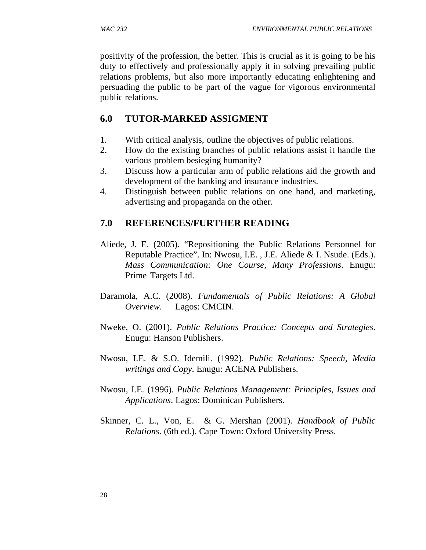positivity of the profession, the better. This is crucial as it is going to be his duty to effectively and professionally apply it in solving prevailing public relations problems, but also more importantly educating enlightening and persuading the public to be part of the vague for vigorous environmental public relations.

## **6.0 TUTOR-MARKED ASSIGMENT**

- 1. With critical analysis, outline the objectives of public relations.
- 2. How do the existing branches of public relations assist it handle the various problem besieging humanity?
- 3. Discuss how a particular arm of public relations aid the growth and development of the banking and insurance industries.
- 4. Distinguish between public relations on one hand, and marketing, advertising and propaganda on the other.

## **7.0 REFERENCES/FURTHER READING**

- Aliede, J. E. (2005). "Repositioning the Public Relations Personnel for Reputable Practice". In: Nwosu, I.E. , J.E. Aliede & I. Nsude. (Eds.). *Mass Communication: One Course, Many Professions*. Enugu: Prime Targets Ltd.
- Daramola, A.C. (2008). *Fundamentals of Public Relations: A Global Overview*. Lagos: CMCIN.
- Nweke, O. (2001). *Public Relations Practice: Concepts and Strategies*. Enugu: Hanson Publishers.
- Nwosu, I.E. & S.O. Idemili. (1992). *Public Relations: Speech, Media writings and Copy*. Enugu: ACENA Publishers.
- Nwosu, I.E. (1996). *Public Relations Management: Principles, Issues and Applications*. Lagos: Dominican Publishers.
- Skinner, C. L., Von, E. & G. Mershan (2001). *Handbook of Public Relations*. (6th ed.). Cape Town: Oxford University Press.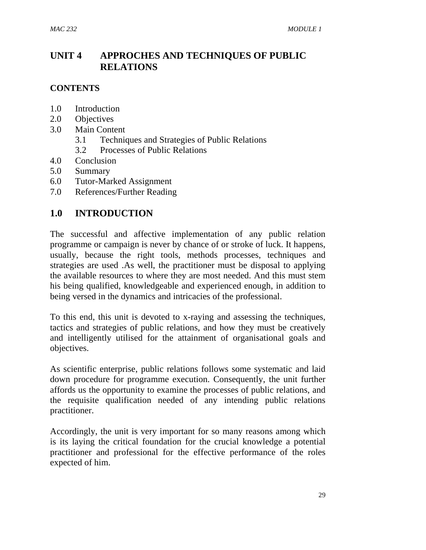# **UNIT 4 APPROCHES AND TECHNIQUES OF PUBLIC RELATIONS**

#### **CONTENTS**

- 1.0 Introduction
- 2.0 Objectives
- 3.0 Main Content
	- 3.1 Techniques and Strategies of Public Relations
	- 3.2 Processes of Public Relations
- 4.0 Conclusion
- 5.0 Summary
- 6.0 Tutor-Marked Assignment
- 7.0 References/Further Reading

## **1.0 INTRODUCTION**

The successful and affective implementation of any public relation programme or campaign is never by chance of or stroke of luck. It happens, usually, because the right tools, methods processes, techniques and strategies are used .As well, the practitioner must be disposal to applying the available resources to where they are most needed. And this must stem his being qualified, knowledgeable and experienced enough, in addition to being versed in the dynamics and intricacies of the professional.

To this end, this unit is devoted to x-raying and assessing the techniques, tactics and strategies of public relations, and how they must be creatively and intelligently utilised for the attainment of organisational goals and objectives.

As scientific enterprise, public relations follows some systematic and laid down procedure for programme execution. Consequently, the unit further affords us the opportunity to examine the processes of public relations, and the requisite qualification needed of any intending public relations practitioner.

Accordingly, the unit is very important for so many reasons among which is its laying the critical foundation for the crucial knowledge a potential practitioner and professional for the effective performance of the roles expected of him.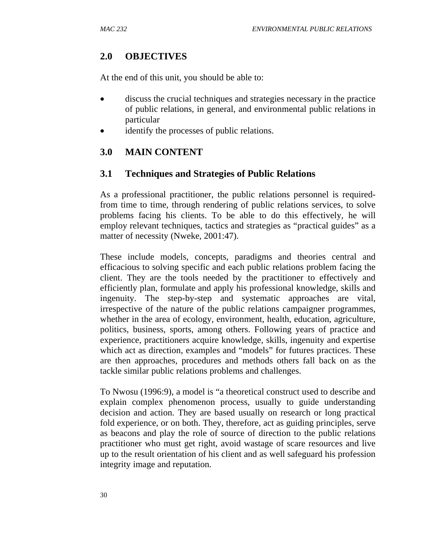# **2.0 OBJECTIVES**

At the end of this unit, you should be able to:

- discuss the crucial techniques and strategies necessary in the practice of public relations, in general, and environmental public relations in particular
- identify the processes of public relations.

# **3.0 MAIN CONTENT**

# **3.1 Techniques and Strategies of Public Relations**

As a professional practitioner, the public relations personnel is requiredfrom time to time, through rendering of public relations services, to solve problems facing his clients. To be able to do this effectively, he will employ relevant techniques, tactics and strategies as "practical guides" as a matter of necessity (Nweke, 2001:47).

These include models, concepts, paradigms and theories central and efficacious to solving specific and each public relations problem facing the client. They are the tools needed by the practitioner to effectively and efficiently plan, formulate and apply his professional knowledge, skills and ingenuity. The step-by-step and systematic approaches are vital, irrespective of the nature of the public relations campaigner programmes, whether in the area of ecology, environment, health, education, agriculture, politics, business, sports, among others. Following years of practice and experience, practitioners acquire knowledge, skills, ingenuity and expertise which act as direction, examples and "models" for futures practices. These are then approaches, procedures and methods others fall back on as the tackle similar public relations problems and challenges.

To Nwosu (1996:9), a model is "a theoretical construct used to describe and explain complex phenomenon process, usually to guide understanding decision and action. They are based usually on research or long practical fold experience, or on both. They, therefore, act as guiding principles, serve as beacons and play the role of source of direction to the public relations practitioner who must get right, avoid wastage of scare resources and live up to the result orientation of his client and as well safeguard his profession integrity image and reputation.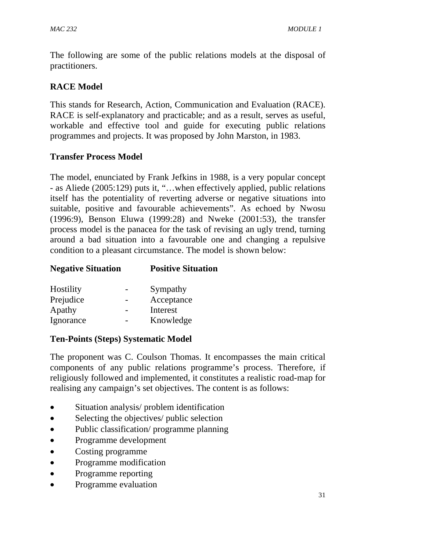The following are some of the public relations models at the disposal of practitioners.

### **RACE Model**

This stands for Research, Action, Communication and Evaluation (RACE). RACE is self-explanatory and practicable; and as a result, serves as useful, workable and effective tool and guide for executing public relations programmes and projects. It was proposed by John Marston, in 1983.

#### **Transfer Process Model**

The model, enunciated by Frank Jefkins in 1988, is a very popular concept - as Aliede (2005:129) puts it, "…when effectively applied, public relations itself has the potentiality of reverting adverse or negative situations into suitable, positive and favourable achievements". As echoed by Nwosu (1996:9), Benson Eluwa (1999:28) and Nweke (2001:53), the transfer process model is the panacea for the task of revising an ugly trend, turning around a bad situation into a favourable one and changing a repulsive condition to a pleasant circumstance. The model is shown below:

| <b>Negative Situation</b> | <b>Positive Situation</b> |
|---------------------------|---------------------------|
|                           |                           |

| Hostility | Sympathy   |
|-----------|------------|
| Prejudice | Acceptance |
| Apathy    | Interest   |
| Ignorance | Knowledge  |

#### **Ten-Points (Steps) Systematic Model**

The proponent was C. Coulson Thomas. It encompasses the main critical components of any public relations programme's process. Therefore, if religiously followed and implemented, it constitutes a realistic road-map for realising any campaign's set objectives. The content is as follows:

- Situation analysis/ problem identification
- Selecting the objectives/ public selection
- Public classification/ programme planning
- Programme development
- Costing programme
- Programme modification
- Programme reporting
- Programme evaluation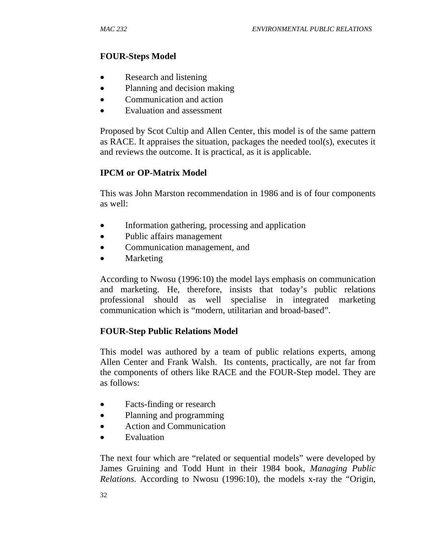### **FOUR-Steps Model**

- Research and listening
- Planning and decision making
- Communication and action
- Evaluation and assessment

Proposed by Scot Cultip and Allen Center, this model is of the same pattern as RACE. It appraises the situation, packages the needed tool(s), executes it and reviews the outcome. It is practical, as it is applicable.

## **IPCM or OP-Matrix Model**

This was John Marston recommendation in 1986 and is of four components as well:

- Information gathering, processing and application
- Public affairs management
- Communication management, and
- **Marketing**

According to Nwosu (1996:10) the model lays emphasis on communication and marketing. He, therefore, insists that today's public relations professional should as well specialise in integrated marketing communication which is "modern, utilitarian and broad-based".

## **FOUR-Step Public Relations Model**

This model was authored by a team of public relations experts, among Allen Center and Frank Walsh. Its contents, practically, are not far from the components of others like RACE and the FOUR-Step model. They are as follows:

- Facts-finding or research
- Planning and programming
- Action and Communication
- Evaluation

The next four which are "related or sequential models" were developed by James Gruining and Todd Hunt in their 1984 book, *Managing Public Relations*. According to Nwosu (1996:10), the models x-ray the "Origin,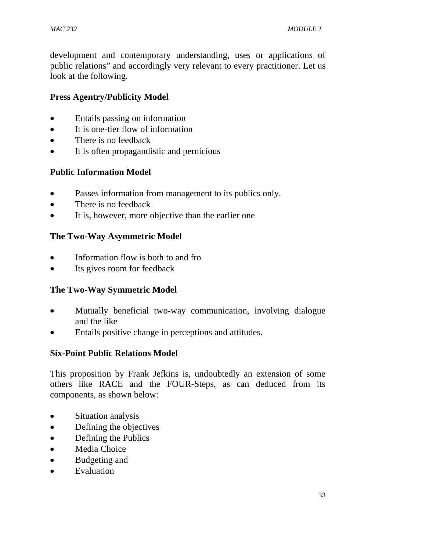development and contemporary understanding, uses or applications of public relations" and accordingly very relevant to every practitioner. Let us look at the following.

## **Press Agentry/Publicity Model**

- Entails passing on information
- It is one-tier flow of information
- There is no feedback
- It is often propagandistic and pernicious

# **Public Information Model**

- Passes information from management to its publics only.
- There is no feedback
- It is, however, more objective than the earlier one

# **The Two-Way Asymmetric Model**

- Information flow is both to and fro
- Its gives room for feedback

# **The Two-Way Symmetric Model**

- Mutually beneficial two-way communication, involving dialogue and the like
- Entails positive change in perceptions and attitudes.

## **Six-Point Public Relations Model**

This proposition by Frank Jefkins is, undoubtedly an extension of some others like RACE and the FOUR-Steps, as can deduced from its components, as shown below:

- Situation analysis
- Defining the objectives
- Defining the Publics
- Media Choice
- Budgeting and
- Evaluation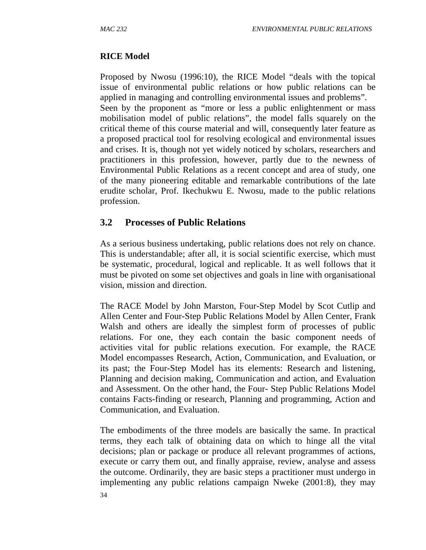### **RICE Model**

Proposed by Nwosu (1996:10), the RICE Model "deals with the topical issue of environmental public relations or how public relations can be applied in managing and controlling environmental issues and problems". Seen by the proponent as "more or less a public enlightenment or mass mobilisation model of public relations", the model falls squarely on the critical theme of this course material and will, consequently later feature as a proposed practical tool for resolving ecological and environmental issues and crises. It is, though not yet widely noticed by scholars, researchers and practitioners in this profession, however, partly due to the newness of Environmental Public Relations as a recent concept and area of study, one of the many pioneering editable and remarkable contributions of the late erudite scholar, Prof. Ikechukwu E. Nwosu, made to the public relations profession.

## **3.2 Processes of Public Relations**

As a serious business undertaking, public relations does not rely on chance. This is understandable; after all, it is social scientific exercise, which must be systematic, procedural, logical and replicable. It as well follows that it must be pivoted on some set objectives and goals in line with organisational vision, mission and direction.

The RACE Model by John Marston, Four-Step Model by Scot Cutlip and Allen Center and Four-Step Public Relations Model by Allen Center, Frank Walsh and others are ideally the simplest form of processes of public relations. For one, they each contain the basic component needs of activities vital for public relations execution. For example, the RACE Model encompasses Research, Action, Communication, and Evaluation, or its past; the Four-Step Model has its elements: Research and listening, Planning and decision making, Communication and action, and Evaluation and Assessment. On the other hand, the Four- Step Public Relations Model contains Facts-finding or research, Planning and programming, Action and Communication, and Evaluation.

34 The embodiments of the three models are basically the same. In practical terms, they each talk of obtaining data on which to hinge all the vital decisions; plan or package or produce all relevant programmes of actions, execute or carry them out, and finally appraise, review, analyse and assess the outcome. Ordinarily, they are basic steps a practitioner must undergo in implementing any public relations campaign Nweke (2001:8), they may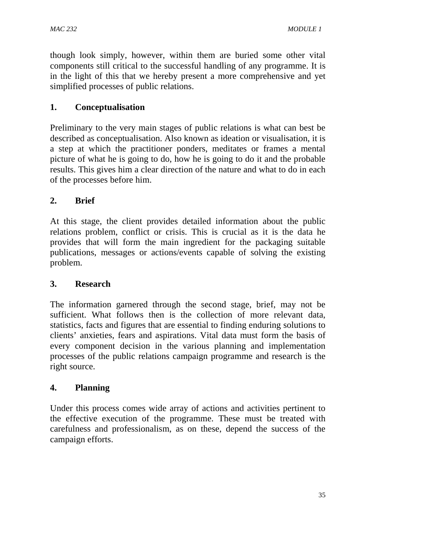though look simply, however, within them are buried some other vital components still critical to the successful handling of any programme. It is in the light of this that we hereby present a more comprehensive and yet simplified processes of public relations.

## **1. Conceptualisation**

Preliminary to the very main stages of public relations is what can best be described as conceptualisation. Also known as ideation or visualisation, it is a step at which the practitioner ponders, meditates or frames a mental picture of what he is going to do, how he is going to do it and the probable results. This gives him a clear direction of the nature and what to do in each of the processes before him.

# **2. Brief**

At this stage, the client provides detailed information about the public relations problem, conflict or crisis. This is crucial as it is the data he provides that will form the main ingredient for the packaging suitable publications, messages or actions/events capable of solving the existing problem.

## **3. Research**

The information garnered through the second stage, brief, may not be sufficient. What follows then is the collection of more relevant data, statistics, facts and figures that are essential to finding enduring solutions to clients' anxieties, fears and aspirations. Vital data must form the basis of every component decision in the various planning and implementation processes of the public relations campaign programme and research is the right source.

## **4. Planning**

Under this process comes wide array of actions and activities pertinent to the effective execution of the programme. These must be treated with carefulness and professionalism, as on these, depend the success of the campaign efforts.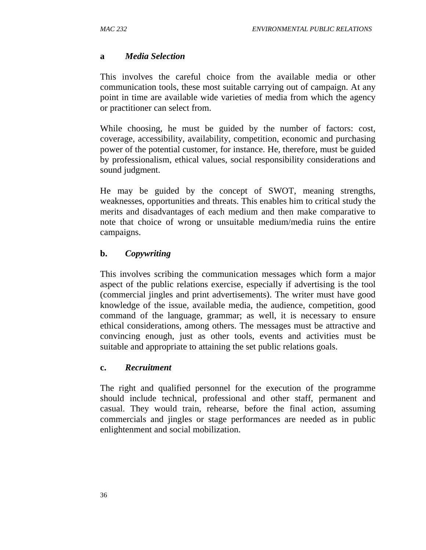### **a** *Media Selection*

This involves the careful choice from the available media or other communication tools, these most suitable carrying out of campaign. At any point in time are available wide varieties of media from which the agency or practitioner can select from.

While choosing, he must be guided by the number of factors: cost, coverage, accessibility, availability, competition, economic and purchasing power of the potential customer, for instance. He, therefore, must be guided by professionalism, ethical values, social responsibility considerations and sound judgment.

He may be guided by the concept of SWOT, meaning strengths, weaknesses, opportunities and threats. This enables him to critical study the merits and disadvantages of each medium and then make comparative to note that choice of wrong or unsuitable medium/media ruins the entire campaigns.

## **b.** *Copywriting*

This involves scribing the communication messages which form a major aspect of the public relations exercise, especially if advertising is the tool (commercial jingles and print advertisements). The writer must have good knowledge of the issue, available media, the audience, competition, good command of the language, grammar; as well, it is necessary to ensure ethical considerations, among others. The messages must be attractive and convincing enough, just as other tools, events and activities must be suitable and appropriate to attaining the set public relations goals.

#### **c.** *Recruitment*

The right and qualified personnel for the execution of the programme should include technical, professional and other staff, permanent and casual. They would train, rehearse, before the final action, assuming commercials and jingles or stage performances are needed as in public enlightenment and social mobilization.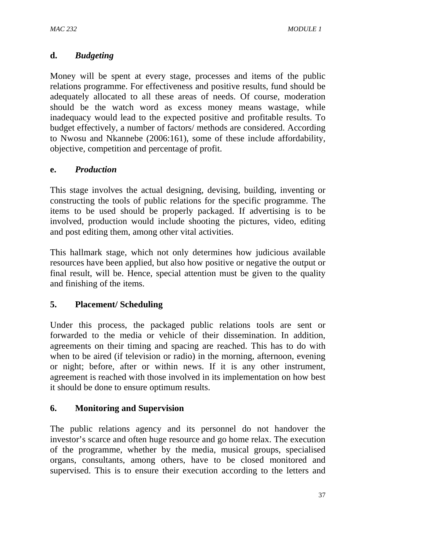### **d.** *Budgeting*

Money will be spent at every stage, processes and items of the public relations programme. For effectiveness and positive results, fund should be adequately allocated to all these areas of needs. Of course, moderation should be the watch word as excess money means wastage, while inadequacy would lead to the expected positive and profitable results. To budget effectively, a number of factors/ methods are considered. According to Nwosu and Nkannebe (2006:161), some of these include affordability, objective, competition and percentage of profit.

#### **e.** *Production*

This stage involves the actual designing, devising, building, inventing or constructing the tools of public relations for the specific programme. The items to be used should be properly packaged. If advertising is to be involved, production would include shooting the pictures, video, editing and post editing them, among other vital activities.

This hallmark stage, which not only determines how judicious available resources have been applied, but also how positive or negative the output or final result, will be. Hence, special attention must be given to the quality and finishing of the items.

#### **5. Placement/ Scheduling**

Under this process, the packaged public relations tools are sent or forwarded to the media or vehicle of their dissemination. In addition, agreements on their timing and spacing are reached. This has to do with when to be aired (if television or radio) in the morning, afternoon, evening or night; before, after or within news. If it is any other instrument, agreement is reached with those involved in its implementation on how best it should be done to ensure optimum results.

#### **6. Monitoring and Supervision**

The public relations agency and its personnel do not handover the investor's scarce and often huge resource and go home relax. The execution of the programme, whether by the media, musical groups, specialised organs, consultants, among others, have to be closed monitored and supervised. This is to ensure their execution according to the letters and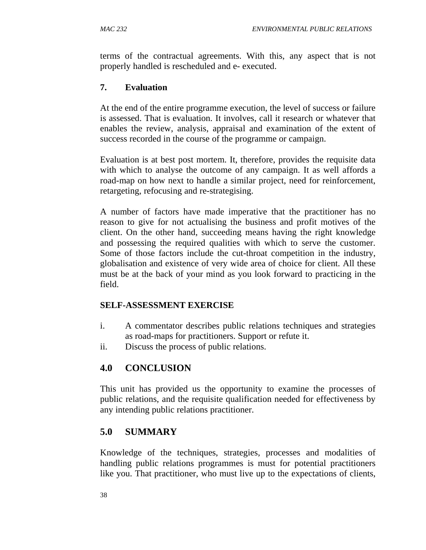terms of the contractual agreements. With this, any aspect that is not properly handled is rescheduled and e- executed.

### **7. Evaluation**

At the end of the entire programme execution, the level of success or failure is assessed. That is evaluation. It involves, call it research or whatever that enables the review, analysis, appraisal and examination of the extent of success recorded in the course of the programme or campaign.

Evaluation is at best post mortem. It, therefore, provides the requisite data with which to analyse the outcome of any campaign. It as well affords a road-map on how next to handle a similar project, need for reinforcement, retargeting, refocusing and re-strategising.

A number of factors have made imperative that the practitioner has no reason to give for not actualising the business and profit motives of the client. On the other hand, succeeding means having the right knowledge and possessing the required qualities with which to serve the customer. Some of those factors include the cut-throat competition in the industry, globalisation and existence of very wide area of choice for client. All these must be at the back of your mind as you look forward to practicing in the field.

#### **SELF-ASSESSMENT EXERCISE**

- i. A commentator describes public relations techniques and strategies as road-maps for practitioners. Support or refute it.
- ii. Discuss the process of public relations.

# **4.0 CONCLUSION**

This unit has provided us the opportunity to examine the processes of public relations, and the requisite qualification needed for effectiveness by any intending public relations practitioner.

## **5.0 SUMMARY**

Knowledge of the techniques, strategies, processes and modalities of handling public relations programmes is must for potential practitioners like you. That practitioner, who must live up to the expectations of clients,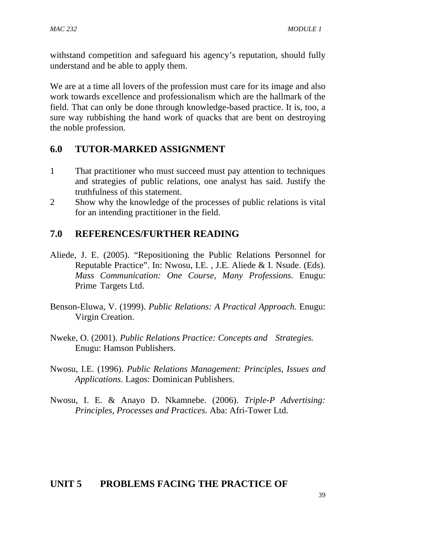withstand competition and safeguard his agency's reputation, should fully understand and be able to apply them.

We are at a time all lovers of the profession must care for its image and also work towards excellence and professionalism which are the hallmark of the field. That can only be done through knowledge-based practice. It is, too, a sure way rubbishing the hand work of quacks that are bent on destroying the noble profession.

### **6.0 TUTOR-MARKED ASSIGNMENT**

- 1 That practitioner who must succeed must pay attention to techniques and strategies of public relations, one analyst has said. Justify the truthfulness of this statement.
- 2 Show why the knowledge of the processes of public relations is vital for an intending practitioner in the field.

## **7.0 REFERENCES/FURTHER READING**

- Aliede, J. E. (2005). "Repositioning the Public Relations Personnel for Reputable Practice". In: Nwosu, I.E. , J.E. Aliede & I. Nsude. (Eds). *Mass Communication: One Course, Many Professions*. Enugu: Prime Targets Ltd.
- Benson-Eluwa, V. (1999). *Public Relations: A Practical Approach*. Enugu: Virgin Creation.
- Nweke, O. (2001). *Public Relations Practice: Concepts and Strategies.* Enugu: Hamson Publishers.
- Nwosu, I.E. (1996). *Public Relations Management: Principles, Issues and Applications*. Lagos: Dominican Publishers.
- Nwosu, I. E. & Anayo D. Nkamnebe. (2006). *Triple-P Advertising: Principles, Processes and Practices.* Aba: Afri-Tower Ltd.

## **UNIT 5 PROBLEMS FACING THE PRACTICE OF**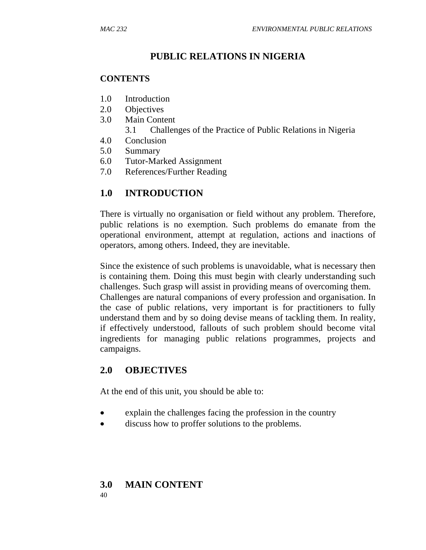# **PUBLIC RELATIONS IN NIGERIA**

### **CONTENTS**

- 1.0 Introduction
- 2.0 Objectives
- 3.0 Main Content
	- 3.1 Challenges of the Practice of Public Relations in Nigeria
- 4.0 Conclusion
- 5.0 Summary
- 6.0 Tutor-Marked Assignment
- 7.0 References/Further Reading

# **1.0 INTRODUCTION**

There is virtually no organisation or field without any problem. Therefore, public relations is no exemption. Such problems do emanate from the operational environment, attempt at regulation, actions and inactions of operators, among others. Indeed, they are inevitable.

Since the existence of such problems is unavoidable, what is necessary then is containing them. Doing this must begin with clearly understanding such challenges. Such grasp will assist in providing means of overcoming them. Challenges are natural companions of every profession and organisation. In the case of public relations, very important is for practitioners to fully understand them and by so doing devise means of tackling them. In reality, if effectively understood, fallouts of such problem should become vital ingredients for managing public relations programmes, projects and campaigns.

# **2.0 OBJECTIVES**

At the end of this unit, you should be able to:

- explain the challenges facing the profession in the country
- discuss how to proffer solutions to the problems.

#### 40 **3.0 MAIN CONTENT**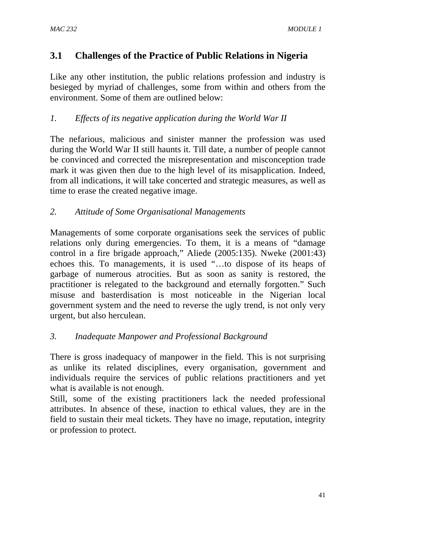# **3.1 Challenges of the Practice of Public Relations in Nigeria**

Like any other institution, the public relations profession and industry is besieged by myriad of challenges, some from within and others from the environment. Some of them are outlined below:

### *1. Effects of its negative application during the World War II*

The nefarious, malicious and sinister manner the profession was used during the World War II still haunts it. Till date, a number of people cannot be convinced and corrected the misrepresentation and misconception trade mark it was given then due to the high level of its misapplication. Indeed, from all indications, it will take concerted and strategic measures, as well as time to erase the created negative image.

#### *2. Attitude of Some Organisational Managements*

Managements of some corporate organisations seek the services of public relations only during emergencies. To them, it is a means of "damage control in a fire brigade approach," Aliede (2005:135). Nweke (2001:43) echoes this. To managements, it is used "…to dispose of its heaps of garbage of numerous atrocities. But as soon as sanity is restored, the practitioner is relegated to the background and eternally forgotten." Such misuse and basterdisation is most noticeable in the Nigerian local government system and the need to reverse the ugly trend, is not only very urgent, but also herculean.

#### *3. Inadequate Manpower and Professional Background*

There is gross inadequacy of manpower in the field. This is not surprising as unlike its related disciplines, every organisation, government and individuals require the services of public relations practitioners and yet what is available is not enough.

Still, some of the existing practitioners lack the needed professional attributes. In absence of these, inaction to ethical values, they are in the field to sustain their meal tickets. They have no image, reputation, integrity or profession to protect.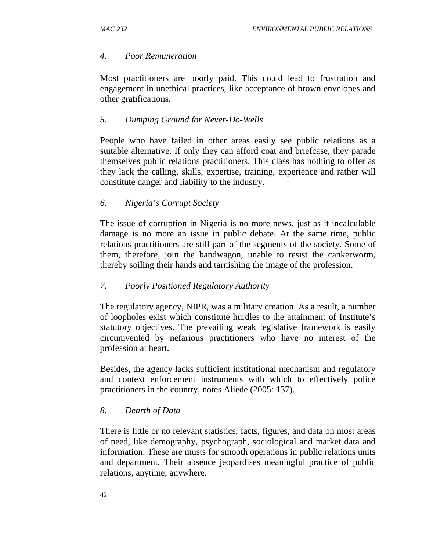#### *4. Poor Remuneration*

Most practitioners are poorly paid. This could lead to frustration and engagement in unethical practices, like acceptance of brown envelopes and other gratifications.

#### *5. Dumping Ground for Never-Do-Wells*

People who have failed in other areas easily see public relations as a suitable alternative. If only they can afford coat and briefcase, they parade themselves public relations practitioners. This class has nothing to offer as they lack the calling, skills, expertise, training, experience and rather will constitute danger and liability to the industry.

#### *6. Nigeria's Corrupt Society*

The issue of corruption in Nigeria is no more news, just as it incalculable damage is no more an issue in public debate. At the same time, public relations practitioners are still part of the segments of the society. Some of them, therefore, join the bandwagon, unable to resist the cankerworm, thereby soiling their hands and tarnishing the image of the profession.

#### *7. Poorly Positioned Regulatory Authority*

The regulatory agency, NIPR, was a military creation. As a result, a number of loopholes exist which constitute hurdles to the attainment of Institute's statutory objectives. The prevailing weak legislative framework is easily circumvented by nefarious practitioners who have no interest of the profession at heart.

Besides, the agency lacks sufficient institutional mechanism and regulatory and context enforcement instruments with which to effectively police practitioners in the country, notes Aliede (2005: 137).

#### *8. Dearth of Data*

There is little or no relevant statistics, facts, figures, and data on most areas of need, like demography, psychograph, sociological and market data and information. These are musts for smooth operations in public relations units and department. Their absence jeopardises meaningful practice of public relations, anytime, anywhere.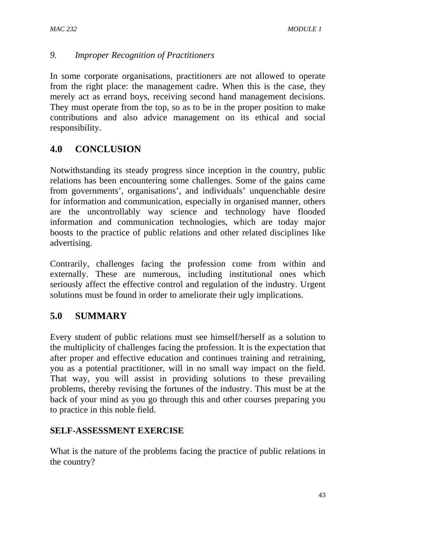#### *9. Improper Recognition of Practitioners*

In some corporate organisations, practitioners are not allowed to operate from the right place: the management cadre. When this is the case, they merely act as errand boys, receiving second hand management decisions. They must operate from the top, so as to be in the proper position to make contributions and also advice management on its ethical and social responsibility.

## **4.0 CONCLUSION**

Notwithstanding its steady progress since inception in the country, public relations has been encountering some challenges. Some of the gains came from governments', organisations', and individuals' unquenchable desire for information and communication, especially in organised manner, others are the uncontrollably way science and technology have flooded information and communication technologies, which are today major boosts to the practice of public relations and other related disciplines like advertising.

Contrarily, challenges facing the profession come from within and externally. These are numerous, including institutional ones which seriously affect the effective control and regulation of the industry. Urgent solutions must be found in order to ameliorate their ugly implications.

# **5.0 SUMMARY**

Every student of public relations must see himself/herself as a solution to the multiplicity of challenges facing the profession. It is the expectation that after proper and effective education and continues training and retraining, you as a potential practitioner, will in no small way impact on the field. That way, you will assist in providing solutions to these prevailing problems, thereby revising the fortunes of the industry. This must be at the back of your mind as you go through this and other courses preparing you to practice in this noble field.

#### **SELF-ASSESSMENT EXERCISE**

What is the nature of the problems facing the practice of public relations in the country?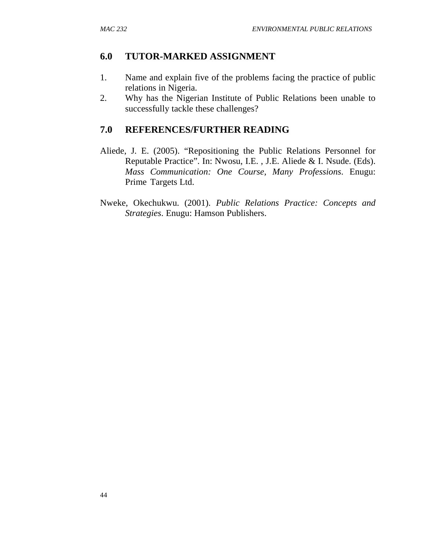### **6.0 TUTOR-MARKED ASSIGNMENT**

- 1. Name and explain five of the problems facing the practice of public relations in Nigeria.
- 2. Why has the Nigerian Institute of Public Relations been unable to successfully tackle these challenges?

### **7.0 REFERENCES/FURTHER READING**

- Aliede, J. E. (2005). "Repositioning the Public Relations Personnel for Reputable Practice". In: Nwosu, I.E. , J.E. Aliede & I. Nsude. (Eds). *Mass Communication: One Course, Many Professions*. Enugu: Prime Targets Ltd.
- Nweke, Okechukwu. (2001). *Public Relations Practice: Concepts and Strategies*. Enugu: Hamson Publishers.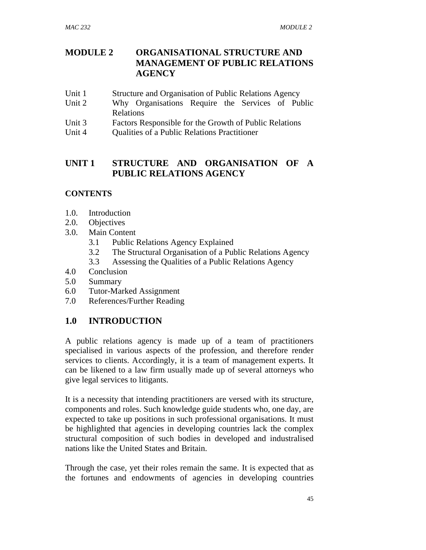### **MODULE 2 ORGANISATIONAL STRUCTURE AND MANAGEMENT OF PUBLIC RELATIONS AGENCY**

- Unit 1 Structure and Organisation of Public Relations Agency
- Unit 2 Why Organisations Require the Services of Public Relations
- Unit 3 Factors Responsible for the Growth of Public Relations
- Unit 4 Qualities of a Public Relations Practitioner

## **UNIT 1 STRUCTURE AND ORGANISATION OF A PUBLIC RELATIONS AGENCY**

#### **CONTENTS**

- 1.0. Introduction
- 2.0. Objectives
- 3.0. Main Content
	- 3.1 Public Relations Agency Explained
	- 3.2 The Structural Organisation of a Public Relations Agency
	- 3.3 Assessing the Qualities of a Public Relations Agency
- 4.0 Conclusion
- 5.0 Summary
- 6.0 Tutor-Marked Assignment
- 7.0 References/Further Reading

## **1.0 INTRODUCTION**

A public relations agency is made up of a team of practitioners specialised in various aspects of the profession, and therefore render services to clients. Accordingly, it is a team of management experts. It can be likened to a law firm usually made up of several attorneys who give legal services to litigants.

It is a necessity that intending practitioners are versed with its structure, components and roles. Such knowledge guide students who, one day, are expected to take up positions in such professional organisations. It must be highlighted that agencies in developing countries lack the complex structural composition of such bodies in developed and industralised nations like the United States and Britain.

Through the case, yet their roles remain the same. It is expected that as the fortunes and endowments of agencies in developing countries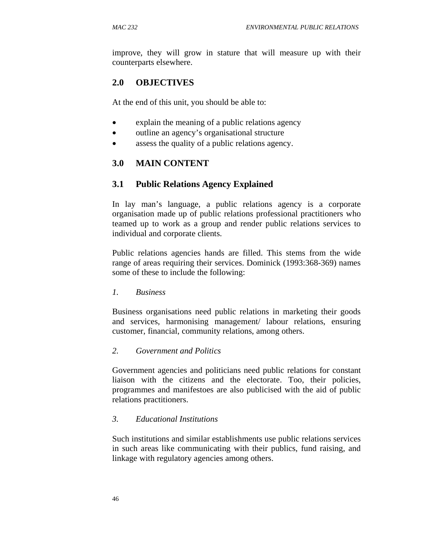improve, they will grow in stature that will measure up with their counterparts elsewhere.

### **2.0 OBJECTIVES**

At the end of this unit, you should be able to:

- explain the meaning of a public relations agency
- outline an agency's organisational structure
- assess the quality of a public relations agency.

#### **3.0 MAIN CONTENT**

#### **3.1 Public Relations Agency Explained**

In lay man's language, a public relations agency is a corporate organisation made up of public relations professional practitioners who teamed up to work as a group and render public relations services to individual and corporate clients.

Public relations agencies hands are filled. This stems from the wide range of areas requiring their services. Dominick (1993:368-369) names some of these to include the following:

#### *1. Business*

Business organisations need public relations in marketing their goods and services, harmonising management/ labour relations, ensuring customer, financial, community relations, among others.

#### *2. Government and Politics*

Government agencies and politicians need public relations for constant liaison with the citizens and the electorate. Too, their policies, programmes and manifestoes are also publicised with the aid of public relations practitioners.

#### *3. Educational Institutions*

Such institutions and similar establishments use public relations services in such areas like communicating with their publics, fund raising, and linkage with regulatory agencies among others.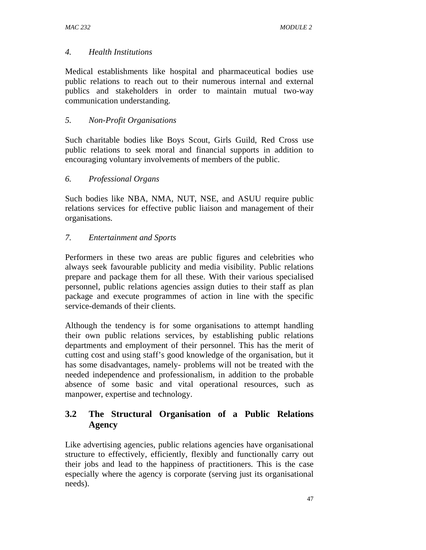#### *4. Health Institutions*

Medical establishments like hospital and pharmaceutical bodies use public relations to reach out to their numerous internal and external publics and stakeholders in order to maintain mutual two-way communication understanding.

#### *5. Non-Profit Organisations*

Such charitable bodies like Boys Scout, Girls Guild, Red Cross use public relations to seek moral and financial supports in addition to encouraging voluntary involvements of members of the public.

#### *6. Professional Organs*

Such bodies like NBA, NMA, NUT, NSE, and ASUU require public relations services for effective public liaison and management of their organisations.

#### *7. Entertainment and Sports*

Performers in these two areas are public figures and celebrities who always seek favourable publicity and media visibility. Public relations prepare and package them for all these. With their various specialised personnel, public relations agencies assign duties to their staff as plan package and execute programmes of action in line with the specific service-demands of their clients.

Although the tendency is for some organisations to attempt handling their own public relations services, by establishing public relations departments and employment of their personnel. This has the merit of cutting cost and using staff's good knowledge of the organisation, but it has some disadvantages, namely- problems will not be treated with the needed independence and professionalism, in addition to the probable absence of some basic and vital operational resources, such as manpower, expertise and technology.

### **3.2 The Structural Organisation of a Public Relations Agency**

Like advertising agencies, public relations agencies have organisational structure to effectively, efficiently, flexibly and functionally carry out their jobs and lead to the happiness of practitioners. This is the case especially where the agency is corporate (serving just its organisational needs).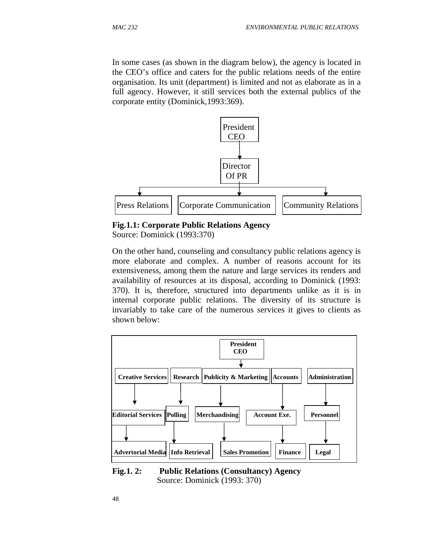In some cases (as shown in the diagram below), the agency is located in the CEO's office and caters for the public relations needs of the entire organisation. Its unit (department) is limited and not as elaborate as in a full agency. However, it still services both the external publics of the corporate entity (Dominick,1993:369).



**Fig.1.1: Corporate Public Relations Agency**

Source: Dominick (1993:370)

On the other hand, counseling and consultancy public relations agency is more elaborate and complex. A number of reasons account for its extensiveness, among them the nature and large services its renders and availability of resources at its disposal, according to Dominick (1993: 370). It is, therefore, structured into departments unlike as it is in internal corporate public relations. The diversity of its structure is invariably to take care of the numerous services it gives to clients as shown below:



**Fig.1. 2: Public Relations (Consultancy) Agency**  Source: Dominick (1993: 370)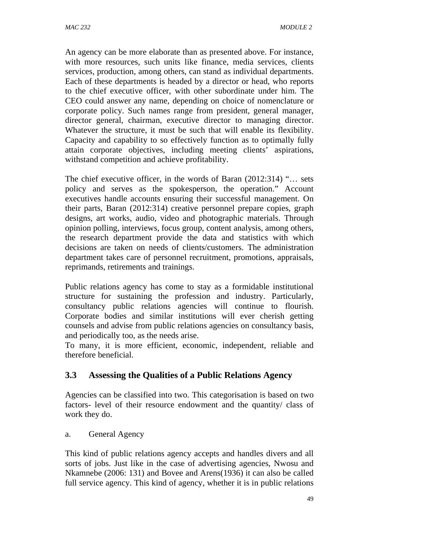An agency can be more elaborate than as presented above. For instance, with more resources, such units like finance, media services, clients services, production, among others, can stand as individual departments. Each of these departments is headed by a director or head, who reports to the chief executive officer, with other subordinate under him. The CEO could answer any name, depending on choice of nomenclature or corporate policy. Such names range from president, general manager, director general, chairman, executive director to managing director. Whatever the structure, it must be such that will enable its flexibility. Capacity and capability to so effectively function as to optimally fully attain corporate objectives, including meeting clients' aspirations, withstand competition and achieve profitability.

The chief executive officer, in the words of Baran (2012:314) "… sets policy and serves as the spokesperson, the operation." Account executives handle accounts ensuring their successful management. On their parts, Baran (2012:314) creative personnel prepare copies, graph designs, art works, audio, video and photographic materials. Through opinion polling, interviews, focus group, content analysis, among others, the research department provide the data and statistics with which decisions are taken on needs of clients/customers. The administration department takes care of personnel recruitment, promotions, appraisals, reprimands, retirements and trainings.

Public relations agency has come to stay as a formidable institutional structure for sustaining the profession and industry. Particularly, consultancy public relations agencies will continue to flourish. Corporate bodies and similar institutions will ever cherish getting counsels and advise from public relations agencies on consultancy basis, and periodically too, as the needs arise.

To many, it is more efficient, economic, independent, reliable and therefore beneficial.

## **3.3 Assessing the Qualities of a Public Relations Agency**

Agencies can be classified into two. This categorisation is based on two factors- level of their resource endowment and the quantity/ class of work they do.

a. General Agency

This kind of public relations agency accepts and handles divers and all sorts of jobs. Just like in the case of advertising agencies, Nwosu and Nkamnebe (2006: 131) and Bovee and Arens(1936) it can also be called full service agency. This kind of agency, whether it is in public relations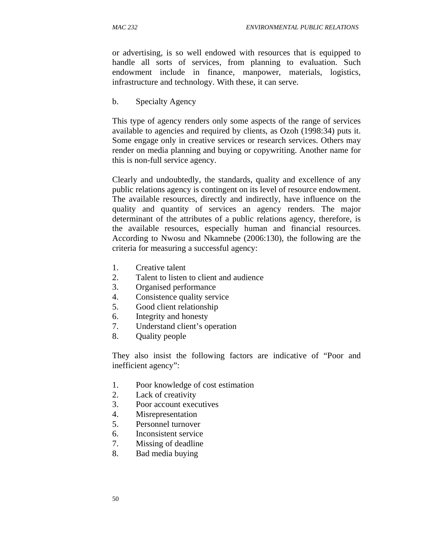or advertising, is so well endowed with resources that is equipped to handle all sorts of services, from planning to evaluation. Such endowment include in finance, manpower, materials, logistics, infrastructure and technology. With these, it can serve.

b. Specialty Agency

This type of agency renders only some aspects of the range of services available to agencies and required by clients, as Ozoh (1998:34) puts it. Some engage only in creative services or research services. Others may render on media planning and buying or copywriting. Another name for this is non-full service agency.

Clearly and undoubtedly, the standards, quality and excellence of any public relations agency is contingent on its level of resource endowment. The available resources, directly and indirectly, have influence on the quality and quantity of services an agency renders. The major determinant of the attributes of a public relations agency, therefore, is the available resources, especially human and financial resources. According to Nwosu and Nkamnebe (2006:130), the following are the criteria for measuring a successful agency:

- 1. Creative talent
- 2. Talent to listen to client and audience
- 3. Organised performance
- 4. Consistence quality service
- 5. Good client relationship
- 6. Integrity and honesty
- 7. Understand client's operation
- 8. Quality people

They also insist the following factors are indicative of "Poor and inefficient agency":

- 1. Poor knowledge of cost estimation
- 2. Lack of creativity
- 3. Poor account executives
- 4. Misrepresentation
- 5. Personnel turnover
- 6. Inconsistent service
- 7. Missing of deadline
- 8. Bad media buying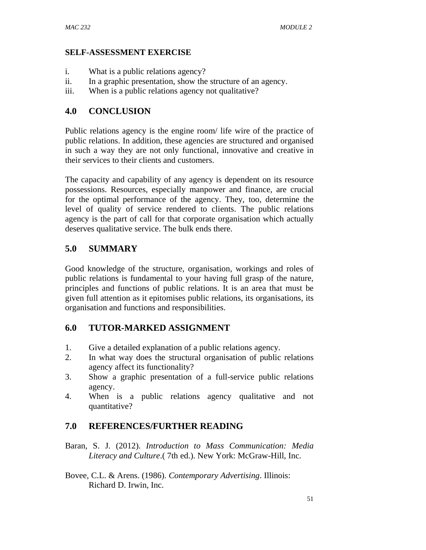#### **SELF-ASSESSMENT EXERCISE**

- i. What is a public relations agency?
- ii. In a graphic presentation, show the structure of an agency.
- iii. When is a public relations agency not qualitative?

#### **4.0 CONCLUSION**

Public relations agency is the engine room/ life wire of the practice of public relations. In addition, these agencies are structured and organised in such a way they are not only functional, innovative and creative in their services to their clients and customers.

The capacity and capability of any agency is dependent on its resource possessions. Resources, especially manpower and finance, are crucial for the optimal performance of the agency. They, too, determine the level of quality of service rendered to clients. The public relations agency is the part of call for that corporate organisation which actually deserves qualitative service. The bulk ends there.

### **5.0 SUMMARY**

Good knowledge of the structure, organisation, workings and roles of public relations is fundamental to your having full grasp of the nature, principles and functions of public relations. It is an area that must be given full attention as it epitomises public relations, its organisations, its organisation and functions and responsibilities.

#### **6.0 TUTOR-MARKED ASSIGNMENT**

- 1. Give a detailed explanation of a public relations agency.
- 2. In what way does the structural organisation of public relations agency affect its functionality?
- 3. Show a graphic presentation of a full-service public relations agency.
- 4. When is a public relations agency qualitative and not quantitative?

#### **7.0 REFERENCES/FURTHER READING**

- Baran, S. J. (2012). *Introduction to Mass Communication: Media Literacy and Culture*.( 7th ed.). New York: McGraw-Hill, Inc.
- Bovee, C.L. & Arens. (1986). *Contemporary Advertising*. Illinois: Richard D. Irwin, Inc.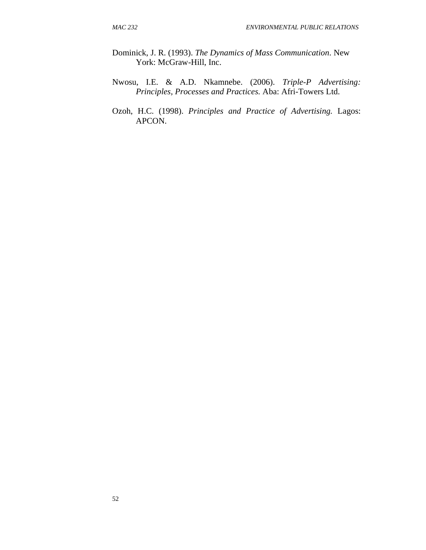- Dominick, J. R. (1993). *The Dynamics of Mass Communication*. New York: McGraw-Hill, Inc.
- Nwosu, I.E. & A.D. Nkamnebe. (2006). *Triple-P Advertising: Principles, Processes and Practices.* Aba: Afri-Towers Ltd.
- Ozoh, H.C. (1998). *Principles and Practice of Advertising.* Lagos: APCON.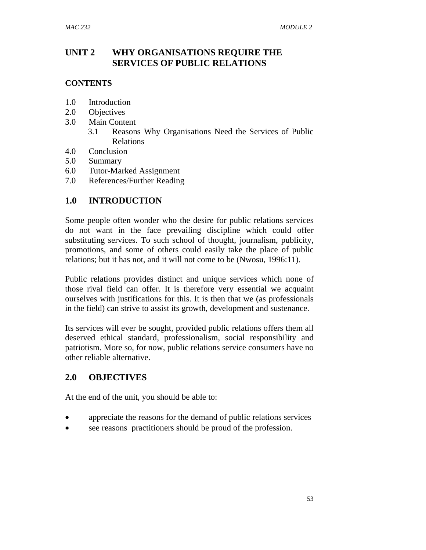### **UNIT 2 WHY ORGANISATIONS REQUIRE THE SERVICES OF PUBLIC RELATIONS**

#### **CONTENTS**

- 1.0 Introduction
- 2.0 Objectives
- 3.0 Main Content
	- 3.1 Reasons Why Organisations Need the Services of Public Relations
- 4.0 Conclusion
- 5.0 Summary
- 6.0 Tutor-Marked Assignment
- 7.0 References/Further Reading

### **1.0 INTRODUCTION**

Some people often wonder who the desire for public relations services do not want in the face prevailing discipline which could offer substituting services. To such school of thought, journalism, publicity, promotions, and some of others could easily take the place of public relations; but it has not, and it will not come to be (Nwosu, 1996:11).

Public relations provides distinct and unique services which none of those rival field can offer. It is therefore very essential we acquaint ourselves with justifications for this. It is then that we (as professionals in the field) can strive to assist its growth, development and sustenance.

Its services will ever be sought, provided public relations offers them all deserved ethical standard, professionalism, social responsibility and patriotism. More so, for now, public relations service consumers have no other reliable alternative.

#### **2.0 OBJECTIVES**

At the end of the unit, you should be able to:

- appreciate the reasons for the demand of public relations services
- see reasons practitioners should be proud of the profession.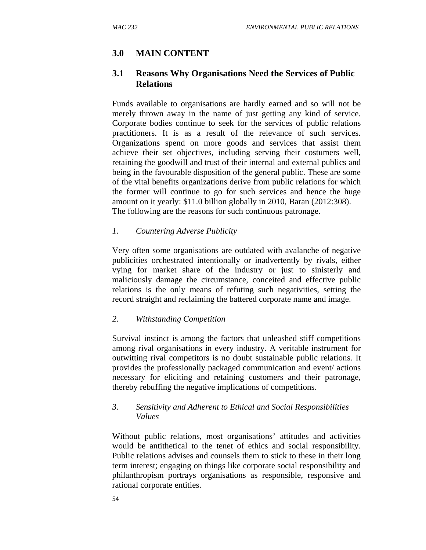# **3.0 MAIN CONTENT**

### **3.1 Reasons Why Organisations Need the Services of Public Relations**

Funds available to organisations are hardly earned and so will not be merely thrown away in the name of just getting any kind of service. Corporate bodies continue to seek for the services of public relations practitioners. It is as a result of the relevance of such services. Organizations spend on more goods and services that assist them achieve their set objectives, including serving their costumers well, retaining the goodwill and trust of their internal and external publics and being in the favourable disposition of the general public. These are some of the vital benefits organizations derive from public relations for which the former will continue to go for such services and hence the huge amount on it yearly: \$11.0 billion globally in 2010, Baran (2012:308). The following are the reasons for such continuous patronage.

#### *1. Countering Adverse Publicity*

Very often some organisations are outdated with avalanche of negative publicities orchestrated intentionally or inadvertently by rivals, either vying for market share of the industry or just to sinisterly and maliciously damage the circumstance, conceited and effective public relations is the only means of refuting such negativities, setting the record straight and reclaiming the battered corporate name and image.

#### *2. Withstanding Competition*

Survival instinct is among the factors that unleashed stiff competitions among rival organisations in every industry. A veritable instrument for outwitting rival competitors is no doubt sustainable public relations. It provides the professionally packaged communication and event/ actions necessary for eliciting and retaining customers and their patronage, thereby rebuffing the negative implications of competitions.

#### *3. Sensitivity and Adherent to Ethical and Social Responsibilities Values*

Without public relations, most organisations' attitudes and activities would be antithetical to the tenet of ethics and social responsibility. Public relations advises and counsels them to stick to these in their long term interest; engaging on things like corporate social responsibility and philanthropism portrays organisations as responsible, responsive and rational corporate entities.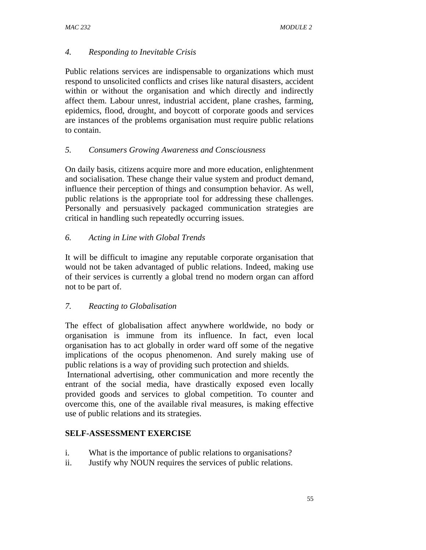### *4. Responding to Inevitable Crisis*

Public relations services are indispensable to organizations which must respond to unsolicited conflicts and crises like natural disasters, accident within or without the organisation and which directly and indirectly affect them. Labour unrest, industrial accident, plane crashes, farming, epidemics, flood, drought, and boycott of corporate goods and services are instances of the problems organisation must require public relations to contain.

#### *5. Consumers Growing Awareness and Consciousness*

On daily basis, citizens acquire more and more education, enlightenment and socialisation. These change their value system and product demand, influence their perception of things and consumption behavior. As well, public relations is the appropriate tool for addressing these challenges. Personally and persuasively packaged communication strategies are critical in handling such repeatedly occurring issues.

### *6. Acting in Line with Global Trends*

It will be difficult to imagine any reputable corporate organisation that would not be taken advantaged of public relations. Indeed, making use of their services is currently a global trend no modern organ can afford not to be part of.

## *7. Reacting to Globalisation*

The effect of globalisation affect anywhere worldwide, no body or organisation is immune from its influence. In fact, even local organisation has to act globally in order ward off some of the negative implications of the ocopus phenomenon. And surely making use of public relations is a way of providing such protection and shields.

 International advertising, other communication and more recently the entrant of the social media, have drastically exposed even locally provided goods and services to global competition. To counter and overcome this, one of the available rival measures, is making effective use of public relations and its strategies.

## **SELF-ASSESSMENT EXERCISE**

- i. What is the importance of public relations to organisations?
- ii. Justify why NOUN requires the services of public relations.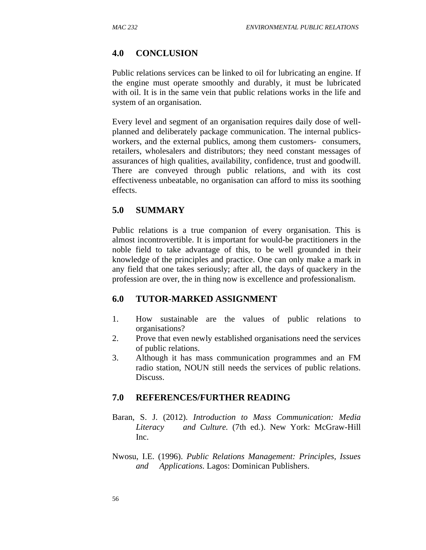#### **4.0 CONCLUSION**

Public relations services can be linked to oil for lubricating an engine. If the engine must operate smoothly and durably, it must be lubricated with oil. It is in the same vein that public relations works in the life and system of an organisation.

Every level and segment of an organisation requires daily dose of wellplanned and deliberately package communication. The internal publicsworkers, and the external publics, among them customers- consumers, retailers, wholesalers and distributors; they need constant messages of assurances of high qualities, availability, confidence, trust and goodwill. There are conveyed through public relations, and with its cost effectiveness unbeatable, no organisation can afford to miss its soothing effects.

#### **5.0 SUMMARY**

Public relations is a true companion of every organisation. This is almost incontrovertible. It is important for would-be practitioners in the noble field to take advantage of this, to be well grounded in their knowledge of the principles and practice. One can only make a mark in any field that one takes seriously; after all, the days of quackery in the profession are over, the in thing now is excellence and professionalism.

#### **6.0 TUTOR-MARKED ASSIGNMENT**

- 1. How sustainable are the values of public relations to organisations?
- 2. Prove that even newly established organisations need the services of public relations.
- 3. Although it has mass communication programmes and an FM radio station, NOUN still needs the services of public relations. Discuss.

#### **7.0 REFERENCES/FURTHER READING**

- Baran, S. J. (2012). *Introduction to Mass Communication: Media Literacy and Culture.* (7th ed.). New York: McGraw-Hill Inc.
- Nwosu, I.E. (1996). *Public Relations Management: Principles, Issues and Applications*. Lagos: Dominican Publishers.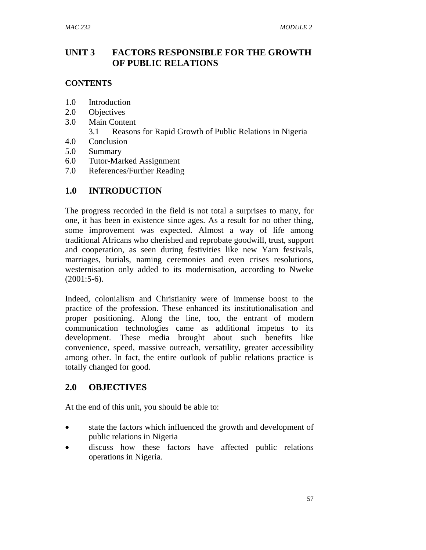### **UNIT 3 FACTORS RESPONSIBLE FOR THE GROWTH OF PUBLIC RELATIONS**

#### **CONTENTS**

- 1.0 Introduction
- 2.0 Objectives
- 3.0 Main Content
	- 3.1 Reasons for Rapid Growth of Public Relations in Nigeria
- 4.0 Conclusion
- 5.0 Summary
- 6.0 Tutor-Marked Assignment
- 7.0 References/Further Reading

## **1.0 INTRODUCTION**

The progress recorded in the field is not total a surprises to many, for one, it has been in existence since ages. As a result for no other thing, some improvement was expected. Almost a way of life among traditional Africans who cherished and reprobate goodwill, trust, support and cooperation, as seen during festivities like new Yam festivals, marriages, burials, naming ceremonies and even crises resolutions, westernisation only added to its modernisation, according to Nweke  $(2001:5-6)$ .

Indeed, colonialism and Christianity were of immense boost to the practice of the profession. These enhanced its institutionalisation and proper positioning. Along the line, too, the entrant of modern communication technologies came as additional impetus to its development. These media brought about such benefits like convenience, speed, massive outreach, versatility, greater accessibility among other. In fact, the entire outlook of public relations practice is totally changed for good.

## **2.0 OBJECTIVES**

At the end of this unit, you should be able to:

- state the factors which influenced the growth and development of public relations in Nigeria
- discuss how these factors have affected public relations operations in Nigeria.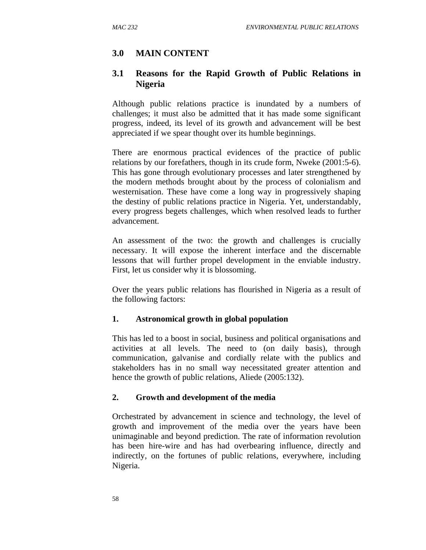#### **3.0 MAIN CONTENT**

#### **3.1 Reasons for the Rapid Growth of Public Relations in Nigeria**

Although public relations practice is inundated by a numbers of challenges; it must also be admitted that it has made some significant progress, indeed, its level of its growth and advancement will be best appreciated if we spear thought over its humble beginnings.

There are enormous practical evidences of the practice of public relations by our forefathers, though in its crude form, Nweke (2001:5-6). This has gone through evolutionary processes and later strengthened by the modern methods brought about by the process of colonialism and westernisation. These have come a long way in progressively shaping the destiny of public relations practice in Nigeria. Yet, understandably, every progress begets challenges, which when resolved leads to further advancement.

An assessment of the two: the growth and challenges is crucially necessary. It will expose the inherent interface and the discernable lessons that will further propel development in the enviable industry. First, let us consider why it is blossoming.

Over the years public relations has flourished in Nigeria as a result of the following factors:

#### **1. Astronomical growth in global population**

This has led to a boost in social, business and political organisations and activities at all levels. The need to (on daily basis), through communication, galvanise and cordially relate with the publics and stakeholders has in no small way necessitated greater attention and hence the growth of public relations, Aliede (2005:132).

#### **2. Growth and development of the media**

Orchestrated by advancement in science and technology, the level of growth and improvement of the media over the years have been unimaginable and beyond prediction. The rate of information revolution has been hire-wire and has had overbearing influence, directly and indirectly, on the fortunes of public relations, everywhere, including Nigeria.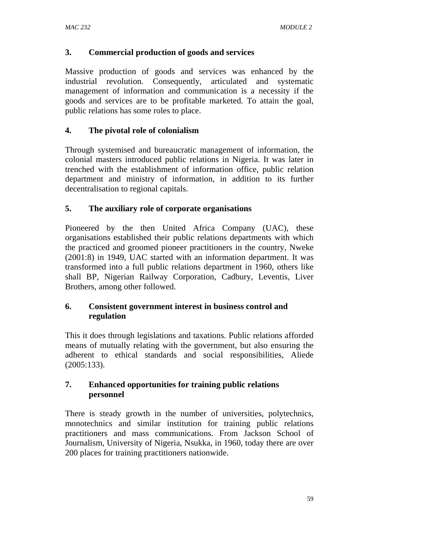### **3. Commercial production of goods and services**

Massive production of goods and services was enhanced by the industrial revolution. Consequently, articulated and systematic management of information and communication is a necessity if the goods and services are to be profitable marketed. To attain the goal, public relations has some roles to place.

### **4. The pivotal role of colonialism**

Through systemised and bureaucratic management of information, the colonial masters introduced public relations in Nigeria. It was later in trenched with the establishment of information office, public relation department and ministry of information, in addition to its further decentralisation to regional capitals.

### **5. The auxiliary role of corporate organisations**

Pioneered by the then United Africa Company (UAC), these organisations established their public relations departments with which the practiced and groomed pioneer practitioners in the country, Nweke (2001:8) in 1949, UAC started with an information department. It was transformed into a full public relations department in 1960, others like shall BP, Nigerian Railway Corporation, Cadbury, Leventis, Liver Brothers, among other followed.

### **6. Consistent government interest in business control and regulation**

This it does through legislations and taxations. Public relations afforded means of mutually relating with the government, but also ensuring the adherent to ethical standards and social responsibilities, Aliede (2005:133).

### **7. Enhanced opportunities for training public relations personnel**

There is steady growth in the number of universities, polytechnics, monotechnics and similar institution for training public relations practitioners and mass communications. From Jackson School of Journalism, University of Nigeria, Nsukka, in 1960, today there are over 200 places for training practitioners nationwide.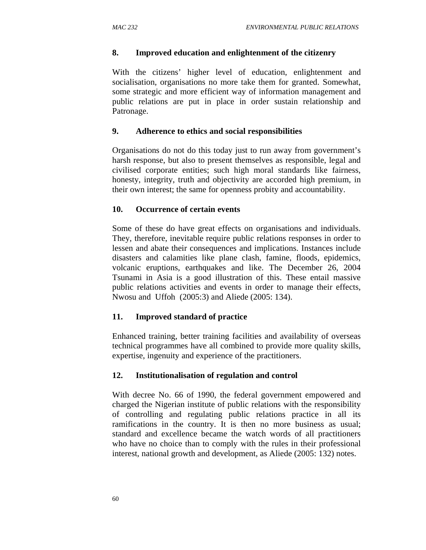### **8. Improved education and enlightenment of the citizenry**

With the citizens' higher level of education, enlightenment and socialisation, organisations no more take them for granted. Somewhat, some strategic and more efficient way of information management and public relations are put in place in order sustain relationship and Patronage.

### **9. Adherence to ethics and social responsibilities**

Organisations do not do this today just to run away from government's harsh response, but also to present themselves as responsible, legal and civilised corporate entities; such high moral standards like fairness, honesty, integrity, truth and objectivity are accorded high premium, in their own interest; the same for openness probity and accountability.

### **10. Occurrence of certain events**

Some of these do have great effects on organisations and individuals. They, therefore, inevitable require public relations responses in order to lessen and abate their consequences and implications. Instances include disasters and calamities like plane clash, famine, floods, epidemics, volcanic eruptions, earthquakes and like. The December 26, 2004 Tsunami in Asia is a good illustration of this. These entail massive public relations activities and events in order to manage their effects, Nwosu and Uffoh (2005:3) and Aliede (2005: 134).

### **11. Improved standard of practice**

Enhanced training, better training facilities and availability of overseas technical programmes have all combined to provide more quality skills, expertise, ingenuity and experience of the practitioners.

### **12. Institutionalisation of regulation and control**

With decree No. 66 of 1990, the federal government empowered and charged the Nigerian institute of public relations with the responsibility of controlling and regulating public relations practice in all its ramifications in the country. It is then no more business as usual; standard and excellence became the watch words of all practitioners who have no choice than to comply with the rules in their professional interest, national growth and development, as Aliede (2005: 132) notes.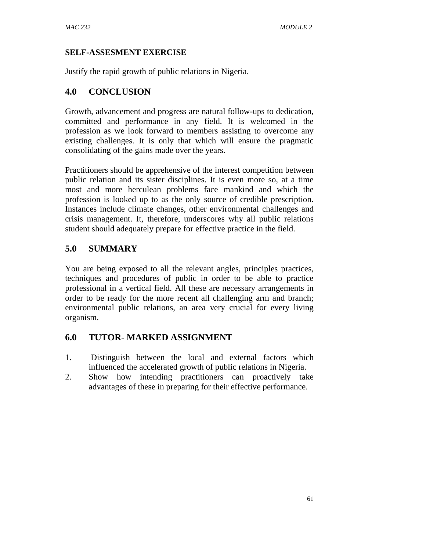### **SELF-ASSESMENT EXERCISE**

Justify the rapid growth of public relations in Nigeria.

## **4.0 CONCLUSION**

Growth, advancement and progress are natural follow-ups to dedication, committed and performance in any field. It is welcomed in the profession as we look forward to members assisting to overcome any existing challenges. It is only that which will ensure the pragmatic consolidating of the gains made over the years.

Practitioners should be apprehensive of the interest competition between public relation and its sister disciplines. It is even more so, at a time most and more herculean problems face mankind and which the profession is looked up to as the only source of credible prescription. Instances include climate changes, other environmental challenges and crisis management. It, therefore, underscores why all public relations student should adequately prepare for effective practice in the field.

## **5.0 SUMMARY**

You are being exposed to all the relevant angles, principles practices, techniques and procedures of public in order to be able to practice professional in a vertical field. All these are necessary arrangements in order to be ready for the more recent all challenging arm and branch; environmental public relations, an area very crucial for every living organism.

### **6.0 TUTOR- MARKED ASSIGNMENT**

- 1. Distinguish between the local and external factors which influenced the accelerated growth of public relations in Nigeria.
- 2. Show how intending practitioners can proactively take advantages of these in preparing for their effective performance.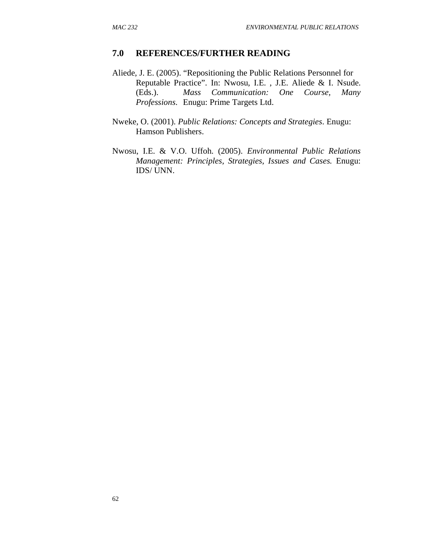#### **7.0 REFERENCES/FURTHER READING**

- Aliede, J. E. (2005). "Repositioning the Public Relations Personnel for Reputable Practice". In: Nwosu, I.E. , J.E. Aliede & I. Nsude. (Eds.). *Mass Communication: One Course, Many Professions*. Enugu: Prime Targets Ltd.
- Nweke, O. (2001). *Public Relations: Concepts and Strategies*. Enugu: Hamson Publishers.
- Nwosu, I.E. & V.O. Uffoh. (2005). *Environmental Public Relations Management: Principles, Strategies, Issues and Cases.* Enugu: IDS/ UNN.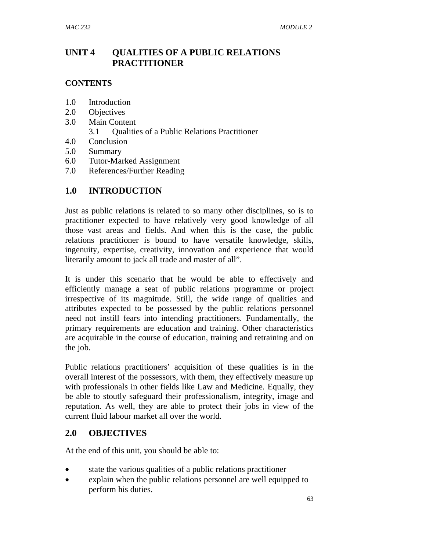## **UNIT 4 QUALITIES OF A PUBLIC RELATIONS PRACTITIONER**

### **CONTENTS**

- 1.0 Introduction
- 2.0 Objectives
- 3.0 Main Content
	- 3.1 Qualities of a Public Relations Practitioner
- 4.0 Conclusion
- 5.0 Summary
- 6.0 Tutor-Marked Assignment
- 7.0 References/Further Reading

## **1.0 INTRODUCTION**

Just as public relations is related to so many other disciplines, so is to practitioner expected to have relatively very good knowledge of all those vast areas and fields. And when this is the case, the public relations practitioner is bound to have versatile knowledge, skills, ingenuity, expertise, creativity, innovation and experience that would literarily amount to jack all trade and master of all".

It is under this scenario that he would be able to effectively and efficiently manage a seat of public relations programme or project irrespective of its magnitude. Still, the wide range of qualities and attributes expected to be possessed by the public relations personnel need not instill fears into intending practitioners. Fundamentally, the primary requirements are education and training. Other characteristics are acquirable in the course of education, training and retraining and on the job.

Public relations practitioners' acquisition of these qualities is in the overall interest of the possessors, with them, they effectively measure up with professionals in other fields like Law and Medicine. Equally, they be able to stoutly safeguard their professionalism, integrity, image and reputation. As well, they are able to protect their jobs in view of the current fluid labour market all over the world.

### **2.0 OBJECTIVES**

At the end of this unit, you should be able to:

- state the various qualities of a public relations practitioner
- explain when the public relations personnel are well equipped to perform his duties.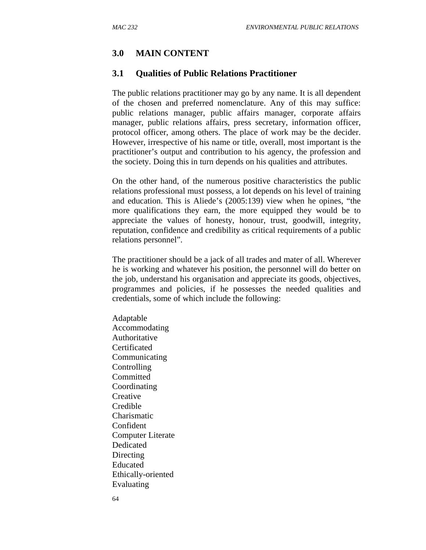### **3.0 MAIN CONTENT**

### **3.1 Qualities of Public Relations Practitioner**

The public relations practitioner may go by any name. It is all dependent of the chosen and preferred nomenclature. Any of this may suffice: public relations manager, public affairs manager, corporate affairs manager, public relations affairs, press secretary, information officer, protocol officer, among others. The place of work may be the decider. However, irrespective of his name or title, overall, most important is the practitioner's output and contribution to his agency, the profession and the society. Doing this in turn depends on his qualities and attributes.

On the other hand, of the numerous positive characteristics the public relations professional must possess, a lot depends on his level of training and education. This is Aliede's (2005:139) view when he opines, "the more qualifications they earn, the more equipped they would be to appreciate the values of honesty, honour, trust, goodwill, integrity, reputation, confidence and credibility as critical requirements of a public relations personnel".

The practitioner should be a jack of all trades and mater of all. Wherever he is working and whatever his position, the personnel will do better on the job, understand his organisation and appreciate its goods, objectives, programmes and policies, if he possesses the needed qualities and credentials, some of which include the following:

Adaptable Accommodating Authoritative Certificated Communicating **Controlling Committed** Coordinating **Creative** Credible Charismatic Confident Computer Literate Dedicated Directing Educated Ethically-oriented Evaluating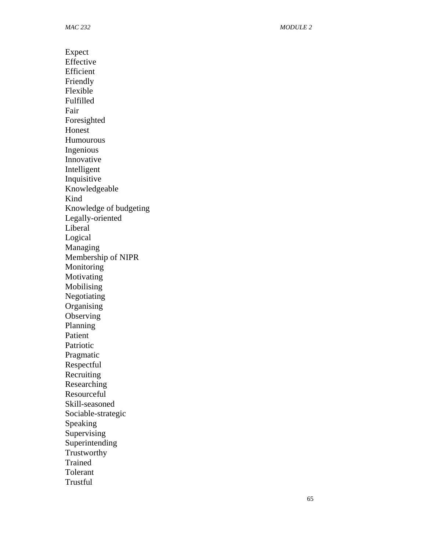Expect Effective Efficient Friendly Flexible Fulfilled Fair Foresighted Honest Humourous Ingenious Innovative Intelligent Inquisitive Knowledgeable Kind Knowledge of budgeting Legally-oriented Liberal Logical Managing Membership of NIPR **Monitoring Motivating** Mobilising Negotiating **Organising Observing** Planning Patient Patriotic Pragmatic Respectful **Recruiting** Researching Resourceful Skill-seasoned Sociable-strategic Speaking **Supervising** Superintending Trustworthy Trained Tolerant **Trustful**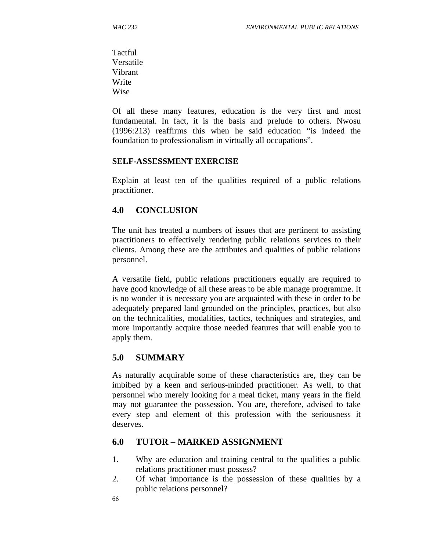**Tactful** Versatile Vibrant Write Wise

Of all these many features, education is the very first and most fundamental. In fact, it is the basis and prelude to others. Nwosu (1996:213) reaffirms this when he said education "is indeed the foundation to professionalism in virtually all occupations".

#### **SELF-ASSESSMENT EXERCISE**

Explain at least ten of the qualities required of a public relations practitioner.

### **4.0 CONCLUSION**

The unit has treated a numbers of issues that are pertinent to assisting practitioners to effectively rendering public relations services to their clients. Among these are the attributes and qualities of public relations personnel.

A versatile field, public relations practitioners equally are required to have good knowledge of all these areas to be able manage programme. It is no wonder it is necessary you are acquainted with these in order to be adequately prepared land grounded on the principles, practices, but also on the technicalities, modalities, tactics, techniques and strategies, and more importantly acquire those needed features that will enable you to apply them.

### **5.0 SUMMARY**

As naturally acquirable some of these characteristics are, they can be imbibed by a keen and serious-minded practitioner. As well, to that personnel who merely looking for a meal ticket, many years in the field may not guarantee the possession. You are, therefore, advised to take every step and element of this profession with the seriousness it deserves.

### **6.0 TUTOR – MARKED ASSIGNMENT**

- 1. Why are education and training central to the qualities a public relations practitioner must possess?
- 2. Of what importance is the possession of these qualities by a public relations personnel?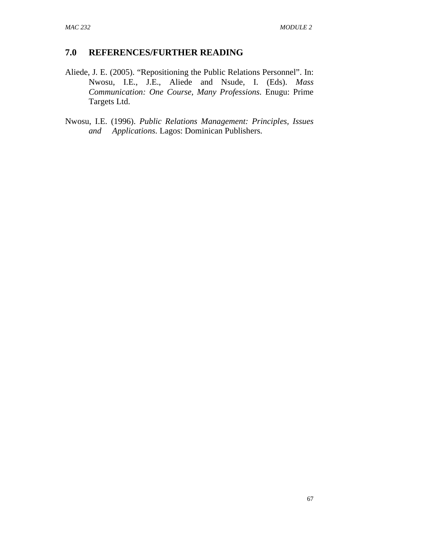### **7.0 REFERENCES/FURTHER READING**

- Aliede, J. E. (2005). "Repositioning the Public Relations Personnel". In: Nwosu, I.E., J.E., Aliede and Nsude, I. (Eds). *Mass Communication: One Course, Many Professions.* Enugu: Prime Targets Ltd.
- Nwosu, I.E. (1996). *Public Relations Management: Principles, Issues and Applications*. Lagos: Dominican Publishers.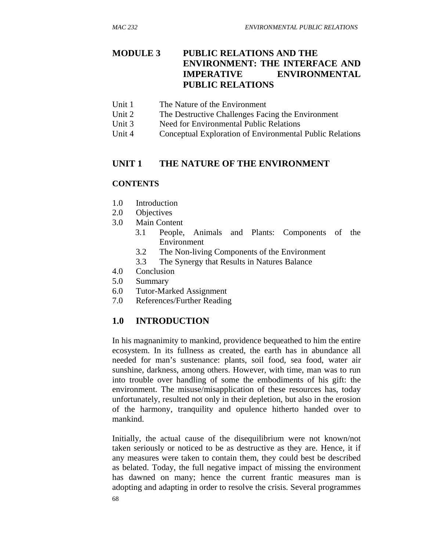## **MODULE 3 PUBLIC RELATIONS AND THE ENVIRONMENT: THE INTERFACE AND IMPERATIVE ENVIRONMENTAL PUBLIC RELATIONS**

- Unit 1 The Nature of the Environment
- Unit 2 The Destructive Challenges Facing the Environment
- Unit 3 Need for Environmental Public Relations
- Unit 4 Conceptual Exploration of Environmental Public Relations

### **UNIT 1 THE NATURE OF THE ENVIRONMENT**

### **CONTENTS**

- 1.0 Introduction
- 2.0 Objectives
- 3.0 Main Content
	- 3.1 People, Animals and Plants: Components of the Environment
	- 3.2 The Non-living Components of the Environment
	- 3.3 The Synergy that Results in Natures Balance
- 4.0 Conclusion
- 5.0 Summary
- 6.0 Tutor-Marked Assignment
- 7.0 References/Further Reading

### **1.0 INTRODUCTION**

In his magnanimity to mankind, providence bequeathed to him the entire ecosystem. In its fullness as created, the earth has in abundance all needed for man's sustenance: plants, soil food, sea food, water air sunshine, darkness, among others. However, with time, man was to run into trouble over handling of some the embodiments of his gift: the environment. The misuse/misapplication of these resources has, today unfortunately, resulted not only in their depletion, but also in the erosion of the harmony, tranquility and opulence hitherto handed over to mankind.

Initially, the actual cause of the disequilibrium were not known/not taken seriously or noticed to be as destructive as they are. Hence, it if any measures were taken to contain them, they could best be described as belated. Today, the full negative impact of missing the environment has dawned on many; hence the current frantic measures man is adopting and adapting in order to resolve the crisis. Several programmes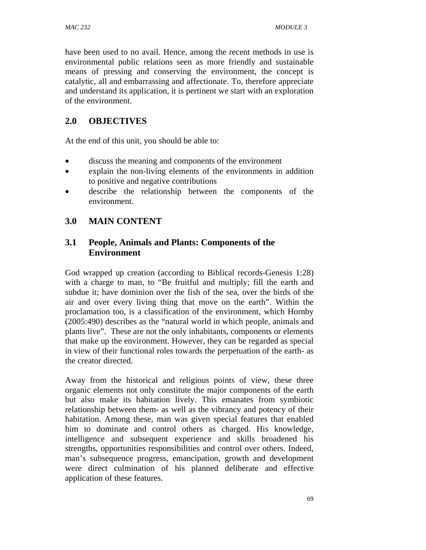have been used to no avail. Hence, among the recent methods in use is environmental public relations seen as more friendly and sustainable means of pressing and conserving the environment, the concept is catalytic, all and embarrassing and affectionate. To, therefore appreciate and understand its application, it is pertinent we start with an exploration of the environment.

# **2.0 OBJECTIVES**

At the end of this unit, you should be able to:

- discuss the meaning and components of the environment
- explain the non-living elements of the environments in addition to positive and negative contributions
- describe the relationship between the components of the environment.

## **3.0 MAIN CONTENT**

## **3.1 People, Animals and Plants: Components of the Environment**

God wrapped up creation (according to Biblical records-Genesis 1:28) with a charge to man, to "Be fruitful and multiply; fill the earth and subdue it; have dominion over the fish of the sea, over the birds of the air and over every living thing that move on the earth". Within the proclamation too, is a classification of the environment, which Hornby (2005:490) describes as the "natural world in which people, animals and plants live". These are not the only inhabitants, components or elements that make up the environment. However, they can be regarded as special in view of their functional roles towards the perpetuation of the earth- as the creator directed.

Away from the historical and religious points of view, these three organic elements not only constitute the major components of the earth but also make its habitation lively. This emanates from symbiotic relationship between them- as well as the vibrancy and potency of their habitation. Among these, man was given special features that enabled him to dominate and control others as charged. His knowledge, intelligence and subsequent experience and skills broadened his strengths, opportunities responsibilities and control over others. Indeed, man's subsequence progress, emancipation, growth and development were direct culmination of his planned deliberate and effective application of these features.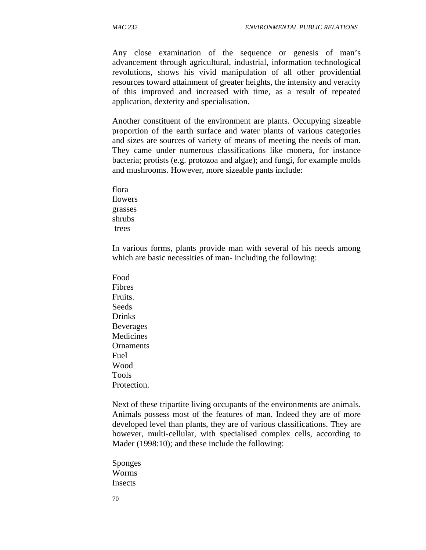Any close examination of the sequence or genesis of man's advancement through agricultural, industrial, information technological revolutions, shows his vivid manipulation of all other providential resources toward attainment of greater heights, the intensity and veracity of this improved and increased with time, as a result of repeated application, dexterity and specialisation.

Another constituent of the environment are plants. Occupying sizeable proportion of the earth surface and water plants of various categories and sizes are sources of variety of means of meeting the needs of man. They came under numerous classifications like monera, for instance bacteria; protists (e.g. protozoa and algae); and fungi, for example molds and mushrooms. However, more sizeable pants include:

flora flowers grasses shrubs trees

In various forms, plants provide man with several of his needs among which are basic necessities of man- including the following:

Food Fibres Fruits. **Seeds** Drinks Beverages **Medicines Ornaments** Fuel Wood Tools Protection.

Next of these tripartite living occupants of the environments are animals. Animals possess most of the features of man. Indeed they are of more developed level than plants, they are of various classifications. They are however, multi-cellular, with specialised complex cells, according to Mader (1998:10); and these include the following:

Sponges Worms **Insects** 

70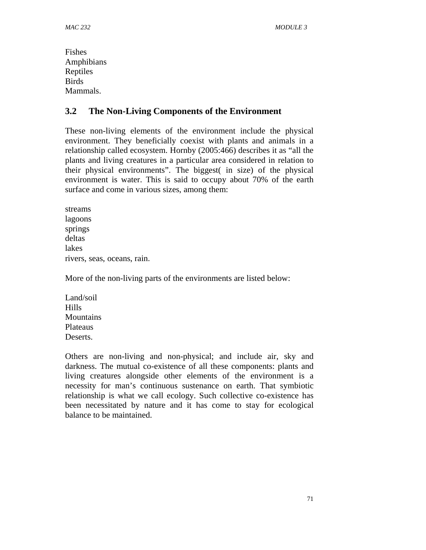Fishes Amphibians Reptiles **Birds** Mammals.

### **3.2 The Non-Living Components of the Environment**

These non-living elements of the environment include the physical environment. They beneficially coexist with plants and animals in a relationship called ecosystem. Hornby (2005:466) describes it as "all the plants and living creatures in a particular area considered in relation to their physical environments". The biggest( in size) of the physical environment is water. This is said to occupy about 70% of the earth surface and come in various sizes, among them:

streams lagoons springs deltas lakes rivers, seas, oceans, rain.

More of the non-living parts of the environments are listed below:

Land/soil Hills **Mountains** Plateaus Deserts.

Others are non-living and non-physical; and include air, sky and darkness. The mutual co-existence of all these components: plants and living creatures alongside other elements of the environment is a necessity for man's continuous sustenance on earth. That symbiotic relationship is what we call ecology. Such collective co-existence has been necessitated by nature and it has come to stay for ecological balance to be maintained.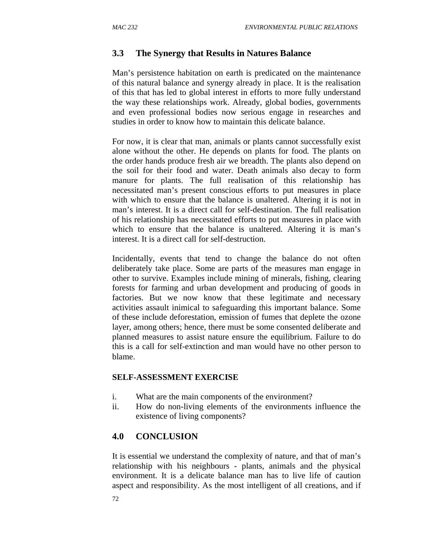## **3.3 The Synergy that Results in Natures Balance**

Man's persistence habitation on earth is predicated on the maintenance of this natural balance and synergy already in place. It is the realisation of this that has led to global interest in efforts to more fully understand the way these relationships work. Already, global bodies, governments and even professional bodies now serious engage in researches and studies in order to know how to maintain this delicate balance.

For now, it is clear that man, animals or plants cannot successfully exist alone without the other. He depends on plants for food. The plants on the order hands produce fresh air we breadth. The plants also depend on the soil for their food and water. Death animals also decay to form manure for plants. The full realisation of this relationship has necessitated man's present conscious efforts to put measures in place with which to ensure that the balance is unaltered. Altering it is not in man's interest. It is a direct call for self-destination. The full realisation of his relationship has necessitated efforts to put measures in place with which to ensure that the balance is unaltered. Altering it is man's interest. It is a direct call for self-destruction.

Incidentally, events that tend to change the balance do not often deliberately take place. Some are parts of the measures man engage in other to survive. Examples include mining of minerals, fishing, clearing forests for farming and urban development and producing of goods in factories. But we now know that these legitimate and necessary activities assault inimical to safeguarding this important balance. Some of these include deforestation, emission of fumes that deplete the ozone layer, among others; hence, there must be some consented deliberate and planned measures to assist nature ensure the equilibrium. Failure to do this is a call for self-extinction and man would have no other person to blame.

### **SELF-ASSESSMENT EXERCISE**

- i. What are the main components of the environment?
- ii. How do non-living elements of the environments influence the existence of living components?

### **4.0 CONCLUSION**

It is essential we understand the complexity of nature, and that of man's relationship with his neighbours - plants, animals and the physical environment. It is a delicate balance man has to live life of caution aspect and responsibility. As the most intelligent of all creations, and if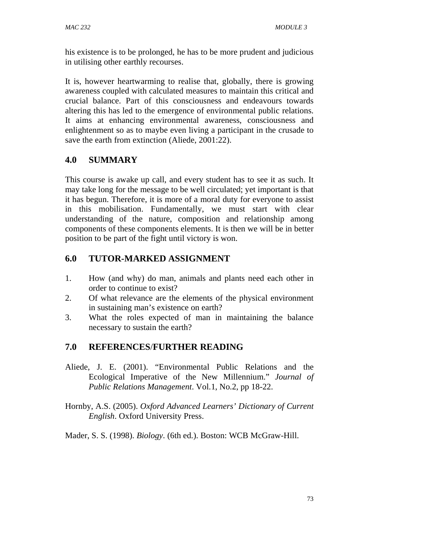his existence is to be prolonged, he has to be more prudent and judicious in utilising other earthly recourses.

It is, however heartwarming to realise that, globally, there is growing awareness coupled with calculated measures to maintain this critical and crucial balance. Part of this consciousness and endeavours towards altering this has led to the emergence of environmental public relations. It aims at enhancing environmental awareness, consciousness and enlightenment so as to maybe even living a participant in the crusade to save the earth from extinction (Aliede, 2001:22).

## **4.0 SUMMARY**

This course is awake up call, and every student has to see it as such. It may take long for the message to be well circulated; yet important is that it has begun. Therefore, it is more of a moral duty for everyone to assist in this mobilisation. Fundamentally, we must start with clear understanding of the nature, composition and relationship among components of these components elements. It is then we will be in better position to be part of the fight until victory is won.

## **6.0 TUTOR-MARKED ASSIGNMENT**

- 1. How (and why) do man, animals and plants need each other in order to continue to exist?
- 2. Of what relevance are the elements of the physical environment in sustaining man's existence on earth?
- 3. What the roles expected of man in maintaining the balance necessary to sustain the earth?

## **7.0 REFERENCES**/**FURTHER READING**

- Aliede, J. E. (2001). "Environmental Public Relations and the Ecological Imperative of the New Millennium." *Journal of Public Relations Management*. Vol.1, No.2, pp 18-22.
- Hornby, A.S. (2005). *Oxford Advanced Learners' Dictionary of Current English*. Oxford University Press.

Mader, S. S. (1998). *Biology*. (6th ed.). Boston: WCB McGraw-Hill.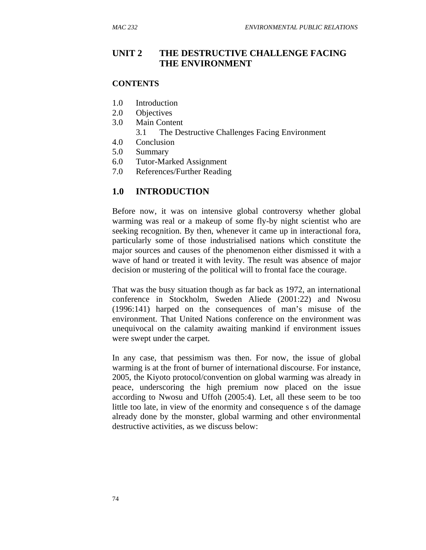### **UNIT 2 THE DESTRUCTIVE CHALLENGE FACING THE ENVIRONMENT**

#### **CONTENTS**

- 1.0 Introduction
- 2.0 Objectives
- 3.0 Main Content
	- 3.1 The Destructive Challenges Facing Environment
- 4.0 Conclusion
- 5.0 Summary
- 6.0 Tutor-Marked Assignment
- 7.0 References/Further Reading

#### **1.0 INTRODUCTION**

Before now, it was on intensive global controversy whether global warming was real or a makeup of some fly-by night scientist who are seeking recognition. By then, whenever it came up in interactional fora, particularly some of those industrialised nations which constitute the major sources and causes of the phenomenon either dismissed it with a wave of hand or treated it with levity. The result was absence of major decision or mustering of the political will to frontal face the courage.

That was the busy situation though as far back as 1972, an international conference in Stockholm, Sweden Aliede (2001:22) and Nwosu (1996:141) harped on the consequences of man's misuse of the environment. That United Nations conference on the environment was unequivocal on the calamity awaiting mankind if environment issues were swept under the carpet.

In any case, that pessimism was then. For now, the issue of global warming is at the front of burner of international discourse. For instance, 2005, the Kiyoto protocol/convention on global warming was already in peace, underscoring the high premium now placed on the issue according to Nwosu and Uffoh (2005:4). Let, all these seem to be too little too late, in view of the enormity and consequence s of the damage already done by the monster, global warming and other environmental destructive activities, as we discuss below: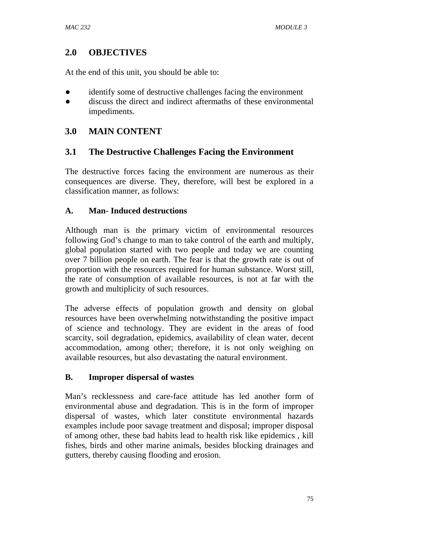## **2.0 OBJECTIVES**

At the end of this unit, you should be able to:

- identify some of destructive challenges facing the environment
- discuss the direct and indirect aftermaths of these environmental impediments.

### **3.0 MAIN CONTENT**

### **3.1 The Destructive Challenges Facing the Environment**

The destructive forces facing the environment are numerous as their consequences are diverse. They, therefore, will best be explored in a classification manner, as follows:

### **A. Man- Induced destructions**

Although man is the primary victim of environmental resources following God's change to man to take control of the earth and multiply, global population started with two people and today we are counting over 7 billion people on earth. The fear is that the growth rate is out of proportion with the resources required for human substance. Worst still, the rate of consumption of available resources, is not at far with the growth and multiplicity of such resources.

The adverse effects of population growth and density on global resources have been overwhelming notwithstanding the positive impact of science and technology. They are evident in the areas of food scarcity, soil degradation, epidemics, availability of clean water, decent accommodation, among other; therefore, it is not only weighing on available resources, but also devastating the natural environment.

### **B. Improper dispersal of wastes**

Man's recklessness and care-face attitude has led another form of environmental abuse and degradation. This is in the form of improper dispersal of wastes, which later constitute environmental hazards examples include poor savage treatment and disposal; improper disposal of among other, these bad habits lead to health risk like epidemics , kill fishes, birds and other marine animals, besides blocking drainages and gutters, thereby causing flooding and erosion.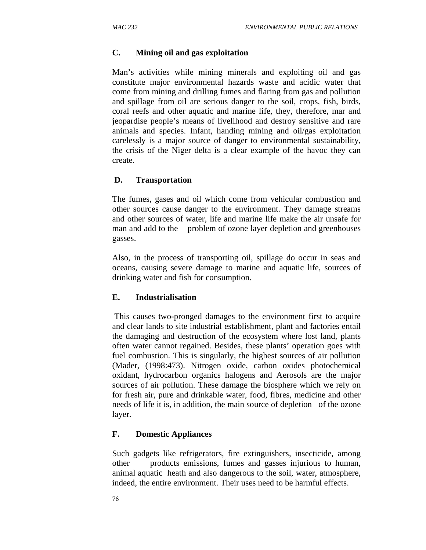### **C. Mining oil and gas exploitation**

Man's activities while mining minerals and exploiting oil and gas constitute major environmental hazards waste and acidic water that come from mining and drilling fumes and flaring from gas and pollution and spillage from oil are serious danger to the soil, crops, fish, birds, coral reefs and other aquatic and marine life, they, therefore, mar and jeopardise people's means of livelihood and destroy sensitive and rare animals and species. Infant, handing mining and oil/gas exploitation carelessly is a major source of danger to environmental sustainability, the crisis of the Niger delta is a clear example of the havoc they can create.

### **D. Transportation**

The fumes, gases and oil which come from vehicular combustion and other sources cause danger to the environment. They damage streams and other sources of water, life and marine life make the air unsafe for man and add to the problem of ozone layer depletion and greenhouses gasses.

Also, in the process of transporting oil, spillage do occur in seas and oceans, causing severe damage to marine and aquatic life, sources of drinking water and fish for consumption.

### **E. Industrialisation**

 This causes two-pronged damages to the environment first to acquire and clear lands to site industrial establishment, plant and factories entail the damaging and destruction of the ecosystem where lost land, plants often water cannot regained. Besides, these plants' operation goes with fuel combustion. This is singularly, the highest sources of air pollution (Mader, (1998:473). Nitrogen oxide, carbon oxides photochemical oxidant, hydrocarbon organics halogens and Aerosols are the major sources of air pollution. These damage the biosphere which we rely on for fresh air, pure and drinkable water, food, fibres, medicine and other needs of life it is, in addition, the main source of depletion of the ozone layer.

### **F. Domestic Appliances**

Such gadgets like refrigerators, fire extinguishers, insecticide, among other products emissions, fumes and gasses injurious to human, animal aquatic heath and also dangerous to the soil, water, atmosphere, indeed, the entire environment. Their uses need to be harmful effects.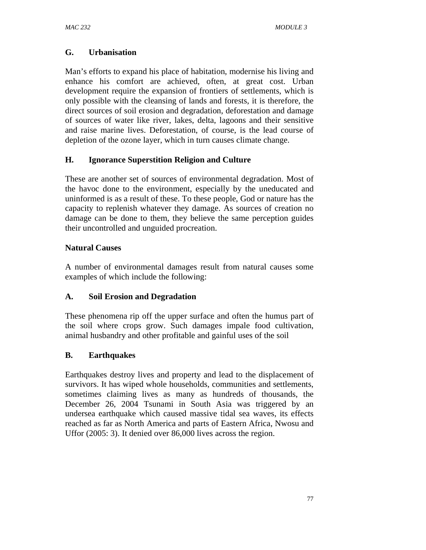## **G. Urbanisation**

Man's efforts to expand his place of habitation, modernise his living and enhance his comfort are achieved, often, at great cost. Urban development require the expansion of frontiers of settlements, which is only possible with the cleansing of lands and forests, it is therefore, the direct sources of soil erosion and degradation, deforestation and damage of sources of water like river, lakes, delta, lagoons and their sensitive and raise marine lives. Deforestation, of course, is the lead course of depletion of the ozone layer, which in turn causes climate change.

## **H. Ignorance Superstition Religion and Culture**

These are another set of sources of environmental degradation. Most of the havoc done to the environment, especially by the uneducated and uninformed is as a result of these. To these people, God or nature has the capacity to replenish whatever they damage. As sources of creation no damage can be done to them, they believe the same perception guides their uncontrolled and unguided procreation.

## **Natural Causes**

A number of environmental damages result from natural causes some examples of which include the following:

### **A. Soil Erosion and Degradation**

These phenomena rip off the upper surface and often the humus part of the soil where crops grow. Such damages impale food cultivation, animal husbandry and other profitable and gainful uses of the soil

## **B. Earthquakes**

Earthquakes destroy lives and property and lead to the displacement of survivors. It has wiped whole households, communities and settlements, sometimes claiming lives as many as hundreds of thousands, the December 26, 2004 Tsunami in South Asia was triggered by an undersea earthquake which caused massive tidal sea waves, its effects reached as far as North America and parts of Eastern Africa, Nwosu and Uffor (2005: 3). It denied over 86,000 lives across the region.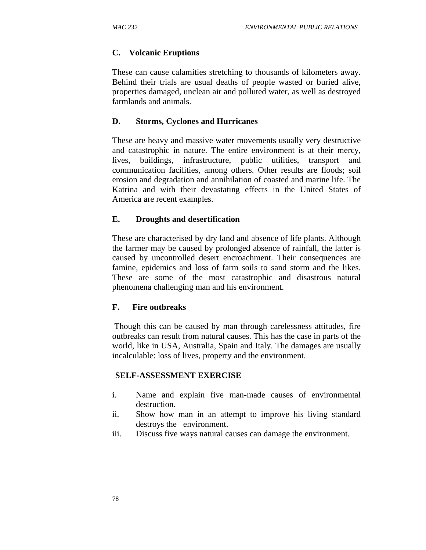### **C. Volcanic Eruptions**

These can cause calamities stretching to thousands of kilometers away. Behind their trials are usual deaths of people wasted or buried alive, properties damaged, unclean air and polluted water, as well as destroyed farmlands and animals.

### **D. Storms, Cyclones and Hurricanes**

These are heavy and massive water movements usually very destructive and catastrophic in nature. The entire environment is at their mercy, lives, buildings, infrastructure, public utilities, transport and communication facilities, among others. Other results are floods; soil erosion and degradation and annihilation of coasted and marine life. The Katrina and with their devastating effects in the United States of America are recent examples.

### **E. Droughts and desertification**

These are characterised by dry land and absence of life plants. Although the farmer may be caused by prolonged absence of rainfall, the latter is caused by uncontrolled desert encroachment. Their consequences are famine, epidemics and loss of farm soils to sand storm and the likes. These are some of the most catastrophic and disastrous natural phenomena challenging man and his environment.

### **F. Fire outbreaks**

 Though this can be caused by man through carelessness attitudes, fire outbreaks can result from natural causes. This has the case in parts of the world, like in USA, Australia, Spain and Italy. The damages are usually incalculable: loss of lives, property and the environment.

### **SELF-ASSESSMENT EXERCISE**

- i. Name and explain five man-made causes of environmental destruction.
- ii. Show how man in an attempt to improve his living standard destroys the environment.
- iii. Discuss five ways natural causes can damage the environment.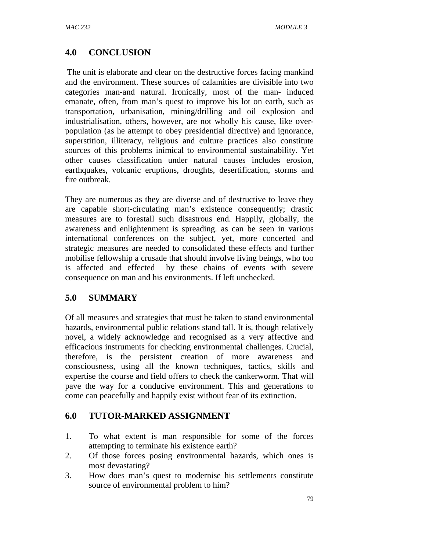# **4.0 CONCLUSION**

 The unit is elaborate and clear on the destructive forces facing mankind and the environment. These sources of calamities are divisible into two categories man-and natural. Ironically, most of the man- induced emanate, often, from man's quest to improve his lot on earth, such as transportation, urbanisation, mining/drilling and oil explosion and industrialisation, others, however, are not wholly his cause, like overpopulation (as he attempt to obey presidential directive) and ignorance, superstition, illiteracy, religious and culture practices also constitute sources of this problems inimical to environmental sustainability. Yet other causes classification under natural causes includes erosion, earthquakes, volcanic eruptions, droughts, desertification, storms and fire outbreak.

They are numerous as they are diverse and of destructive to leave they are capable short-circulating man's existence consequently; drastic measures are to forestall such disastrous end. Happily, globally, the awareness and enlightenment is spreading. as can be seen in various international conferences on the subject, yet, more concerted and strategic measures are needed to consolidated these effects and further mobilise fellowship a crusade that should involve living beings, who too is affected and effected by these chains of events with severe consequence on man and his environments. If left unchecked.

## **5.0 SUMMARY**

Of all measures and strategies that must be taken to stand environmental hazards, environmental public relations stand tall. It is, though relatively novel, a widely acknowledge and recognised as a very affective and efficacious instruments for checking environmental challenges. Crucial, therefore, is the persistent creation of more awareness and consciousness, using all the known techniques, tactics, skills and expertise the course and field offers to check the cankerworm. That will pave the way for a conducive environment. This and generations to come can peacefully and happily exist without fear of its extinction.

## **6.0 TUTOR-MARKED ASSIGNMENT**

- 1. To what extent is man responsible for some of the forces attempting to terminate his existence earth?
- 2. Of those forces posing environmental hazards, which ones is most devastating?
- 3. How does man's quest to modernise his settlements constitute source of environmental problem to him?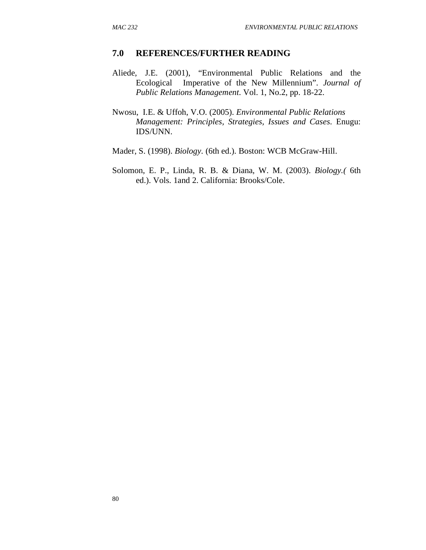### **7.0 REFERENCES/FURTHER READING**

- Aliede, J.E. (2001), "Environmental Public Relations and the Ecological Imperative of the New Millennium". *Journal of Public Relations Management*. Vol. 1, No.2, pp. 18-22.
- Nwosu, I.E. & Uffoh, V.O. (2005). *Environmental Public Relations Management: Principles, Strategies, Issues and Cases*. Enugu: IDS/UNN.
- Mader, S. (1998). *Biology*. (6th ed.). Boston: WCB McGraw-Hill.
- Solomon, E. P., Linda, R. B. & Diana, W. M. (2003). *Biology.(* 6th ed.). Vols. 1and 2. California: Brooks/Cole.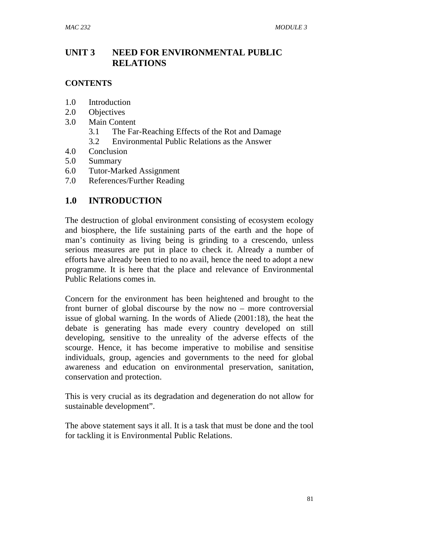## **UNIT 3 NEED FOR ENVIRONMENTAL PUBLIC RELATIONS**

### **CONTENTS**

- 1.0 Introduction
- 2.0 Objectives
- 3.0 Main Content
	- 3.1 The Far-Reaching Effects of the Rot and Damage
	- 3.2 Environmental Public Relations as the Answer
- 4.0 Conclusion
- 5.0 Summary
- 6.0 Tutor-Marked Assignment
- 7.0 References/Further Reading

## **1.0 INTRODUCTION**

The destruction of global environment consisting of ecosystem ecology and biosphere, the life sustaining parts of the earth and the hope of man's continuity as living being is grinding to a crescendo, unless serious measures are put in place to check it. Already a number of efforts have already been tried to no avail, hence the need to adopt a new programme. It is here that the place and relevance of Environmental Public Relations comes in.

Concern for the environment has been heightened and brought to the front burner of global discourse by the now no – more controversial issue of global warning. In the words of Aliede (2001:18), the heat the debate is generating has made every country developed on still developing, sensitive to the unreality of the adverse effects of the scourge. Hence, it has become imperative to mobilise and sensitise individuals, group, agencies and governments to the need for global awareness and education on environmental preservation, sanitation, conservation and protection.

This is very crucial as its degradation and degeneration do not allow for sustainable development".

The above statement says it all. It is a task that must be done and the tool for tackling it is Environmental Public Relations.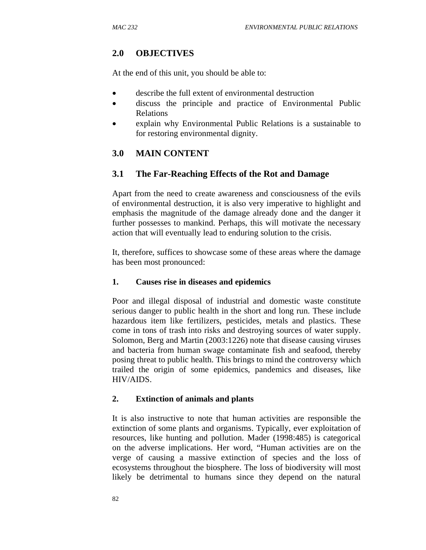## **2.0 OBJECTIVES**

At the end of this unit, you should be able to:

- describe the full extent of environmental destruction
- discuss the principle and practice of Environmental Public Relations
- explain why Environmental Public Relations is a sustainable to for restoring environmental dignity.

## **3.0 MAIN CONTENT**

### **3.1 The Far-Reaching Effects of the Rot and Damage**

Apart from the need to create awareness and consciousness of the evils of environmental destruction, it is also very imperative to highlight and emphasis the magnitude of the damage already done and the danger it further possesses to mankind. Perhaps, this will motivate the necessary action that will eventually lead to enduring solution to the crisis.

It, therefore, suffices to showcase some of these areas where the damage has been most pronounced:

### **1. Causes rise in diseases and epidemics**

Poor and illegal disposal of industrial and domestic waste constitute serious danger to public health in the short and long run. These include hazardous item like fertilizers, pesticides, metals and plastics. These come in tons of trash into risks and destroying sources of water supply. Solomon, Berg and Martin (2003:1226) note that disease causing viruses and bacteria from human swage contaminate fish and seafood, thereby posing threat to public health. This brings to mind the controversy which trailed the origin of some epidemics, pandemics and diseases, like HIV/AIDS.

### **2. Extinction of animals and plants**

It is also instructive to note that human activities are responsible the extinction of some plants and organisms. Typically, ever exploitation of resources, like hunting and pollution. Mader (1998:485) is categorical on the adverse implications. Her word, "Human activities are on the verge of causing a massive extinction of species and the loss of ecosystems throughout the biosphere. The loss of biodiversity will most likely be detrimental to humans since they depend on the natural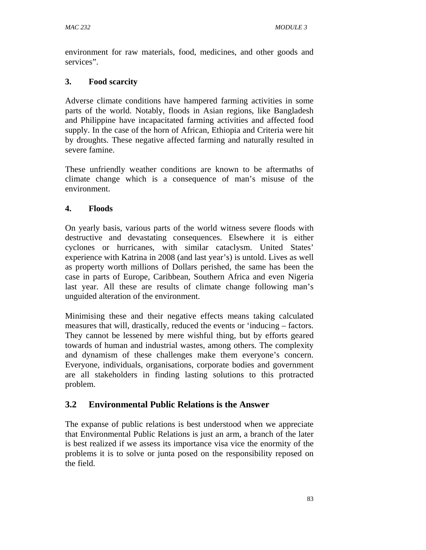environment for raw materials, food, medicines, and other goods and services".

## **3. Food scarcity**

Adverse climate conditions have hampered farming activities in some parts of the world. Notably, floods in Asian regions, like Bangladesh and Philippine have incapacitated farming activities and affected food supply. In the case of the horn of African, Ethiopia and Criteria were hit by droughts. These negative affected farming and naturally resulted in severe famine.

These unfriendly weather conditions are known to be aftermaths of climate change which is a consequence of man's misuse of the environment.

## **4. Floods**

On yearly basis, various parts of the world witness severe floods with destructive and devastating consequences. Elsewhere it is either cyclones or hurricanes, with similar cataclysm. United States' experience with Katrina in 2008 (and last year's) is untold. Lives as well as property worth millions of Dollars perished, the same has been the case in parts of Europe, Caribbean, Southern Africa and even Nigeria last year. All these are results of climate change following man's unguided alteration of the environment.

Minimising these and their negative effects means taking calculated measures that will, drastically, reduced the events or 'inducing – factors. They cannot be lessened by mere wishful thing, but by efforts geared towards of human and industrial wastes, among others. The complexity and dynamism of these challenges make them everyone's concern. Everyone, individuals, organisations, corporate bodies and government are all stakeholders in finding lasting solutions to this protracted problem.

## **3.2 Environmental Public Relations is the Answer**

The expanse of public relations is best understood when we appreciate that Environmental Public Relations is just an arm, a branch of the later is best realized if we assess its importance visa vice the enormity of the problems it is to solve or junta posed on the responsibility reposed on the field.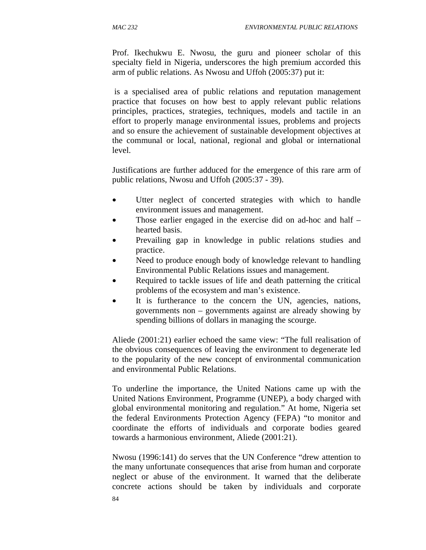Prof. Ikechukwu E. Nwosu, the guru and pioneer scholar of this specialty field in Nigeria, underscores the high premium accorded this arm of public relations. As Nwosu and Uffoh (2005:37) put it:

 is a specialised area of public relations and reputation management practice that focuses on how best to apply relevant public relations principles, practices, strategies, techniques, models and tactile in an effort to properly manage environmental issues, problems and projects and so ensure the achievement of sustainable development objectives at the communal or local, national, regional and global or international level.

Justifications are further adduced for the emergence of this rare arm of public relations, Nwosu and Uffoh (2005:37 - 39).

- Utter neglect of concerted strategies with which to handle environment issues and management.
- Those earlier engaged in the exercise did on ad-hoc and half hearted basis.
- Prevailing gap in knowledge in public relations studies and practice.
- Need to produce enough body of knowledge relevant to handling Environmental Public Relations issues and management.
- Required to tackle issues of life and death patterning the critical problems of the ecosystem and man's existence.
- It is furtherance to the concern the UN, agencies, nations, governments non – governments against are already showing by spending billions of dollars in managing the scourge.

Aliede (2001:21) earlier echoed the same view: "The full realisation of the obvious consequences of leaving the environment to degenerate led to the popularity of the new concept of environmental communication and environmental Public Relations.

To underline the importance, the United Nations came up with the United Nations Environment, Programme (UNEP), a body charged with global environmental monitoring and regulation." At home, Nigeria set the federal Environments Protection Agency (FEPA) "to monitor and coordinate the efforts of individuals and corporate bodies geared towards a harmonious environment, Aliede (2001:21).

Nwosu (1996:141) do serves that the UN Conference "drew attention to the many unfortunate consequences that arise from human and corporate neglect or abuse of the environment. It warned that the deliberate concrete actions should be taken by individuals and corporate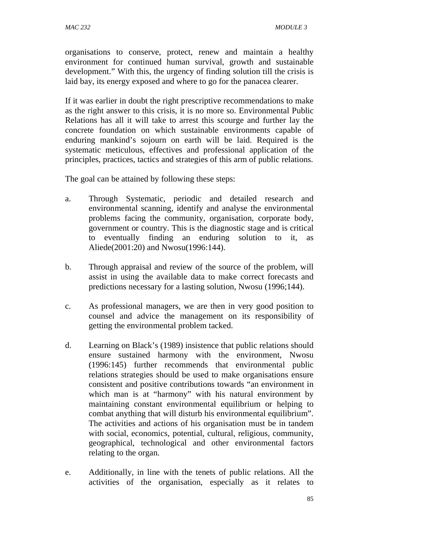organisations to conserve, protect, renew and maintain a healthy environment for continued human survival, growth and sustainable development." With this, the urgency of finding solution till the crisis is laid bay, its energy exposed and where to go for the panacea clearer.

If it was earlier in doubt the right prescriptive recommendations to make as the right answer to this crisis, it is no more so. Environmental Public Relations has all it will take to arrest this scourge and further lay the concrete foundation on which sustainable environments capable of enduring mankind's sojourn on earth will be laid. Required is the systematic meticulous, effectives and professional application of the principles, practices, tactics and strategies of this arm of public relations.

The goal can be attained by following these steps:

- a. Through Systematic, periodic and detailed research and environmental scanning, identify and analyse the environmental problems facing the community, organisation, corporate body, government or country. This is the diagnostic stage and is critical to eventually finding an enduring solution to it, as Aliede(2001:20) and Nwosu(1996:144).
- b. Through appraisal and review of the source of the problem, will assist in using the available data to make correct forecasts and predictions necessary for a lasting solution, Nwosu (1996;144).
- c. As professional managers, we are then in very good position to counsel and advice the management on its responsibility of getting the environmental problem tacked.
- d. Learning on Black's (1989) insistence that public relations should ensure sustained harmony with the environment, Nwosu (1996:145) further recommends that environmental public relations strategies should be used to make organisations ensure consistent and positive contributions towards "an environment in which man is at "harmony" with his natural environment by maintaining constant environmental equilibrium or helping to combat anything that will disturb his environmental equilibrium". The activities and actions of his organisation must be in tandem with social, economics, potential, cultural, religious, community, geographical, technological and other environmental factors relating to the organ.
- e. Additionally, in line with the tenets of public relations. All the activities of the organisation, especially as it relates to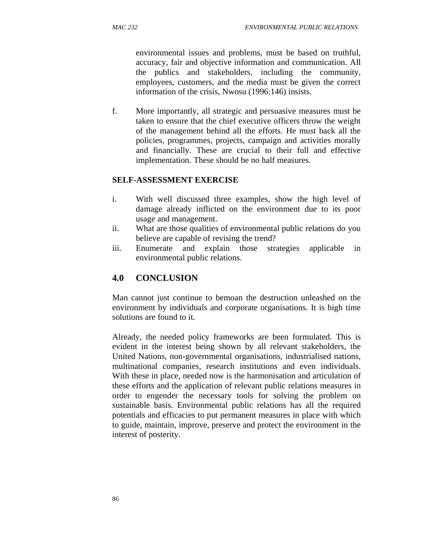environmental issues and problems, must be based on truthful, accuracy, fair and objective information and communication. All the publics and stakeholders, including the community, employees, customers, and the media must be given the correct information of the crisis, Nwosu (1996:146) insists.

f. More importantly, all strategic and persuasive measures must be taken to ensure that the chief executive officers throw the weight of the management behind all the efforts. He must back all the policies, programmes, projects, campaign and activities morally and financially. These are crucial to their full and effective implementation. These should be no half measures.

### **SELF-ASSESSMENT EXERCISE**

- i. With well discussed three examples, show the high level of damage already inflicted on the environment due to its poor usage and management.
- ii. What are those qualities of environmental public relations do you believe are capable of revising the trend?
- iii. Enumerate and explain those strategies applicable in environmental public relations.

## **4.0 CONCLUSION**

Man cannot just continue to bemoan the destruction unleashed on the environment by individuals and corporate organisations. It is high time solutions are found to it.

Already, the needed policy frameworks are been formulated. This is evident in the interest being shown by all relevant stakeholders, the United Nations, non-governmental organisations, industrialised nations, multinational companies, research institutions and even individuals. With these in place, needed now is the harmonisation and articulation of these efforts and the application of relevant public relations measures in order to engender the necessary tools for solving the problem on sustainable basis. Environmental public relations has all the required potentials and efficacies to put permanent measures in place with which to guide, maintain, improve, preserve and protect the environment in the interest of posterity.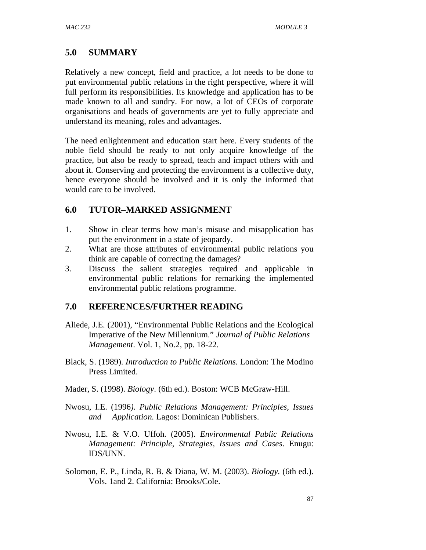# **5.0 SUMMARY**

Relatively a new concept, field and practice, a lot needs to be done to put environmental public relations in the right perspective, where it will full perform its responsibilities. Its knowledge and application has to be made known to all and sundry. For now, a lot of CEOs of corporate organisations and heads of governments are yet to fully appreciate and understand its meaning, roles and advantages.

The need enlightenment and education start here. Every students of the noble field should be ready to not only acquire knowledge of the practice, but also be ready to spread, teach and impact others with and about it. Conserving and protecting the environment is a collective duty, hence everyone should be involved and it is only the informed that would care to be involved.

## **6.0 TUTOR–MARKED ASSIGNMENT**

- 1. Show in clear terms how man's misuse and misapplication has put the environment in a state of jeopardy.
- 2. What are those attributes of environmental public relations you think are capable of correcting the damages?
- 3. Discuss the salient strategies required and applicable in environmental public relations for remarking the implemented environmental public relations programme.

## **7.0 REFERENCES/FURTHER READING**

- Aliede, J.E. (2001), "Environmental Public Relations and the Ecological Imperative of the New Millennium." *Journal of Public Relations Management*. Vol. 1, No.2, pp. 18-22.
- Black, S. (1989). *Introduction to Public Relations.* London: The Modino Press Limited.
- Mader, S. (1998). *Biology*. (6th ed.). Boston: WCB McGraw-Hill.
- Nwosu, I.E. (1996*). Public Relations Management: Principles, Issues and Application.* Lagos: Dominican Publishers.
- Nwosu, I.E. & V.O. Uffoh. (2005). *Environmental Public Relations Management: Principle, Strategies, Issues and Cases*. Enugu: IDS/UNN.
- Solomon, E. P., Linda, R. B. & Diana, W. M. (2003). *Biology.* (6th ed.). Vols. 1and 2. California: Brooks/Cole.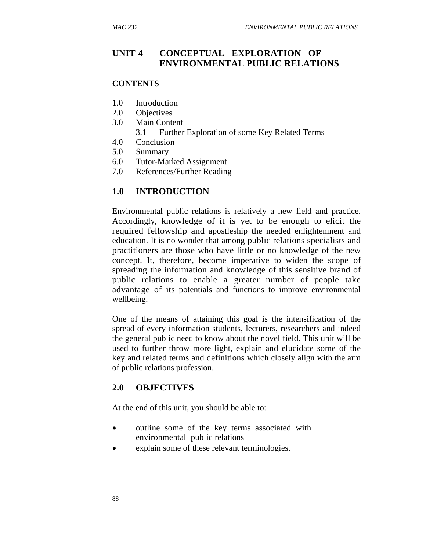### **UNIT 4 CONCEPTUAL EXPLORATION OF ENVIRONMENTAL PUBLIC RELATIONS**

#### **CONTENTS**

- 1.0 Introduction
- 2.0 Objectives
- 3.0 Main Content
	- 3.1 Further Exploration of some Key Related Terms
- 4.0 Conclusion
- 5.0 Summary
- 6.0 Tutor-Marked Assignment
- 7.0 References/Further Reading

#### **1.0 INTRODUCTION**

Environmental public relations is relatively a new field and practice. Accordingly, knowledge of it is yet to be enough to elicit the required fellowship and apostleship the needed enlightenment and education. It is no wonder that among public relations specialists and practitioners are those who have little or no knowledge of the new concept. It, therefore, become imperative to widen the scope of spreading the information and knowledge of this sensitive brand of public relations to enable a greater number of people take advantage of its potentials and functions to improve environmental wellbeing.

One of the means of attaining this goal is the intensification of the spread of every information students, lecturers, researchers and indeed the general public need to know about the novel field. This unit will be used to further throw more light, explain and elucidate some of the key and related terms and definitions which closely align with the arm of public relations profession.

#### **2.0 OBJECTIVES**

At the end of this unit, you should be able to:

- outline some of the key terms associated with environmental public relations
- explain some of these relevant terminologies.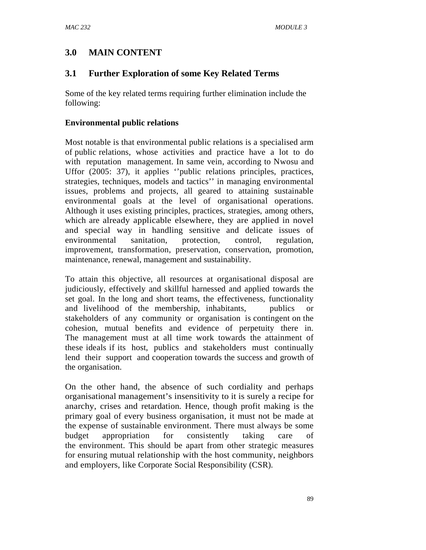# **3.0 MAIN CONTENT**

## **3.1 Further Exploration of some Key Related Terms**

Some of the key related terms requiring further elimination include the following:

### **Environmental public relations**

Most notable is that environmental public relations is a specialised arm of public relations, whose activities and practice have a lot to do with reputation management. In same vein, according to Nwosu and Uffor (2005: 37), it applies ''public relations principles, practices, strategies, techniques, models and tactics'' in managing environmental issues, problems and projects, all geared to attaining sustainable environmental goals at the level of organisational operations. Although it uses existing principles, practices, strategies, among others, which are already applicable elsewhere, they are applied in novel and special way in handling sensitive and delicate issues of environmental sanitation, protection, control, regulation, improvement, transformation, preservation, conservation, promotion, maintenance, renewal, management and sustainability.

To attain this objective, all resources at organisational disposal are judiciously, effectively and skillful harnessed and applied towards the set goal. In the long and short teams, the effectiveness, functionality and livelihood of the membership, inhabitants, publics or stakeholders of any community or organisation is contingent on the cohesion, mutual benefits and evidence of perpetuity there in. The management must at all time work towards the attainment of these ideals if its host, publics and stakeholders must continually lend their support and cooperation towards the success and growth of the organisation.

On the other hand, the absence of such cordiality and perhaps organisational management's insensitivity to it is surely a recipe for anarchy, crises and retardation. Hence, though profit making is the primary goal of every business organisation, it must not be made at the expense of sustainable environment. There must always be some budget appropriation for consistently taking care of the environment. This should be apart from other strategic measures for ensuring mutual relationship with the host community, neighbors and employers, like Corporate Social Responsibility (CSR).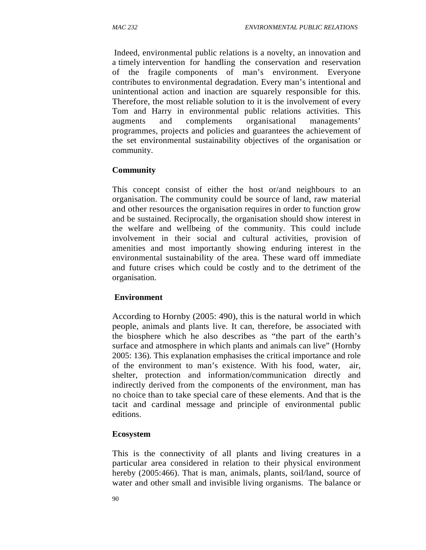Indeed, environmental public relations is a novelty, an innovation and a timely intervention for handling the conservation and reservation of the fragile components of man's environment. Everyone contributes to environmental degradation. Every man's intentional and unintentional action and inaction are squarely responsible for this. Therefore, the most reliable solution to it is the involvement of every Tom and Harry in environmental public relations activities. This augments and complements organisational managements' programmes, projects and policies and guarantees the achievement of the set environmental sustainability objectives of the organisation or community.

### **Community**

This concept consist of either the host or/and neighbours to an organisation. The community could be source of land, raw material and other resources the organisation requires in order to function grow and be sustained. Reciprocally, the organisation should show interest in the welfare and wellbeing of the community. This could include involvement in their social and cultural activities, provision of amenities and most importantly showing enduring interest in the environmental sustainability of the area. These ward off immediate and future crises which could be costly and to the detriment of the organisation.

### **Environment**

According to Hornby (2005: 490), this is the natural world in which people, animals and plants live. It can, therefore, be associated with the biosphere which he also describes as "the part of the earth's surface and atmosphere in which plants and animals can live" (Hornby 2005: 136). This explanation emphasises the critical importance and role of the environment to man's existence. With his food, water, air, shelter, protection and information/communication directly and indirectly derived from the components of the environment, man has no choice than to take special care of these elements. And that is the tacit and cardinal message and principle of environmental public editions.

### **Ecosystem**

This is the connectivity of all plants and living creatures in a particular area considered in relation to their physical environment hereby (2005:466). That is man, animals, plants, soil/land, source of water and other small and invisible living organisms. The balance or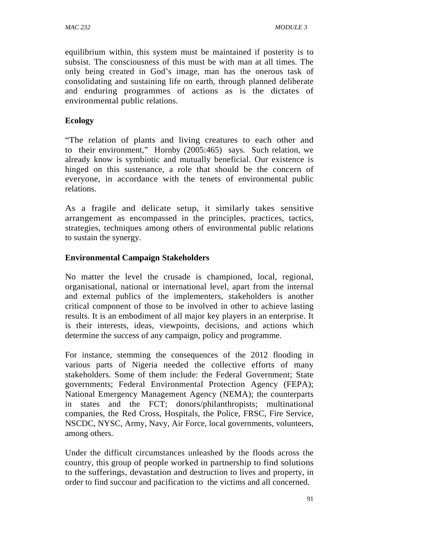equilibrium within, this system must be maintained if posterity is to subsist. The consciousness of this must be with man at all times. The only being created in God's image, man has the onerous task of consolidating and sustaining life on earth, through planned deliberate and enduring programmes of actions as is the dictates of environmental public relations.

## **Ecology**

"The relation of plants and living creatures to each other and to their environment," Hornby (2005:465) says. Such relation, we already know is symbiotic and mutually beneficial. Our existence is hinged on this sustenance, a role that should be the concern of everyone, in accordance with the tenets of environmental public relations.

As a fragile and delicate setup, it similarly takes sensitive arrangement as encompassed in the principles, practices, tactics, strategies, techniques among others of environmental public relations to sustain the synergy.

### **Environmental Campaign Stakeholders**

No matter the level the crusade is championed, local, regional, organisational, national or international level, apart from the internal and external publics of the implementers, stakeholders is another critical component of those to be involved in other to achieve lasting results. It is an embodiment of all major key players in an enterprise. It is their interests, ideas, viewpoints, decisions, and actions which determine the success of any campaign, policy and programme.

For instance, stemming the consequences of the 2012 flooding in various parts of Nigeria needed the collective efforts of many stakeholders. Some of them include: the Federal Government; State governments; Federal Environmental Protection Agency (FEPA); National Emergency Management Agency (NEMA); the counterparts in states and the FCT; donors/philanthropists; multinational companies, the Red Cross, Hospitals, the Police, FRSC, Fire Service, NSCDC, NYSC, Army, Navy, Air Force, local governments, volunteers, among others.

Under the difficult circumstances unleashed by the floods across the country, this group of people worked in partnership to find solutions to the sufferings, devastation and destruction to lives and property, in order to find succour and pacification to the victims and all concerned.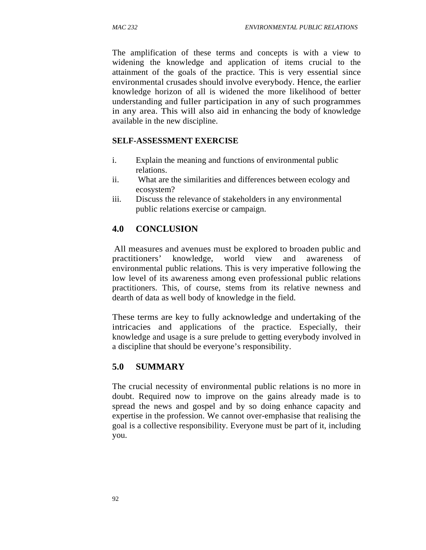The amplification of these terms and concepts is with a view to widening the knowledge and application of items crucial to the attainment of the goals of the practice. This is very essential since environmental crusades should involve everybody. Hence, the earlier knowledge horizon of all is widened the more likelihood of better understanding and fuller participation in any of such programmes in any area. This will also aid in enhancing the body of knowledge available in the new discipline.

### **SELF-ASSESSMENT EXERCISE**

- i. Explain the meaning and functions of environmental public relations.
- ii. What are the similarities and differences between ecology and ecosystem?
- iii. Discuss the relevance of stakeholders in any environmental public relations exercise or campaign.

## **4.0 CONCLUSION**

All measures and avenues must be explored to broaden public and practitioners' knowledge, world view and awareness of environmental public relations. This is very imperative following the low level of its awareness among even professional public relations practitioners. This, of course, stems from its relative newness and dearth of data as well body of knowledge in the field.

These terms are key to fully acknowledge and undertaking of the intricacies and applications of the practice. Especially, their knowledge and usage is a sure prelude to getting everybody involved in a discipline that should be everyone's responsibility.

### **5.0 SUMMARY**

The crucial necessity of environmental public relations is no more in doubt. Required now to improve on the gains already made is to spread the news and gospel and by so doing enhance capacity and expertise in the profession. We cannot over-emphasise that realising the goal is a collective responsibility. Everyone must be part of it, including you.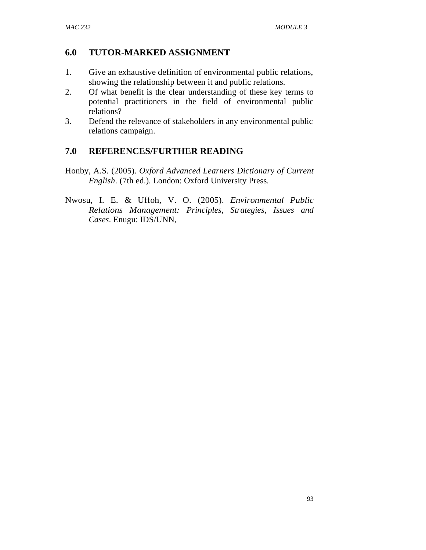## **6.0 TUTOR-MARKED ASSIGNMENT**

- 1. Give an exhaustive definition of environmental public relations, showing the relationship between it and public relations.
- 2. Of what benefit is the clear understanding of these key terms to potential practitioners in the field of environmental public relations?
- 3. Defend the relevance of stakeholders in any environmental public relations campaign.

## **7.0 REFERENCES/FURTHER READING**

- Honby, A.S. (2005). *Oxford Advanced Learners Dictionary of Current English*. (7th ed.). London: Oxford University Press.
- Nwosu, I. E. & Uffoh, V. O. (2005). *Environmental Public Relations Management: Principles, Strategies, Issues and Cases*. Enugu: IDS/UNN,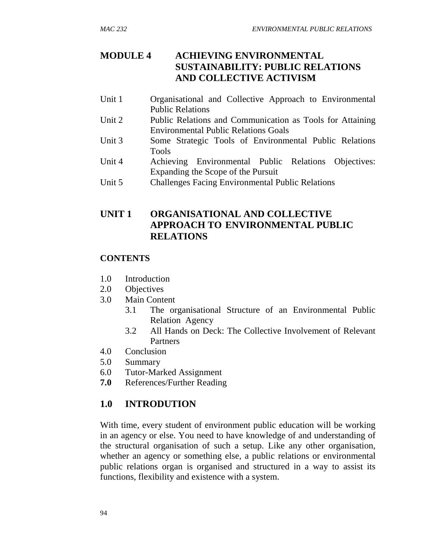# **MODULE 4 ACHIEVING ENVIRONMENTAL SUSTAINABILITY: PUBLIC RELATIONS AND COLLECTIVE ACTIVISM**

- Unit 1 Organisational and Collective Approach to Environmental Public Relations
- Unit 2 Public Relations and Communication as Tools for Attaining Environmental Public Relations Goals
- Unit 3 Some Strategic Tools of Environmental Public Relations Tools
- Unit 4 Achieving Environmental Public Relations Objectives: Expanding the Scope of the Pursuit
- Unit 5 Challenges Facing Environmental Public Relations

## **UNIT 1 ORGANISATIONAL AND COLLECTIVE APPROACH TO ENVIRONMENTAL PUBLIC RELATIONS**

## **CONTENTS**

- 1.0 Introduction
- 2.0 Objectives
- 3.0 Main Content
	- 3.1 The organisational Structure of an Environmental Public Relation Agency
	- 3.2 All Hands on Deck: The Collective Involvement of Relevant **Partners**
- 4.0 Conclusion
- 5.0 Summary
- 6.0 Tutor-Marked Assignment
- **7.0** References/Further Reading

# **1.0 INTRODUTION**

With time, every student of environment public education will be working in an agency or else. You need to have knowledge of and understanding of the structural organisation of such a setup. Like any other organisation, whether an agency or something else, a public relations or environmental public relations organ is organised and structured in a way to assist its functions, flexibility and existence with a system.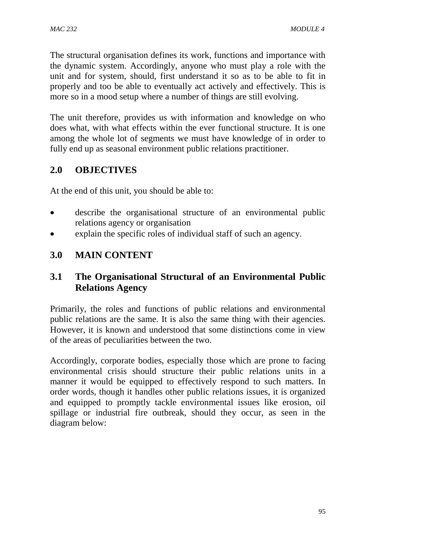The structural organisation defines its work, functions and importance with the dynamic system. Accordingly, anyone who must play a role with the unit and for system, should, first understand it so as to be able to fit in properly and too be able to eventually act actively and effectively. This is more so in a mood setup where a number of things are still evolving.

The unit therefore, provides us with information and knowledge on who does what, with what effects within the ever functional structure. It is one among the whole lot of segments we must have knowledge of in order to fully end up as seasonal environment public relations practitioner.

# **2.0 OBJECTIVES**

At the end of this unit, you should be able to:

- describe the organisational structure of an environmental public relations agency or organisation
- explain the specific roles of individual staff of such an agency.

# **3.0 MAIN CONTENT**

# **3.1 The Organisational Structural of an Environmental Public Relations Agency**

Primarily, the roles and functions of public relations and environmental public relations are the same. It is also the same thing with their agencies. However, it is known and understood that some distinctions come in view of the areas of peculiarities between the two.

Accordingly, corporate bodies, especially those which are prone to facing environmental crisis should structure their public relations units in a manner it would be equipped to effectively respond to such matters. In order words, though it handles other public relations issues, it is organized and equipped to promptly tackle environmental issues like erosion, oil spillage or industrial fire outbreak, should they occur, as seen in the diagram below: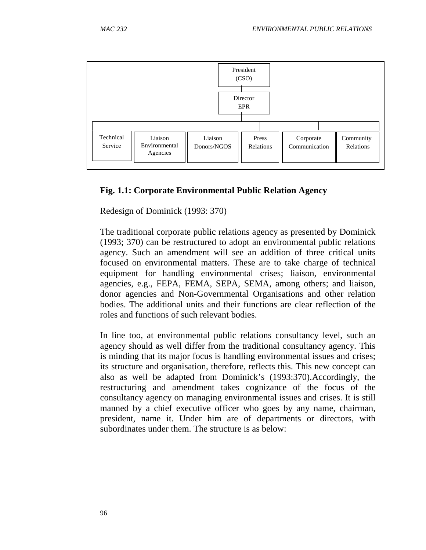

### **Fig. 1.1: Corporate Environmental Public Relation Agency**

Redesign of Dominick (1993: 370)

The traditional corporate public relations agency as presented by Dominick (1993; 370) can be restructured to adopt an environmental public relations agency. Such an amendment will see an addition of three critical units focused on environmental matters. These are to take charge of technical equipment for handling environmental crises; liaison, environmental agencies, e.g., FEPA, FEMA, SEPA, SEMA, among others; and liaison, donor agencies and Non-Governmental Organisations and other relation bodies. The additional units and their functions are clear reflection of the roles and functions of such relevant bodies.

In line too, at environmental public relations consultancy level, such an agency should as well differ from the traditional consultancy agency. This is minding that its major focus is handling environmental issues and crises; its structure and organisation, therefore, reflects this. This new concept can also as well be adapted from Dominick's (1993:370).Accordingly, the restructuring and amendment takes cognizance of the focus of the consultancy agency on managing environmental issues and crises. It is still manned by a chief executive officer who goes by any name, chairman, president, name it. Under him are of departments or directors, with subordinates under them. The structure is as below: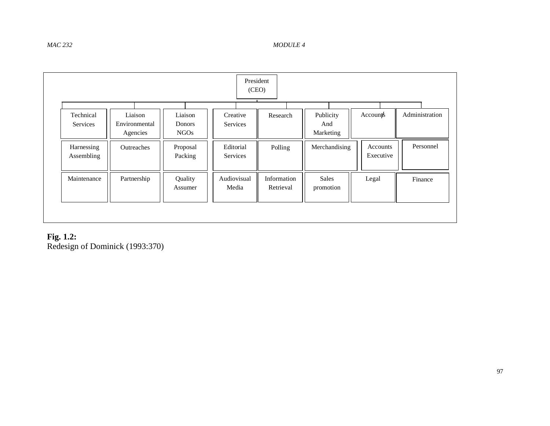|                              |                                      |                                  | President<br>(CEO)          |                          |                               |                       |                |
|------------------------------|--------------------------------------|----------------------------------|-----------------------------|--------------------------|-------------------------------|-----------------------|----------------|
| Technical<br><b>Services</b> | Liaison<br>Environmental<br>Agencies | Liaison<br>Donors<br><b>NGOs</b> | Creative<br><b>Services</b> | Research                 | Publicity<br>And<br>Marketing | $Accoun \nmid s$      | Administration |
| Harnessing<br>Assembling     | <b>Outreaches</b>                    | Proposal<br>Packing              | Editorial<br>Services       | Polling                  | Merchandising                 | Accounts<br>Executive | Personnel      |
| Maintenance                  | Partnership                          | Quality<br>Assumer               | Audiovisual<br>Media        | Information<br>Retrieval | <b>Sales</b><br>promotion     | Legal                 | Finance        |

**Fig. 1.2:**  Redesign of Dominick (1993:370)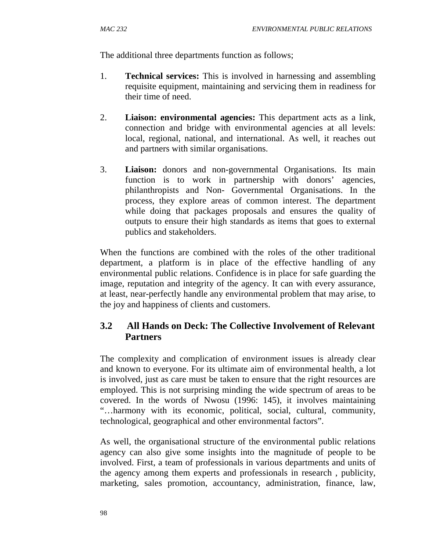The additional three departments function as follows;

- 1. **Technical services:** This is involved in harnessing and assembling requisite equipment, maintaining and servicing them in readiness for their time of need.
- 2. **Liaison: environmental agencies:** This department acts as a link, connection and bridge with environmental agencies at all levels: local, regional, national, and international. As well, it reaches out and partners with similar organisations.
- 3. **Liaison:** donors and non-governmental Organisations. Its main function is to work in partnership with donors' agencies, philanthropists and Non- Governmental Organisations. In the process, they explore areas of common interest. The department while doing that packages proposals and ensures the quality of outputs to ensure their high standards as items that goes to external publics and stakeholders.

When the functions are combined with the roles of the other traditional department, a platform is in place of the effective handling of any environmental public relations. Confidence is in place for safe guarding the image, reputation and integrity of the agency. It can with every assurance, at least, near-perfectly handle any environmental problem that may arise, to the joy and happiness of clients and customers.

# **3.2 All Hands on Deck: The Collective Involvement of Relevant Partners**

The complexity and complication of environment issues is already clear and known to everyone. For its ultimate aim of environmental health, a lot is involved, just as care must be taken to ensure that the right resources are employed. This is not surprising minding the wide spectrum of areas to be covered. In the words of Nwosu (1996: 145), it involves maintaining "…harmony with its economic, political, social, cultural, community, technological, geographical and other environmental factors".

As well, the organisational structure of the environmental public relations agency can also give some insights into the magnitude of people to be involved. First, a team of professionals in various departments and units of the agency among them experts and professionals in research , publicity, marketing, sales promotion, accountancy, administration, finance, law,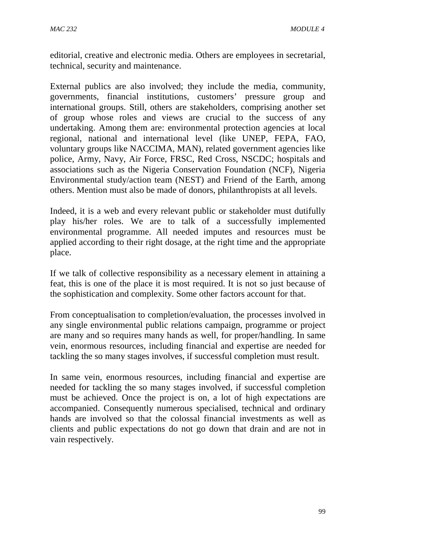editorial, creative and electronic media. Others are employees in secretarial, technical, security and maintenance.

External publics are also involved; they include the media, community, governments, financial institutions, customers' pressure group and international groups. Still, others are stakeholders, comprising another set of group whose roles and views are crucial to the success of any undertaking. Among them are: environmental protection agencies at local regional, national and international level (like UNEP, FEPA, FAO, voluntary groups like NACCIMA, MAN), related government agencies like police, Army, Navy, Air Force, FRSC, Red Cross, NSCDC; hospitals and associations such as the Nigeria Conservation Foundation (NCF), Nigeria Environmental study/action team (NEST) and Friend of the Earth, among others. Mention must also be made of donors, philanthropists at all levels.

Indeed, it is a web and every relevant public or stakeholder must dutifully play his/her roles. We are to talk of a successfully implemented environmental programme. All needed imputes and resources must be applied according to their right dosage, at the right time and the appropriate place.

If we talk of collective responsibility as a necessary element in attaining a feat, this is one of the place it is most required. It is not so just because of the sophistication and complexity. Some other factors account for that.

From conceptualisation to completion/evaluation, the processes involved in any single environmental public relations campaign, programme or project are many and so requires many hands as well, for proper/handling. In same vein, enormous resources, including financial and expertise are needed for tackling the so many stages involves, if successful completion must result.

In same vein, enormous resources, including financial and expertise are needed for tackling the so many stages involved, if successful completion must be achieved. Once the project is on, a lot of high expectations are accompanied. Consequently numerous specialised, technical and ordinary hands are involved so that the colossal financial investments as well as clients and public expectations do not go down that drain and are not in vain respectively.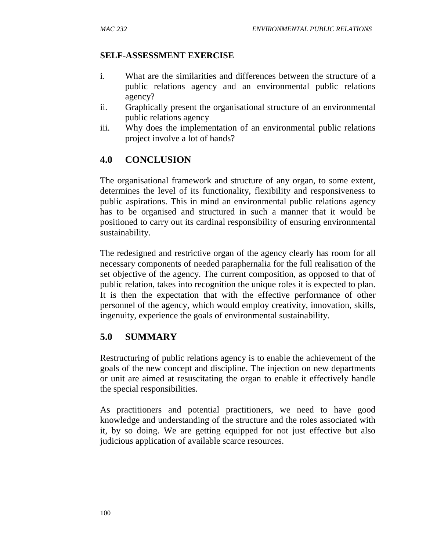#### **SELF-ASSESSMENT EXERCISE**

- i. What are the similarities and differences between the structure of a public relations agency and an environmental public relations agency?
- ii. Graphically present the organisational structure of an environmental public relations agency
- iii. Why does the implementation of an environmental public relations project involve a lot of hands?

# **4.0 CONCLUSION**

The organisational framework and structure of any organ, to some extent, determines the level of its functionality, flexibility and responsiveness to public aspirations. This in mind an environmental public relations agency has to be organised and structured in such a manner that it would be positioned to carry out its cardinal responsibility of ensuring environmental sustainability.

The redesigned and restrictive organ of the agency clearly has room for all necessary components of needed paraphernalia for the full realisation of the set objective of the agency. The current composition, as opposed to that of public relation, takes into recognition the unique roles it is expected to plan. It is then the expectation that with the effective performance of other personnel of the agency, which would employ creativity, innovation, skills, ingenuity, experience the goals of environmental sustainability.

### **5.0 SUMMARY**

Restructuring of public relations agency is to enable the achievement of the goals of the new concept and discipline. The injection on new departments or unit are aimed at resuscitating the organ to enable it effectively handle the special responsibilities.

As practitioners and potential practitioners, we need to have good knowledge and understanding of the structure and the roles associated with it, by so doing. We are getting equipped for not just effective but also judicious application of available scarce resources.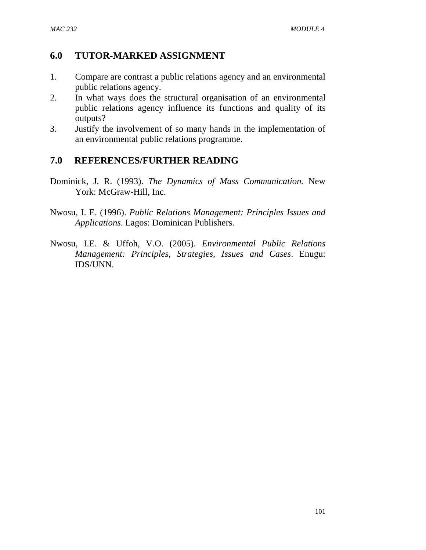## **6.0 TUTOR-MARKED ASSIGNMENT**

- 1. Compare are contrast a public relations agency and an environmental public relations agency.
- 2. In what ways does the structural organisation of an environmental public relations agency influence its functions and quality of its outputs?
- 3. Justify the involvement of so many hands in the implementation of an environmental public relations programme.

# **7.0 REFERENCES/FURTHER READING**

- Dominick, J. R. (1993). *The Dynamics of Mass Communication.* New York: McGraw-Hill, Inc.
- Nwosu, I. E. (1996). *Public Relations Management: Principles Issues and Applications*. Lagos: Dominican Publishers.
- Nwosu, I.E. & Uffoh, V.O. (2005). *Environmental Public Relations Management: Principles, Strategies, Issues and Cases*. Enugu: IDS/UNN.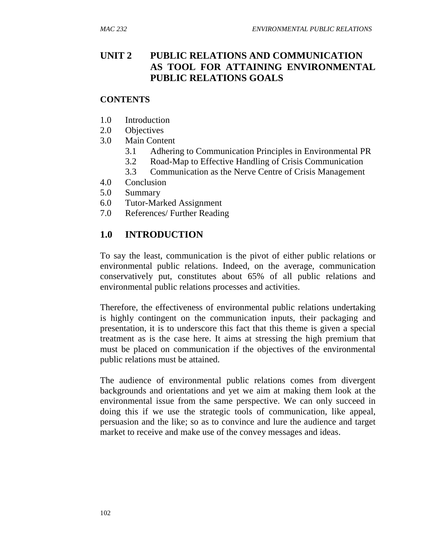# **UNIT 2 PUBLIC RELATIONS AND COMMUNICATION AS TOOL FOR ATTAINING ENVIRONMENTAL PUBLIC RELATIONS GOALS**

#### **CONTENTS**

- 1.0 Introduction
- 2.0 Objectives
- 3.0 Main Content
	- 3.1 Adhering to Communication Principles in Environmental PR
	- 3.2 Road-Map to Effective Handling of Crisis Communication
	- 3.3 Communication as the Nerve Centre of Crisis Management
- 4.0 Conclusion
- 5.0 Summary
- 6.0 Tutor-Marked Assignment
- 7.0 References/ Further Reading

# **1.0 INTRODUCTION**

To say the least, communication is the pivot of either public relations or environmental public relations. Indeed, on the average, communication conservatively put, constitutes about 65% of all public relations and environmental public relations processes and activities.

Therefore, the effectiveness of environmental public relations undertaking is highly contingent on the communication inputs, their packaging and presentation, it is to underscore this fact that this theme is given a special treatment as is the case here. It aims at stressing the high premium that must be placed on communication if the objectives of the environmental public relations must be attained.

The audience of environmental public relations comes from divergent backgrounds and orientations and yet we aim at making them look at the environmental issue from the same perspective. We can only succeed in doing this if we use the strategic tools of communication, like appeal, persuasion and the like; so as to convince and lure the audience and target market to receive and make use of the convey messages and ideas.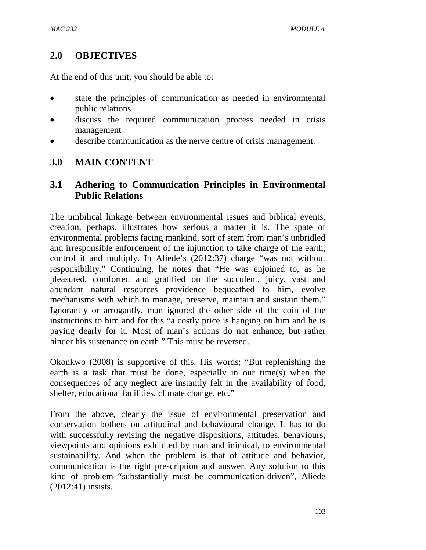# **2.0 OBJECTIVES**

At the end of this unit, you should be able to:

- state the principles of communication as needed in environmental public relations
- discuss the required communication process needed in crisis management
- describe communication as the nerve centre of crisis management.

### **3.0 MAIN CONTENT**

### **3.1 Adhering to Communication Principles in Environmental Public Relations**

The umbilical linkage between environmental issues and biblical events, creation, perhaps, illustrates how serious a matter it is. The spate of environmental problems facing mankind, sort of stem from man's unbridled and irresponsible enforcement of the injunction to take charge of the earth, control it and multiply. In Aliede's (2012:37) charge "was not without responsibility." Continuing, he notes that "He was enjoined to, as he pleasured, comforted and gratified on the succulent, juicy, vast and abundant natural resources providence bequeathed to him, evolve mechanisms with which to manage, preserve, maintain and sustain them." Ignorantly or arrogantly, man ignored the other side of the coin of the instructions to him and for this "a costly price is hanging on him and he is paying dearly for it. Most of man's actions do not enhance, but rather hinder his sustenance on earth." This must be reversed.

Okonkwo (2008) is supportive of this. His words; "But replenishing the earth is a task that must be done, especially in our time(s) when the consequences of any neglect are instantly felt in the availability of food, shelter, educational facilities, climate change, etc."

From the above, clearly the issue of environmental preservation and conservation bothers on attitudinal and behavioural change. It has to do with successfully revising the negative dispositions, attitudes, behaviours, viewpoints and opinions exhibited by man and inimical, to environmental sustainability. And when the problem is that of attitude and behavior, communication is the right prescription and answer. Any solution to this kind of problem "substantially must be communication-driven", Aliede (2012:41) insists.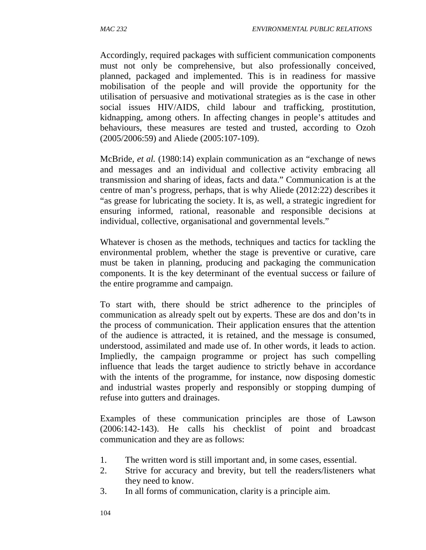Accordingly, required packages with sufficient communication components must not only be comprehensive, but also professionally conceived, planned, packaged and implemented. This is in readiness for massive mobilisation of the people and will provide the opportunity for the utilisation of persuasive and motivational strategies as is the case in other social issues HIV/AIDS, child labour and trafficking, prostitution, kidnapping, among others. In affecting changes in people's attitudes and behaviours, these measures are tested and trusted, according to Ozoh (2005/2006:59) and Aliede (2005:107-109).

McBride, *et al.* (1980:14) explain communication as an "exchange of news and messages and an individual and collective activity embracing all transmission and sharing of ideas, facts and data." Communication is at the centre of man's progress, perhaps, that is why Aliede (2012:22) describes it "as grease for lubricating the society. It is, as well, a strategic ingredient for ensuring informed, rational, reasonable and responsible decisions at individual, collective, organisational and governmental levels."

Whatever is chosen as the methods, techniques and tactics for tackling the environmental problem, whether the stage is preventive or curative, care must be taken in planning, producing and packaging the communication components. It is the key determinant of the eventual success or failure of the entire programme and campaign.

To start with, there should be strict adherence to the principles of communication as already spelt out by experts. These are dos and don'ts in the process of communication. Their application ensures that the attention of the audience is attracted, it is retained, and the message is consumed, understood, assimilated and made use of. In other words, it leads to action. Impliedly, the campaign programme or project has such compelling influence that leads the target audience to strictly behave in accordance with the intents of the programme, for instance, now disposing domestic and industrial wastes properly and responsibly or stopping dumping of refuse into gutters and drainages.

Examples of these communication principles are those of Lawson (2006:142-143). He calls his checklist of point and broadcast communication and they are as follows:

- 1. The written word is still important and, in some cases, essential.
- 2. Strive for accuracy and brevity, but tell the readers/listeners what they need to know.
- 3. In all forms of communication, clarity is a principle aim.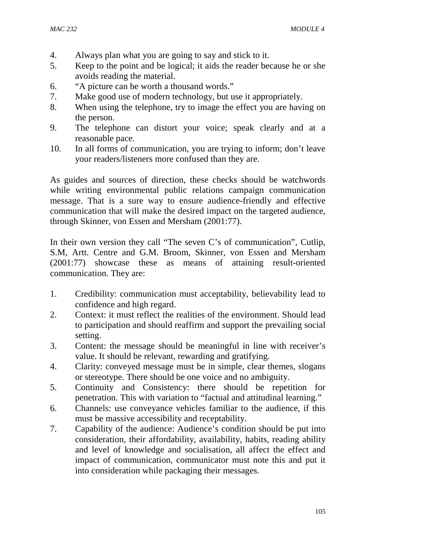- 4. Always plan what you are going to say and stick to it.
- 5. Keep to the point and be logical; it aids the reader because he or she avoids reading the material.
- 6. "A picture can be worth a thousand words."
- 7. Make good use of modern technology, but use it appropriately.
- 8. When using the telephone, try to image the effect you are having on the person.
- 9. The telephone can distort your voice; speak clearly and at a reasonable pace.
- 10. In all forms of communication, you are trying to inform; don't leave your readers/listeners more confused than they are.

As guides and sources of direction, these checks should be watchwords while writing environmental public relations campaign communication message. That is a sure way to ensure audience-friendly and effective communication that will make the desired impact on the targeted audience, through Skinner, von Essen and Mersham (2001:77).

In their own version they call "The seven C's of communication", Cutlip, S.M, Artt. Centre and G.M. Broom, Skinner, von Essen and Mersham (2001:77) showcase these as means of attaining result-oriented communication. They are:

- 1. Credibility: communication must acceptability, believability lead to confidence and high regard.
- 2. Context: it must reflect the realities of the environment. Should lead to participation and should reaffirm and support the prevailing social setting.
- 3. Content: the message should be meaningful in line with receiver's value. It should be relevant, rewarding and gratifying.
- 4. Clarity: conveyed message must be in simple, clear themes, slogans or stereotype. There should be one voice and no ambiguity.
- 5. Continuity and Consistency: there should be repetition for penetration. This with variation to "factual and attitudinal learning."
- 6. Channels: use conveyance vehicles familiar to the audience, if this must be massive accessibility and receptability.
- 7. Capability of the audience: Audience's condition should be put into consideration, their affordability, availability, habits, reading ability and level of knowledge and socialisation, all affect the effect and impact of communication, communicator must note this and put it into consideration while packaging their messages.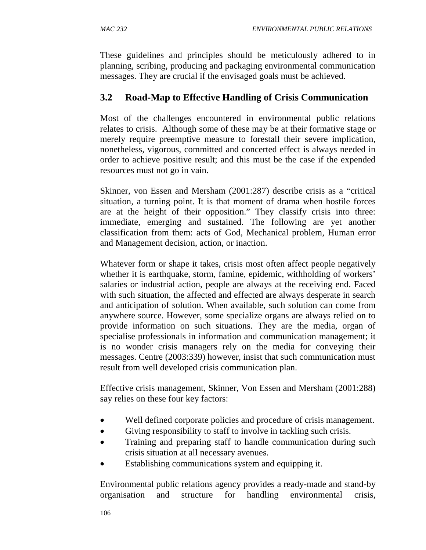These guidelines and principles should be meticulously adhered to in planning, scribing, producing and packaging environmental communication messages. They are crucial if the envisaged goals must be achieved.

# **3.2 Road-Map to Effective Handling of Crisis Communication**

Most of the challenges encountered in environmental public relations relates to crisis. Although some of these may be at their formative stage or merely require preemptive measure to forestall their severe implication, nonetheless, vigorous, committed and concerted effect is always needed in order to achieve positive result; and this must be the case if the expended resources must not go in vain.

Skinner, von Essen and Mersham (2001:287) describe crisis as a "critical situation, a turning point. It is that moment of drama when hostile forces are at the height of their opposition." They classify crisis into three: immediate, emerging and sustained. The following are yet another classification from them: acts of God, Mechanical problem, Human error and Management decision, action, or inaction.

Whatever form or shape it takes, crisis most often affect people negatively whether it is earthquake, storm, famine, epidemic, withholding of workers' salaries or industrial action, people are always at the receiving end. Faced with such situation, the affected and effected are always desperate in search and anticipation of solution. When available, such solution can come from anywhere source. However, some specialize organs are always relied on to provide information on such situations. They are the media, organ of specialise professionals in information and communication management; it is no wonder crisis managers rely on the media for conveying their messages. Centre (2003:339) however, insist that such communication must result from well developed crisis communication plan.

Effective crisis management, Skinner, Von Essen and Mersham (2001:288) say relies on these four key factors:

- Well defined corporate policies and procedure of crisis management.
- Giving responsibility to staff to involve in tackling such crisis.
- Training and preparing staff to handle communication during such crisis situation at all necessary avenues.
- Establishing communications system and equipping it.

Environmental public relations agency provides a ready-made and stand-by organisation and structure for handling environmental crisis,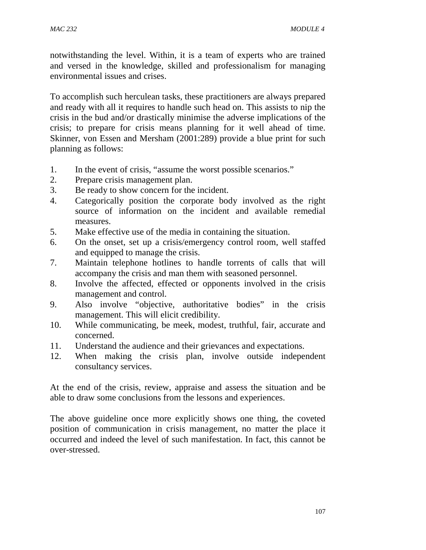notwithstanding the level. Within, it is a team of experts who are trained and versed in the knowledge, skilled and professionalism for managing environmental issues and crises.

To accomplish such herculean tasks, these practitioners are always prepared and ready with all it requires to handle such head on. This assists to nip the crisis in the bud and/or drastically minimise the adverse implications of the crisis; to prepare for crisis means planning for it well ahead of time. Skinner, von Essen and Mersham (2001:289) provide a blue print for such planning as follows:

- 1. In the event of crisis, "assume the worst possible scenarios."
- 2. Prepare crisis management plan.
- 3. Be ready to show concern for the incident.
- 4. Categorically position the corporate body involved as the right source of information on the incident and available remedial measures.
- 5. Make effective use of the media in containing the situation.
- 6. On the onset, set up a crisis/emergency control room, well staffed and equipped to manage the crisis.
- 7. Maintain telephone hotlines to handle torrents of calls that will accompany the crisis and man them with seasoned personnel.
- 8. Involve the affected, effected or opponents involved in the crisis management and control.
- 9. Also involve "objective, authoritative bodies" in the crisis management. This will elicit credibility.
- 10. While communicating, be meek, modest, truthful, fair, accurate and concerned.
- 11. Understand the audience and their grievances and expectations.
- 12. When making the crisis plan, involve outside independent consultancy services.

At the end of the crisis, review, appraise and assess the situation and be able to draw some conclusions from the lessons and experiences.

The above guideline once more explicitly shows one thing, the coveted position of communication in crisis management, no matter the place it occurred and indeed the level of such manifestation. In fact, this cannot be over-stressed.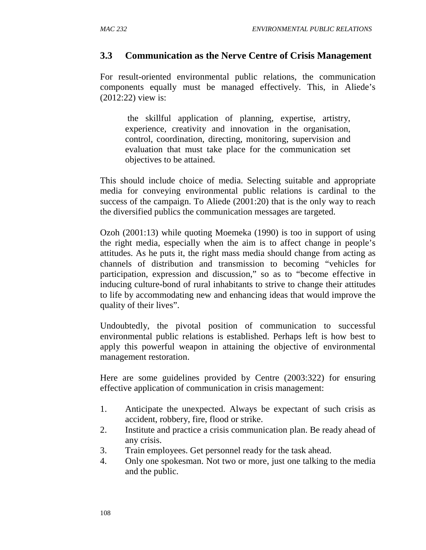### **3.3 Communication as the Nerve Centre of Crisis Management**

For result-oriented environmental public relations, the communication components equally must be managed effectively. This, in Aliede's (2012:22) view is:

the skillful application of planning, expertise, artistry, experience, creativity and innovation in the organisation, control, coordination, directing, monitoring, supervision and evaluation that must take place for the communication set objectives to be attained.

This should include choice of media. Selecting suitable and appropriate media for conveying environmental public relations is cardinal to the success of the campaign. To Aliede (2001:20) that is the only way to reach the diversified publics the communication messages are targeted.

Ozoh (2001:13) while quoting Moemeka (1990) is too in support of using the right media, especially when the aim is to affect change in people's attitudes. As he puts it, the right mass media should change from acting as channels of distribution and transmission to becoming "vehicles for participation, expression and discussion," so as to "become effective in inducing culture-bond of rural inhabitants to strive to change their attitudes to life by accommodating new and enhancing ideas that would improve the quality of their lives".

Undoubtedly, the pivotal position of communication to successful environmental public relations is established. Perhaps left is how best to apply this powerful weapon in attaining the objective of environmental management restoration.

Here are some guidelines provided by Centre (2003:322) for ensuring effective application of communication in crisis management:

- 1. Anticipate the unexpected. Always be expectant of such crisis as accident, robbery, fire, flood or strike.
- 2. Institute and practice a crisis communication plan. Be ready ahead of any crisis.
- 3. Train employees. Get personnel ready for the task ahead.
- 4. Only one spokesman. Not two or more, just one talking to the media and the public.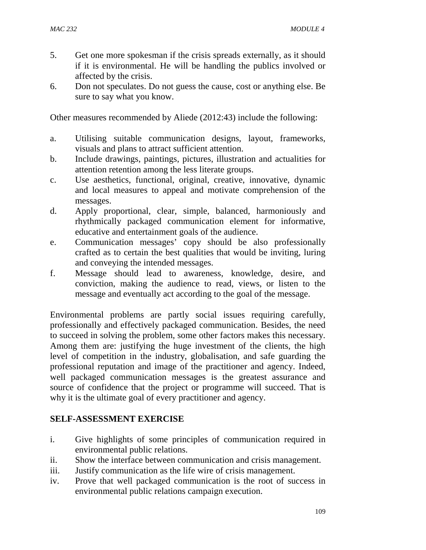- 5. Get one more spokesman if the crisis spreads externally, as it should if it is environmental. He will be handling the publics involved or affected by the crisis.
- 6. Don not speculates. Do not guess the cause, cost or anything else. Be sure to say what you know.

Other measures recommended by Aliede (2012:43) include the following:

- a. Utilising suitable communication designs, layout, frameworks, visuals and plans to attract sufficient attention.
- b. Include drawings, paintings, pictures, illustration and actualities for attention retention among the less literate groups.
- c. Use aesthetics, functional, original, creative, innovative, dynamic and local measures to appeal and motivate comprehension of the messages.
- d. Apply proportional, clear, simple, balanced, harmoniously and rhythmically packaged communication element for informative, educative and entertainment goals of the audience.
- e. Communication messages' copy should be also professionally crafted as to certain the best qualities that would be inviting, luring and conveying the intended messages.
- f. Message should lead to awareness, knowledge, desire, and conviction, making the audience to read, views, or listen to the message and eventually act according to the goal of the message.

Environmental problems are partly social issues requiring carefully, professionally and effectively packaged communication. Besides, the need to succeed in solving the problem, some other factors makes this necessary. Among them are: justifying the huge investment of the clients, the high level of competition in the industry, globalisation, and safe guarding the professional reputation and image of the practitioner and agency. Indeed, well packaged communication messages is the greatest assurance and source of confidence that the project or programme will succeed. That is why it is the ultimate goal of every practitioner and agency.

#### **SELF-ASSESSMENT EXERCISE**

- i. Give highlights of some principles of communication required in environmental public relations.
- ii. Show the interface between communication and crisis management.
- iii. Justify communication as the life wire of crisis management.
- iv. Prove that well packaged communication is the root of success in environmental public relations campaign execution.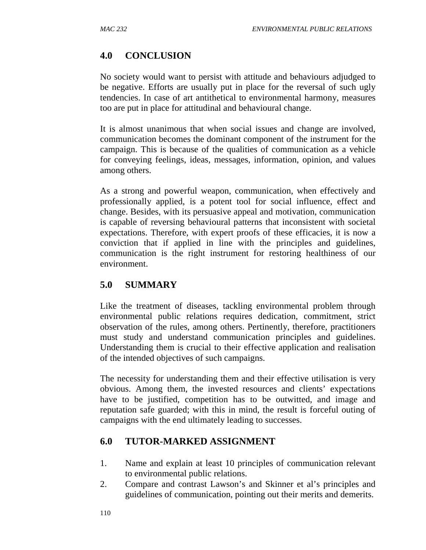# **4.0 CONCLUSION**

No society would want to persist with attitude and behaviours adjudged to be negative. Efforts are usually put in place for the reversal of such ugly tendencies. In case of art antithetical to environmental harmony, measures too are put in place for attitudinal and behavioural change.

It is almost unanimous that when social issues and change are involved, communication becomes the dominant component of the instrument for the campaign. This is because of the qualities of communication as a vehicle for conveying feelings, ideas, messages, information, opinion, and values among others.

As a strong and powerful weapon, communication, when effectively and professionally applied, is a potent tool for social influence, effect and change. Besides, with its persuasive appeal and motivation, communication is capable of reversing behavioural patterns that inconsistent with societal expectations. Therefore, with expert proofs of these efficacies, it is now a conviction that if applied in line with the principles and guidelines, communication is the right instrument for restoring healthiness of our environment.

# **5.0 SUMMARY**

Like the treatment of diseases, tackling environmental problem through environmental public relations requires dedication, commitment, strict observation of the rules, among others. Pertinently, therefore, practitioners must study and understand communication principles and guidelines. Understanding them is crucial to their effective application and realisation of the intended objectives of such campaigns.

The necessity for understanding them and their effective utilisation is very obvious. Among them, the invested resources and clients' expectations have to be justified, competition has to be outwitted, and image and reputation safe guarded; with this in mind, the result is forceful outing of campaigns with the end ultimately leading to successes.

# **6.0 TUTOR-MARKED ASSIGNMENT**

- 1. Name and explain at least 10 principles of communication relevant to environmental public relations.
- 2. Compare and contrast Lawson's and Skinner et al's principles and guidelines of communication, pointing out their merits and demerits.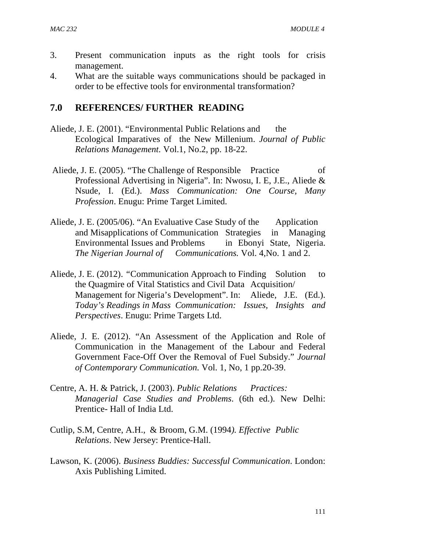- 3. Present communication inputs as the right tools for crisis management.
- 4. What are the suitable ways communications should be packaged in order to be effective tools for environmental transformation?

### **7.0 REFERENCES/ FURTHER READING**

- Aliede, J. E. (2001). "Environmental Public Relations and the Ecological Imparatives of the New Millenium. *Journal of Public Relations Management.* Vol.1, No.2, pp. 18-22.
- Aliede, J. E. (2005). "The Challenge of Responsible Practice of Professional Advertising in Nigeria". In: Nwosu, I. E, J.E., Aliede & Nsude, I. (Ed.). *Mass Communication: One Course, Many Profession*. Enugu: Prime Target Limited.
- Aliede, J. E. (2005/06). "An Evaluative Case Study of the Application and Misapplications of Communication Strategies in Managing Environmental Issues and Problems in Ebonyi State, Nigeria. *The Nigerian Journal of Communications.* Vol. 4,No. 1 and 2.
- Aliede, J. E. (2012). "Communication Approach to Finding Solution to the Quagmire of Vital Statistics and Civil Data Acquisition/ Management for Nigeria's Development". In: Aliede, J.E. (Ed.). *Today's Readings in Mass Communication: Issues, Insights and Perspectives*. Enugu: Prime Targets Ltd.
- Aliede, J. E. (2012). "An Assessment of the Application and Role of Communication in the Management of the Labour and Federal Government Face-Off Over the Removal of Fuel Subsidy." *Journal of Contemporary Communication.* Vol. 1, No, 1 pp.20-39.
- Centre, A. H. & Patrick, J. (2003). *Public Relations Practices: Managerial Case Studies and Problems*. (6th ed.). New Delhi: Prentice- Hall of India Ltd.
- Cutlip, S.M, Centre, A.H., & Broom, G.M. (1994*). Effective Public Relations*. New Jersey: Prentice-Hall.
- Lawson, K. (2006). *Business Buddies: Successful Communication*. London: Axis Publishing Limited.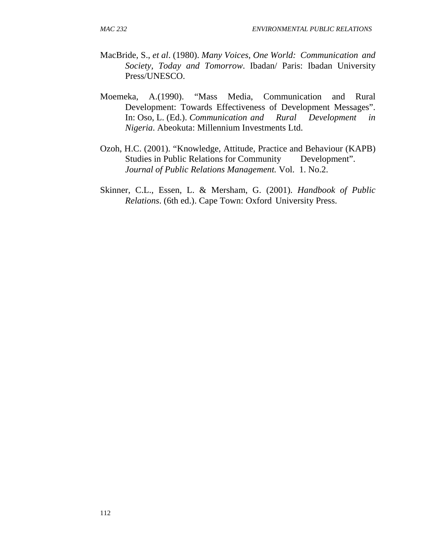- MacBride, S., *et al*. (1980). *Many Voices, One World: Communication and Society, Today and Tomorrow*. Ibadan/ Paris: Ibadan University Press/UNESCO.
- Moemeka, A.(1990). "Mass Media, Communication and Rural Development: Towards Effectiveness of Development Messages". In: Oso, L. (Ed.). *Communication and Rural Development in Nigeria*. Abeokuta: Millennium Investments Ltd.
- Ozoh, H.C. (2001). "Knowledge, Attitude, Practice and Behaviour (KAPB) Studies in Public Relations for Community Development". *Journal of Public Relations Management.* Vol. 1. No.2.
- Skinner, C.L., Essen, L. & Mersham, G. (2001). *Handbook of Public Relations*. (6th ed.). Cape Town: Oxford University Press.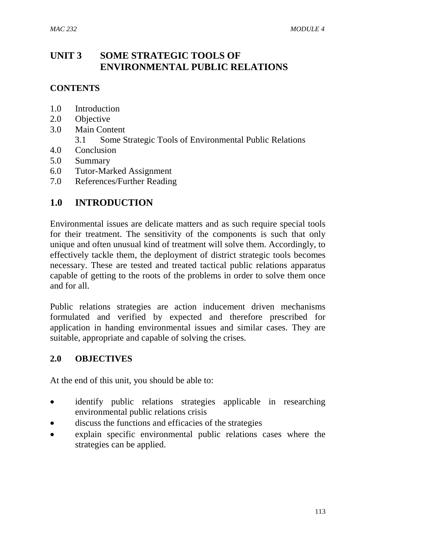# **UNIT 3 SOME STRATEGIC TOOLS OF ENVIRONMENTAL PUBLIC RELATIONS**

#### **CONTENTS**

- 1.0 Introduction
- 2.0 Objective
- 3.0 Main Content
	- 3.1 Some Strategic Tools of Environmental Public Relations
- 4.0 Conclusion
- 5.0 Summary
- 6.0 Tutor-Marked Assignment
- 7.0 References/Further Reading

### **1.0 INTRODUCTION**

Environmental issues are delicate matters and as such require special tools for their treatment. The sensitivity of the components is such that only unique and often unusual kind of treatment will solve them. Accordingly, to effectively tackle them, the deployment of district strategic tools becomes necessary. These are tested and treated tactical public relations apparatus capable of getting to the roots of the problems in order to solve them once and for all.

Public relations strategies are action inducement driven mechanisms formulated and verified by expected and therefore prescribed for application in handing environmental issues and similar cases. They are suitable, appropriate and capable of solving the crises.

#### **2.0 OBJECTIVES**

At the end of this unit, you should be able to:

- identify public relations strategies applicable in researching environmental public relations crisis
- discuss the functions and efficacies of the strategies
- explain specific environmental public relations cases where the strategies can be applied.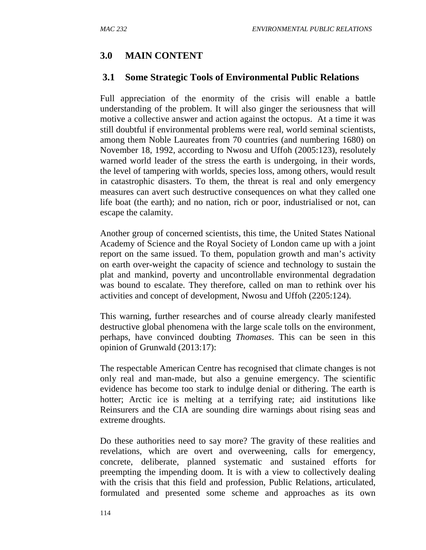# **3.0 MAIN CONTENT**

# **3.1 Some Strategic Tools of Environmental Public Relations**

Full appreciation of the enormity of the crisis will enable a battle understanding of the problem. It will also ginger the seriousness that will motive a collective answer and action against the octopus. At a time it was still doubtful if environmental problems were real, world seminal scientists, among them Noble Laureates from 70 countries (and numbering 1680) on November 18, 1992, according to Nwosu and Uffoh (2005:123), resolutely warned world leader of the stress the earth is undergoing, in their words, the level of tampering with worlds, species loss, among others, would result in catastrophic disasters. To them, the threat is real and only emergency measures can avert such destructive consequences on what they called one life boat (the earth); and no nation, rich or poor, industrialised or not, can escape the calamity.

Another group of concerned scientists, this time, the United States National Academy of Science and the Royal Society of London came up with a joint report on the same issued. To them, population growth and man's activity on earth over-weight the capacity of science and technology to sustain the plat and mankind, poverty and uncontrollable environmental degradation was bound to escalate. They therefore, called on man to rethink over his activities and concept of development, Nwosu and Uffoh (2205:124).

This warning, further researches and of course already clearly manifested destructive global phenomena with the large scale tolls on the environment, perhaps, have convinced doubting *Thomases*. This can be seen in this opinion of Grunwald (2013:17):

The respectable American Centre has recognised that climate changes is not only real and man-made, but also a genuine emergency. The scientific evidence has become too stark to indulge denial or dithering. The earth is hotter; Arctic ice is melting at a terrifying rate; aid institutions like Reinsurers and the CIA are sounding dire warnings about rising seas and extreme droughts.

Do these authorities need to say more? The gravity of these realities and revelations, which are overt and overweening, calls for emergency, concrete, deliberate, planned systematic and sustained efforts for preempting the impending doom. It is with a view to collectively dealing with the crisis that this field and profession, Public Relations, articulated, formulated and presented some scheme and approaches as its own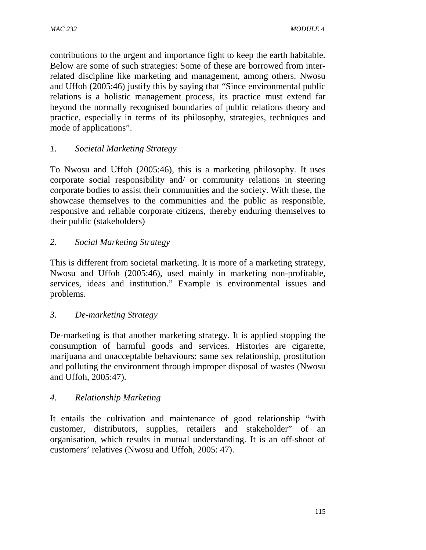contributions to the urgent and importance fight to keep the earth habitable. Below are some of such strategies: Some of these are borrowed from interrelated discipline like marketing and management, among others. Nwosu and Uffoh (2005:46) justify this by saying that "Since environmental public relations is a holistic management process, its practice must extend far beyond the normally recognised boundaries of public relations theory and practice, especially in terms of its philosophy, strategies, techniques and mode of applications".

# *1. Societal Marketing Strategy*

To Nwosu and Uffoh (2005:46), this is a marketing philosophy. It uses corporate social responsibility and/ or community relations in steering corporate bodies to assist their communities and the society. With these, the showcase themselves to the communities and the public as responsible, responsive and reliable corporate citizens, thereby enduring themselves to their public (stakeholders)

# *2. Social Marketing Strategy*

This is different from societal marketing. It is more of a marketing strategy, Nwosu and Uffoh (2005:46), used mainly in marketing non-profitable, services, ideas and institution." Example is environmental issues and problems.

# *3. De-marketing Strategy*

De-marketing is that another marketing strategy. It is applied stopping the consumption of harmful goods and services. Histories are cigarette, marijuana and unacceptable behaviours: same sex relationship, prostitution and polluting the environment through improper disposal of wastes (Nwosu and Uffoh, 2005:47).

# *4. Relationship Marketing*

It entails the cultivation and maintenance of good relationship "with customer, distributors, supplies, retailers and stakeholder" of an organisation, which results in mutual understanding. It is an off-shoot of customers' relatives (Nwosu and Uffoh, 2005: 47).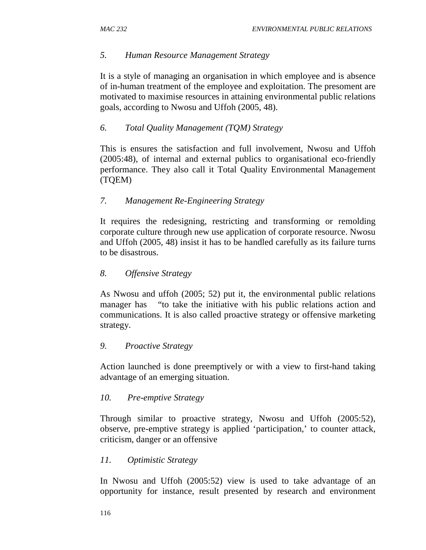#### *5. Human Resource Management Strategy*

It is a style of managing an organisation in which employee and is absence of in-human treatment of the employee and exploitation. The presoment are motivated to maximise resources in attaining environmental public relations goals, according to Nwosu and Uffoh (2005, 48).

#### *6. Total Quality Management (TQM) Strategy*

This is ensures the satisfaction and full involvement, Nwosu and Uffoh (2005:48), of internal and external publics to organisational eco-friendly performance. They also call it Total Quality Environmental Management (TQEM)

#### *7. Management Re-Engineering Strategy*

It requires the redesigning, restricting and transforming or remolding corporate culture through new use application of corporate resource. Nwosu and Uffoh (2005, 48) insist it has to be handled carefully as its failure turns to be disastrous.

#### *8. Offensive Strategy*

As Nwosu and uffoh (2005; 52) put it, the environmental public relations manager has "to take the initiative with his public relations action and communications. It is also called proactive strategy or offensive marketing strategy.

#### *9. Proactive Strategy*

Action launched is done preemptively or with a view to first-hand taking advantage of an emerging situation.

#### *10. Pre-emptive Strategy*

Through similar to proactive strategy, Nwosu and Uffoh (2005:52), observe, pre-emptive strategy is applied 'participation,' to counter attack, criticism, danger or an offensive

#### *11. Optimistic Strategy*

In Nwosu and Uffoh (2005:52) view is used to take advantage of an opportunity for instance, result presented by research and environment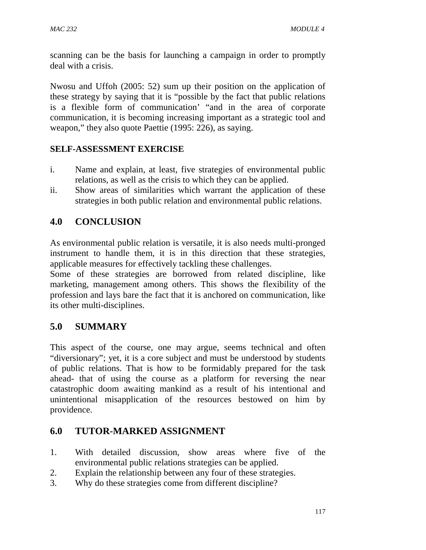scanning can be the basis for launching a campaign in order to promptly deal with a crisis.

Nwosu and Uffoh (2005: 52) sum up their position on the application of these strategy by saying that it is "possible by the fact that public relations is a flexible form of communication' "and in the area of corporate communication, it is becoming increasing important as a strategic tool and weapon," they also quote Paettie (1995: 226), as saying.

# **SELF-ASSESSMENT EXERCISE**

- i. Name and explain, at least, five strategies of environmental public relations, as well as the crisis to which they can be applied.
- ii. Show areas of similarities which warrant the application of these strategies in both public relation and environmental public relations.

# **4.0 CONCLUSION**

As environmental public relation is versatile, it is also needs multi-pronged instrument to handle them, it is in this direction that these strategies, applicable measures for effectively tackling these challenges.

Some of these strategies are borrowed from related discipline, like marketing, management among others. This shows the flexibility of the profession and lays bare the fact that it is anchored on communication, like its other multi-disciplines.

# **5.0 SUMMARY**

This aspect of the course, one may argue, seems technical and often "diversionary"; yet, it is a core subject and must be understood by students of public relations. That is how to be formidably prepared for the task ahead- that of using the course as a platform for reversing the near catastrophic doom awaiting mankind as a result of his intentional and unintentional misapplication of the resources bestowed on him by providence.

# **6.0 TUTOR-MARKED ASSIGNMENT**

- 1. With detailed discussion, show areas where five of the environmental public relations strategies can be applied.
- 2. Explain the relationship between any four of these strategies.
- 3. Why do these strategies come from different discipline?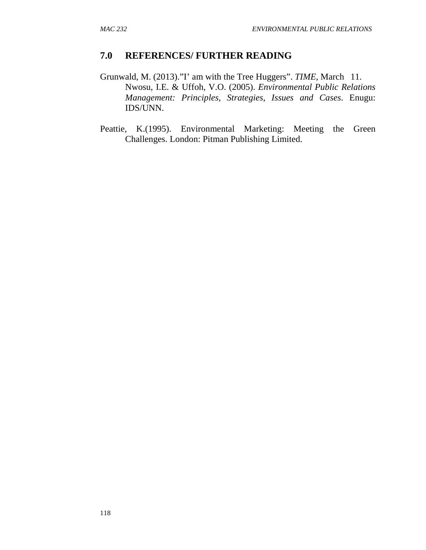### **7.0 REFERENCES/ FURTHER READING**

- Grunwald, M. (2013)."I' am with the Tree Huggers". *TIME*, March 11. Nwosu, I.E. & Uffoh, V.O. (2005). *Environmental Public Relations Management: Principles, Strategies, Issues and Cases*. Enugu: IDS/UNN.
- Peattie, K.(1995). Environmental Marketing: Meeting the Green Challenges. London: Pitman Publishing Limited.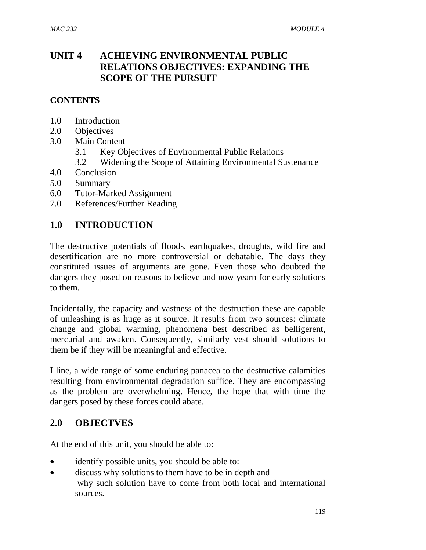# **UNIT 4 ACHIEVING ENVIRONMENTAL PUBLIC RELATIONS OBJECTIVES: EXPANDING THE SCOPE OF THE PURSUIT**

#### **CONTENTS**

- 1.0 Introduction
- 2.0 Objectives
- 3.0 Main Content
	- 3.1 Key Objectives of Environmental Public Relations
	- 3.2 Widening the Scope of Attaining Environmental Sustenance
- 4.0 Conclusion
- 5.0 Summary
- 6.0 Tutor-Marked Assignment
- 7.0 References/Further Reading

### **1.0 INTRODUCTION**

The destructive potentials of floods, earthquakes, droughts, wild fire and desertification are no more controversial or debatable. The days they constituted issues of arguments are gone. Even those who doubted the dangers they posed on reasons to believe and now yearn for early solutions to them.

Incidentally, the capacity and vastness of the destruction these are capable of unleashing is as huge as it source. It results from two sources: climate change and global warming, phenomena best described as belligerent, mercurial and awaken. Consequently, similarly vest should solutions to them be if they will be meaningful and effective.

I line, a wide range of some enduring panacea to the destructive calamities resulting from environmental degradation suffice. They are encompassing as the problem are overwhelming. Hence, the hope that with time the dangers posed by these forces could abate.

### **2.0 OBJECTVES**

At the end of this unit, you should be able to:

- identify possible units, you should be able to:
- discuss why solutions to them have to be in depth and why such solution have to come from both local and international sources.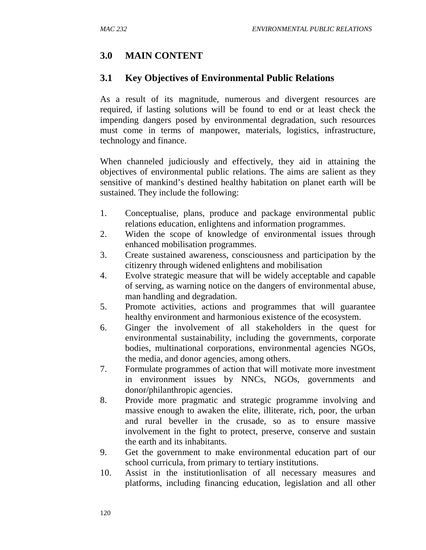# **3.0 MAIN CONTENT**

### **3.1 Key Objectives of Environmental Public Relations**

As a result of its magnitude, numerous and divergent resources are required, if lasting solutions will be found to end or at least check the impending dangers posed by environmental degradation, such resources must come in terms of manpower, materials, logistics, infrastructure, technology and finance.

When channeled judiciously and effectively, they aid in attaining the objectives of environmental public relations. The aims are salient as they sensitive of mankind's destined healthy habitation on planet earth will be sustained. They include the following:

- 1. Conceptualise, plans, produce and package environmental public relations education, enlightens and information programmes.
- 2. Widen the scope of knowledge of environmental issues through enhanced mobilisation programmes.
- 3. Create sustained awareness, consciousness and participation by the citizenry through widened enlightens and mobilisation
- 4. Evolve strategic measure that will be widely acceptable and capable of serving, as warning notice on the dangers of environmental abuse, man handling and degradation.
- 5. Promote activities, actions and programmes that will guarantee healthy environment and harmonious existence of the ecosystem.
- 6. Ginger the involvement of all stakeholders in the quest for environmental sustainability, including the governments, corporate bodies, multinational corporations, environmental agencies NGOs, the media, and donor agencies, among others.
- 7. Formulate programmes of action that will motivate more investment in environment issues by NNCs, NGOs, governments and donor/philanthropic agencies.
- 8. Provide more pragmatic and strategic programme involving and massive enough to awaken the elite, illiterate, rich, poor, the urban and rural beveller in the crusade, so as to ensure massive involvement in the fight to protect, preserve, conserve and sustain the earth and its inhabitants.
- 9. Get the government to make environmental education part of our school curricula, from primary to tertiary institutions.
- 10. Assist in the institutionlisation of all necessary measures and platforms, including financing education, legislation and all other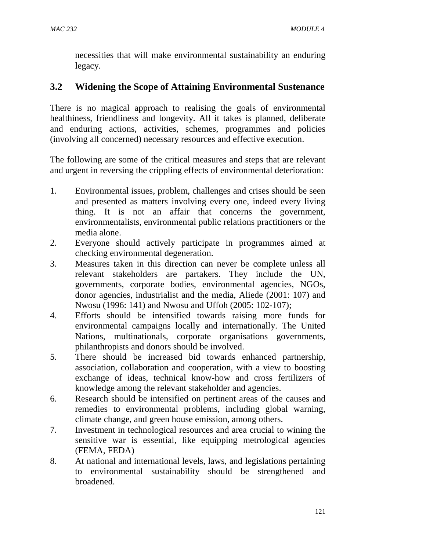necessities that will make environmental sustainability an enduring legacy.

# **3.2 Widening the Scope of Attaining Environmental Sustenance**

There is no magical approach to realising the goals of environmental healthiness, friendliness and longevity. All it takes is planned, deliberate and enduring actions, activities, schemes, programmes and policies (involving all concerned) necessary resources and effective execution.

The following are some of the critical measures and steps that are relevant and urgent in reversing the crippling effects of environmental deterioration:

- 1. Environmental issues, problem, challenges and crises should be seen and presented as matters involving every one, indeed every living thing. It is not an affair that concerns the government, environmentalists, environmental public relations practitioners or the media alone.
- 2. Everyone should actively participate in programmes aimed at checking environmental degeneration.
- 3. Measures taken in this direction can never be complete unless all relevant stakeholders are partakers. They include the UN, governments, corporate bodies, environmental agencies, NGOs, donor agencies, industrialist and the media, Aliede (2001: 107) and Nwosu (1996: 141) and Nwosu and Uffoh (2005: 102-107);
- 4. Efforts should be intensified towards raising more funds for environmental campaigns locally and internationally. The United Nations, multinationals, corporate organisations governments, philanthropists and donors should be involved.
- 5. There should be increased bid towards enhanced partnership, association, collaboration and cooperation, with a view to boosting exchange of ideas, technical know-how and cross fertilizers of knowledge among the relevant stakeholder and agencies.
- 6. Research should be intensified on pertinent areas of the causes and remedies to environmental problems, including global warning, climate change, and green house emission, among others.
- 7. Investment in technological resources and area crucial to wining the sensitive war is essential, like equipping metrological agencies (FEMA, FEDA)
- 8. At national and international levels, laws, and legislations pertaining to environmental sustainability should be strengthened and broadened.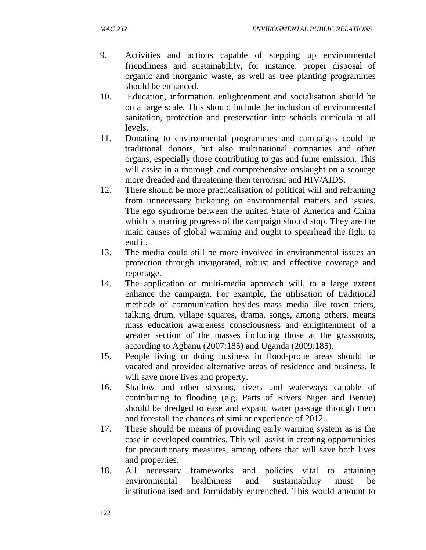- 9. Activities and actions capable of stepping up environmental friendliness and sustainability, for instance: proper disposal of organic and inorganic waste, as well as tree planting programmes should be enhanced.
- 10. Education, information, enlightenment and socialisation should be on a large scale. This should include the inclusion of environmental sanitation, protection and preservation into schools curricula at all levels.
- 11. Donating to environmental programmes and campaigns could be traditional donors, but also multinational companies and other organs, especially those contributing to gas and fume emission. This will assist in a thorough and comprehensive onslaught on a scourge more dreaded and threatening then terrorism and HIV/AIDS.
- 12. There should be more practicalisation of political will and reframing from unnecessary bickering on environmental matters and issues. The ego syndrome between the united State of America and China which is marring progress of the campaign should stop. They are the main causes of global warming and ought to spearhead the fight to end it.
- 13. The media could still be more involved in environmental issues an protection through invigorated, robust and effective coverage and reportage.
- 14. The application of multi-media approach will, to a large extent enhance the campaign. For example, the utilisation of traditional methods of communication besides mass media like town criers, talking drum, village squares, drama, songs, among others, means mass education awareness consciousness and enlightenment of a greater section of the masses including those at the grassroots, according to Agbanu (2007:185) and Uganda (2009:185).
- 15. People living or doing business in flood-prone areas should be vacated and provided alternative areas of residence and business. It will save more lives and property.
- 16. Shallow and other streams, rivers and waterways capable of contributing to flooding (e.g. Parts of Rivers Niger and Benue) should be dredged to ease and expand water passage through them and forestall the chances of similar experience of 2012.
- 17. These should be means of providing early warning system as is the case in developed countries. This will assist in creating opportunities for precautionary measures, among others that will save both lives and properties.
- 18. All necessary frameworks and policies vital to attaining environmental healthiness and sustainability must be institutionalised and formidably entrenched. This would amount to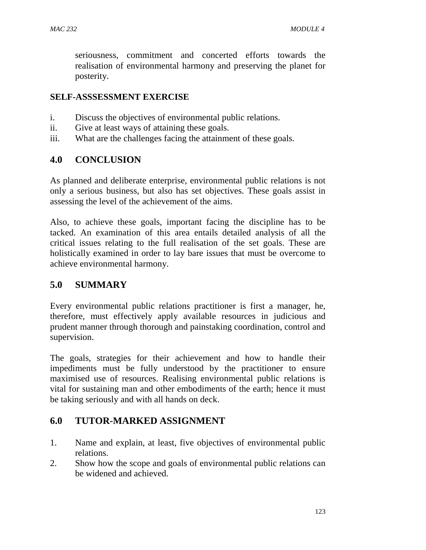seriousness, commitment and concerted efforts towards the realisation of environmental harmony and preserving the planet for posterity.

#### **SELF-ASSSESSMENT EXERCISE**

- i. Discuss the objectives of environmental public relations.
- ii. Give at least ways of attaining these goals.
- iii. What are the challenges facing the attainment of these goals.

### **4.0 CONCLUSION**

As planned and deliberate enterprise, environmental public relations is not only a serious business, but also has set objectives. These goals assist in assessing the level of the achievement of the aims.

Also, to achieve these goals, important facing the discipline has to be tacked. An examination of this area entails detailed analysis of all the critical issues relating to the full realisation of the set goals. These are holistically examined in order to lay bare issues that must be overcome to achieve environmental harmony.

### **5.0 SUMMARY**

Every environmental public relations practitioner is first a manager, he, therefore, must effectively apply available resources in judicious and prudent manner through thorough and painstaking coordination, control and supervision.

The goals, strategies for their achievement and how to handle their impediments must be fully understood by the practitioner to ensure maximised use of resources. Realising environmental public relations is vital for sustaining man and other embodiments of the earth; hence it must be taking seriously and with all hands on deck.

### **6.0 TUTOR-MARKED ASSIGNMENT**

- 1. Name and explain, at least, five objectives of environmental public relations.
- 2. Show how the scope and goals of environmental public relations can be widened and achieved.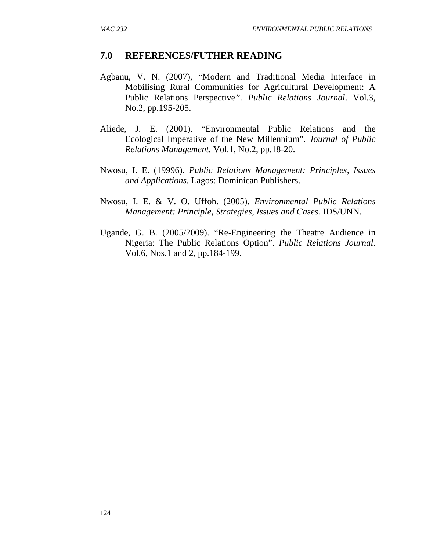### **7.0 REFERENCES/FUTHER READING**

- Agbanu, V. N. (2007), "Modern and Traditional Media Interface in Mobilising Rural Communities for Agricultural Development: A Public Relations Perspective*". Public Relations Journal*. Vol.3, No.2, pp.195-205.
- Aliede, J. E. (2001). "Environmental Public Relations and the Ecological Imperative of the New Millennium". *Journal of Public Relations Management.* Vol.1, No.2, pp.18-20.
- Nwosu, I. E. (19996). *Public Relations Management: Principles, Issues and Applications.* Lagos: Dominican Publishers.
- Nwosu, I. E. & V. O. Uffoh. (2005). *Environmental Public Relations Management: Principle, Strategies, Issues and Cases*. IDS/UNN.
- Ugande, G. B. (2005/2009). "Re-Engineering the Theatre Audience in Nigeria: The Public Relations Option". *Public Relations Journal*. Vol.6, Nos.1 and 2, pp.184-199.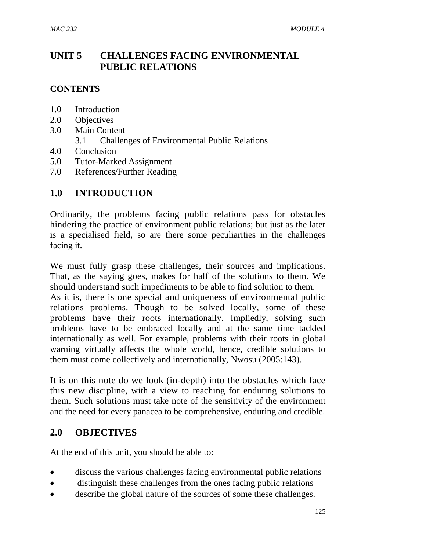# **UNIT 5 CHALLENGES FACING ENVIRONMENTAL PUBLIC RELATIONS**

#### **CONTENTS**

- 1.0 Introduction
- 2.0 Objectives
- 3.0 Main Content
	- 3.1 Challenges of Environmental Public Relations
- 4.0 Conclusion
- 5.0 Tutor-Marked Assignment
- 7.0 References/Further Reading

# **1.0 INTRODUCTION**

Ordinarily, the problems facing public relations pass for obstacles hindering the practice of environment public relations; but just as the later is a specialised field, so are there some peculiarities in the challenges facing it.

We must fully grasp these challenges, their sources and implications. That, as the saying goes, makes for half of the solutions to them. We should understand such impediments to be able to find solution to them.

As it is, there is one special and uniqueness of environmental public relations problems. Though to be solved locally, some of these problems have their roots internationally. Impliedly, solving such problems have to be embraced locally and at the same time tackled internationally as well. For example, problems with their roots in global warning virtually affects the whole world, hence, credible solutions to them must come collectively and internationally, Nwosu (2005:143).

It is on this note do we look (in-depth) into the obstacles which face this new discipline, with a view to reaching for enduring solutions to them. Such solutions must take note of the sensitivity of the environment and the need for every panacea to be comprehensive, enduring and credible.

### **2.0 OBJECTIVES**

At the end of this unit, you should be able to:

- discuss the various challenges facing environmental public relations
- distinguish these challenges from the ones facing public relations
- describe the global nature of the sources of some these challenges.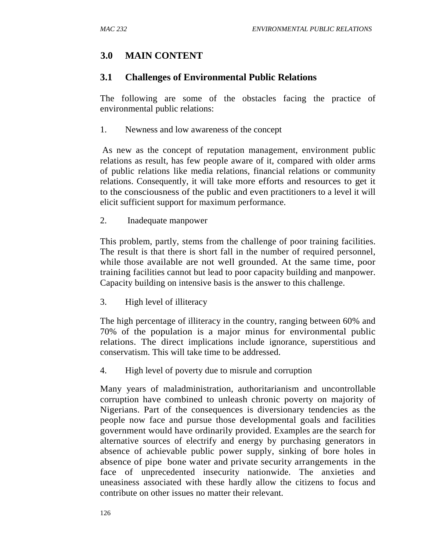### **3.0 MAIN CONTENT**

### **3.1 Challenges of Environmental Public Relations**

The following are some of the obstacles facing the practice of environmental public relations:

1. Newness and low awareness of the concept

As new as the concept of reputation management, environment public relations as result, has few people aware of it, compared with older arms of public relations like media relations, financial relations or community relations. Consequently, it will take more efforts and resources to get it to the consciousness of the public and even practitioners to a level it will elicit sufficient support for maximum performance.

2. Inadequate manpower

This problem, partly, stems from the challenge of poor training facilities. The result is that there is short fall in the number of required personnel, while those available are not well grounded. At the same time, poor training facilities cannot but lead to poor capacity building and manpower. Capacity building on intensive basis is the answer to this challenge.

3. High level of illiteracy

The high percentage of illiteracy in the country, ranging between 60% and 70% of the population is a major minus for environmental public relations. The direct implications include ignorance, superstitious and conservatism. This will take time to be addressed.

4. High level of poverty due to misrule and corruption

Many years of maladministration, authoritarianism and uncontrollable corruption have combined to unleash chronic poverty on majority of Nigerians. Part of the consequences is diversionary tendencies as the people now face and pursue those developmental goals and facilities government would have ordinarily provided. Examples are the search for alternative sources of electrify and energy by purchasing generators in absence of achievable public power supply, sinking of bore holes in absence of pipe bone water and private security arrangements in the face of unprecedented insecurity nationwide. The anxieties and uneasiness associated with these hardly allow the citizens to focus and contribute on other issues no matter their relevant.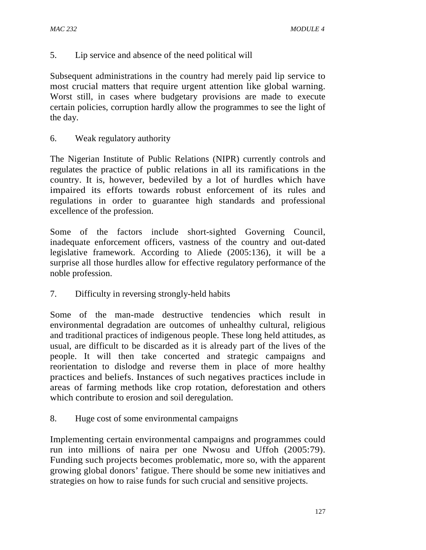5. Lip service and absence of the need political will

Subsequent administrations in the country had merely paid lip service to most crucial matters that require urgent attention like global warning. Worst still, in cases where budgetary provisions are made to execute certain policies, corruption hardly allow the programmes to see the light of the day.

6. Weak regulatory authority

The Nigerian Institute of Public Relations (NIPR) currently controls and regulates the practice of public relations in all its ramifications in the country. It is, however, bedeviled by a lot of hurdles which have impaired its efforts towards robust enforcement of its rules and regulations in order to guarantee high standards and professional excellence of the profession.

Some of the factors include short-sighted Governing Council, inadequate enforcement officers, vastness of the country and out-dated legislative framework. According to Aliede (2005:136), it will be a surprise all those hurdles allow for effective regulatory performance of the noble profession.

7. Difficulty in reversing strongly-held habits

Some of the man-made destructive tendencies which result in environmental degradation are outcomes of unhealthy cultural, religious and traditional practices of indigenous people. These long held attitudes, as usual, are difficult to be discarded as it is already part of the lives of the people. It will then take concerted and strategic campaigns and reorientation to dislodge and reverse them in place of more healthy practices and beliefs. Instances of such negatives practices include in areas of farming methods like crop rotation, deforestation and others which contribute to erosion and soil deregulation.

8. Huge cost of some environmental campaigns

Implementing certain environmental campaigns and programmes could run into millions of naira per one Nwosu and Uffoh (2005:79). Funding such projects becomes problematic, more so, with the apparent growing global donors' fatigue. There should be some new initiatives and strategies on how to raise funds for such crucial and sensitive projects.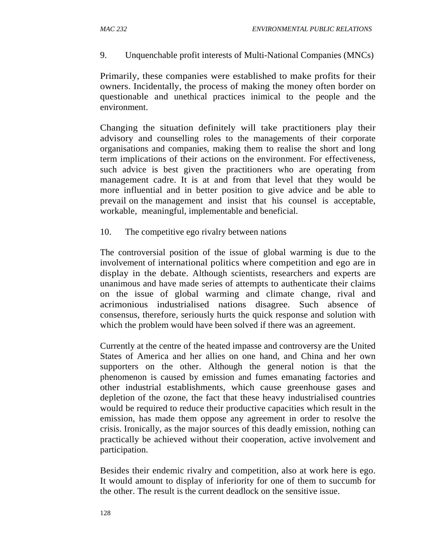9. Unquenchable profit interests of Multi-National Companies (MNCs)

Primarily, these companies were established to make profits for their owners. Incidentally, the process of making the money often border on questionable and unethical practices inimical to the people and the environment.

Changing the situation definitely will take practitioners play their advisory and counselling roles to the managements of their corporate organisations and companies, making them to realise the short and long term implications of their actions on the environment. For effectiveness, such advice is best given the practitioners who are operating from management cadre. It is at and from that level that they would be more influential and in better position to give advice and be able to prevail on the management and insist that his counsel is acceptable, workable, meaningful, implementable and beneficial.

10. The competitive ego rivalry between nations

The controversial position of the issue of global warming is due to the involvement of international politics where competition and ego are in display in the debate. Although scientists, researchers and experts are unanimous and have made series of attempts to authenticate their claims on the issue of global warming and climate change, rival and acrimonious industrialised nations disagree. Such absence of consensus, therefore, seriously hurts the quick response and solution with which the problem would have been solved if there was an agreement.

Currently at the centre of the heated impasse and controversy are the United States of America and her allies on one hand, and China and her own supporters on the other. Although the general notion is that the phenomenon is caused by emission and fumes emanating factories and other industrial establishments, which cause greenhouse gases and depletion of the ozone, the fact that these heavy industrialised countries would be required to reduce their productive capacities which result in the emission, has made them oppose any agreement in order to resolve the crisis. Ironically, as the major sources of this deadly emission, nothing can practically be achieved without their cooperation, active involvement and participation.

Besides their endemic rivalry and competition, also at work here is ego. It would amount to display of inferiority for one of them to succumb for the other. The result is the current deadlock on the sensitive issue.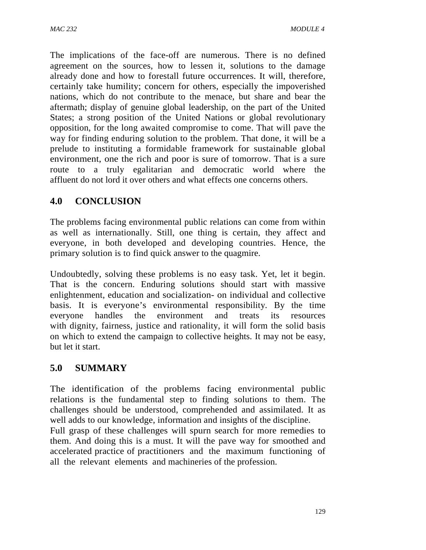The implications of the face-off are numerous. There is no defined agreement on the sources, how to lessen it, solutions to the damage already done and how to forestall future occurrences. It will, therefore, certainly take humility; concern for others, especially the impoverished nations, which do not contribute to the menace, but share and bear the aftermath; display of genuine global leadership, on the part of the United States; a strong position of the United Nations or global revolutionary opposition, for the long awaited compromise to come. That will pave the way for finding enduring solution to the problem. That done, it will be a prelude to instituting a formidable framework for sustainable global environment, one the rich and poor is sure of tomorrow. That is a sure route to a truly egalitarian and democratic world where the affluent do not lord it over others and what effects one concerns others.

# **4.0 CONCLUSION**

The problems facing environmental public relations can come from within as well as internationally. Still, one thing is certain, they affect and everyone, in both developed and developing countries. Hence, the primary solution is to find quick answer to the quagmire.

Undoubtedly, solving these problems is no easy task. Yet, let it begin. That is the concern. Enduring solutions should start with massive enlightenment, education and socialization- on individual and collective basis. It is everyone's environmental responsibility. By the time everyone handles the environment and treats its resources with dignity, fairness, justice and rationality, it will form the solid basis on which to extend the campaign to collective heights. It may not be easy, but let it start.

# **5.0 SUMMARY**

The identification of the problems facing environmental public relations is the fundamental step to finding solutions to them. The challenges should be understood, comprehended and assimilated. It as well adds to our knowledge, information and insights of the discipline.

Full grasp of these challenges will spurn search for more remedies to them. And doing this is a must. It will the pave way for smoothed and accelerated practice of practitioners and the maximum functioning of all the relevant elements and machineries of the profession.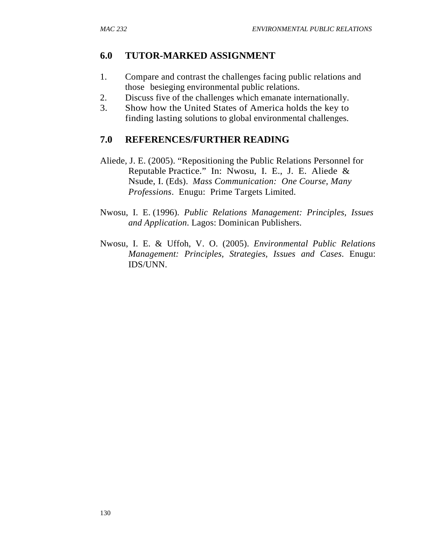# **6.0 TUTOR-MARKED ASSIGNMENT**

- 1. Compare and contrast the challenges facing public relations and those besieging environmental public relations.
- 2. Discuss five of the challenges which emanate internationally.
- 3. Show how the United States of America holds the key to finding lasting solutions to global environmental challenges.

## **7.0 REFERENCES/FURTHER READING**

- Aliede, J. E. (2005). "Repositioning the Public Relations Personnel for Reputable Practice." In: Nwosu, I. E., J. E. Aliede & Nsude, I. (Eds). *Mass Communication: One Course, Many Professions*. Enugu: Prime Targets Limited.
- Nwosu, I. E. (1996). *Public Relations Management: Principles, Issues and Application*. Lagos: Dominican Publishers.
- Nwosu, I. E. & Uffoh, V. O. (2005). *Environmental Public Relations Management: Principles, Strategies, Issues and Cases*. Enugu: IDS/UNN.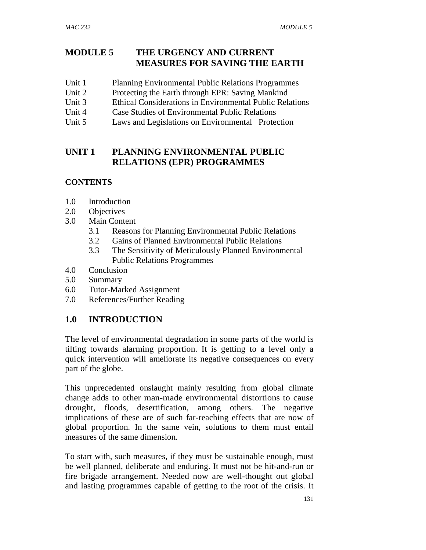## **MODULE 5 THE URGENCY AND CURRENT MEASURES FOR SAVING THE EARTH**

- Unit 1 Planning Environmental Public Relations Programmes
- Unit 2 Protecting the Earth through EPR: Saving Mankind
- Unit 3 Ethical Considerations in Environmental Public Relations
- Unit 4 Case Studies of Environmental Public Relations
- Unit 5 Laws and Legislations on Environmental Protection

## **UNIT 1 PLANNING ENVIRONMENTAL PUBLIC RELATIONS (EPR) PROGRAMMES**

### **CONTENTS**

- 1.0 Introduction
- 2.0 Objectives
- 3.0 Main Content
	- 3.1 Reasons for Planning Environmental Public Relations
	- 3.2 Gains of Planned Environmental Public Relations
	- 3.3 The Sensitivity of Meticulously Planned Environmental Public Relations Programmes
- 4.0 Conclusion
- 5.0 Summary
- 6.0 Tutor-Marked Assignment
- 7.0 References/Further Reading

## **1.0 INTRODUCTION**

The level of environmental degradation in some parts of the world is tilting towards alarming proportion. It is getting to a level only a quick intervention will ameliorate its negative consequences on every part of the globe.

This unprecedented onslaught mainly resulting from global climate change adds to other man-made environmental distortions to cause drought, floods, desertification, among others. The negative implications of these are of such far-reaching effects that are now of global proportion. In the same vein, solutions to them must entail measures of the same dimension.

To start with, such measures, if they must be sustainable enough, must be well planned, deliberate and enduring. It must not be hit-and-run or fire brigade arrangement. Needed now are well-thought out global and lasting programmes capable of getting to the root of the crisis. It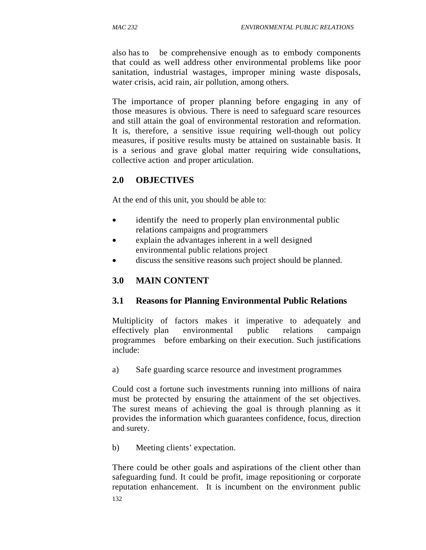also has to be comprehensive enough as to embody components that could as well address other environmental problems like poor sanitation, industrial wastages, improper mining waste disposals, water crisis, acid rain, air pollution, among others.

The importance of proper planning before engaging in any of those measures is obvious. There is need to safeguard scare resources and still attain the goal of environmental restoration and reformation. It is, therefore, a sensitive issue requiring well-though out policy measures, if positive results musty be attained on sustainable basis. It is a serious and grave global matter requiring wide consultations, collective action and proper articulation.

## **2.0 OBJECTIVES**

At the end of this unit, you should be able to:

- identify the need to properly plan environmental public relations campaigns and programmers
- explain the advantages inherent in a well designed environmental public relations project
- discuss the sensitive reasons such project should be planned.

## **3.0 MAIN CONTENT**

### **3.1 Reasons for Planning Environmental Public Relations**

Multiplicity of factors makes it imperative to adequately and effectively plan environmental public relations campaign programmes before embarking on their execution. Such justifications include:

a) Safe guarding scarce resource and investment programmes

Could cost a fortune such investments running into millions of naira must be protected by ensuring the attainment of the set objectives. The surest means of achieving the goal is through planning as it provides the information which guarantees confidence, focus, direction and surety.

b) Meeting clients' expectation.

132 There could be other goals and aspirations of the client other than safeguarding fund. It could be profit, image repositioning or corporate reputation enhancement. It is incumbent on the environment public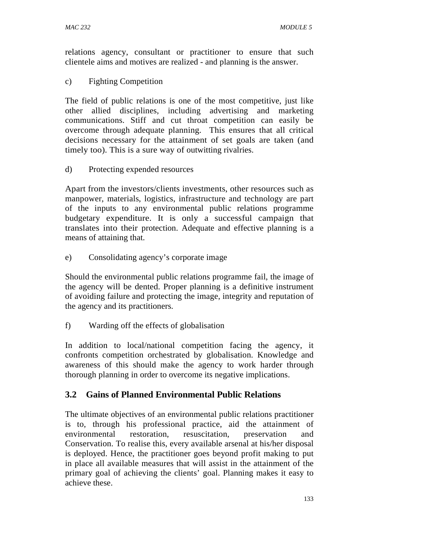relations agency, consultant or practitioner to ensure that such clientele aims and motives are realized - and planning is the answer.

c) Fighting Competition

The field of public relations is one of the most competitive, just like other allied disciplines, including advertising and marketing communications. Stiff and cut throat competition can easily be overcome through adequate planning. This ensures that all critical decisions necessary for the attainment of set goals are taken (and timely too). This is a sure way of outwitting rivalries.

d) Protecting expended resources

Apart from the investors/clients investments, other resources such as manpower, materials, logistics, infrastructure and technology are part of the inputs to any environmental public relations programme budgetary expenditure. It is only a successful campaign that translates into their protection. Adequate and effective planning is a means of attaining that.

e) Consolidating agency's corporate image

Should the environmental public relations programme fail, the image of the agency will be dented. Proper planning is a definitive instrument of avoiding failure and protecting the image, integrity and reputation of the agency and its practitioners.

f) Warding off the effects of globalisation

In addition to local/national competition facing the agency, it confronts competition orchestrated by globalisation. Knowledge and awareness of this should make the agency to work harder through thorough planning in order to overcome its negative implications.

## **3.2 Gains of Planned Environmental Public Relations**

The ultimate objectives of an environmental public relations practitioner is to, through his professional practice, aid the attainment of environmental restoration, resuscitation, preservation and Conservation. To realise this, every available arsenal at his/her disposal is deployed. Hence, the practitioner goes beyond profit making to put in place all available measures that will assist in the attainment of the primary goal of achieving the clients' goal. Planning makes it easy to achieve these.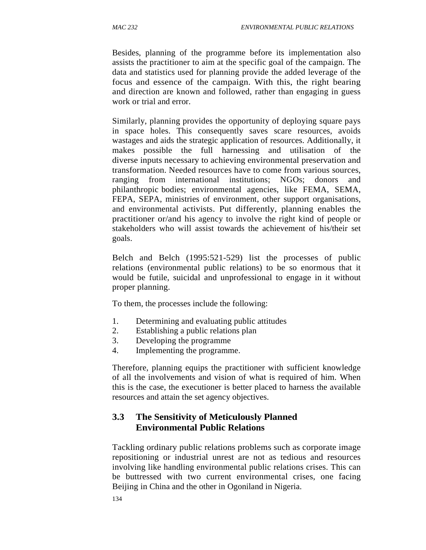Besides, planning of the programme before its implementation also assists the practitioner to aim at the specific goal of the campaign. The data and statistics used for planning provide the added leverage of the focus and essence of the campaign. With this, the right bearing and direction are known and followed, rather than engaging in guess work or trial and error.

Similarly, planning provides the opportunity of deploying square pays in space holes. This consequently saves scare resources, avoids wastages and aids the strategic application of resources. Additionally, it makes possible the full harnessing and utilisation of the diverse inputs necessary to achieving environmental preservation and transformation. Needed resources have to come from various sources, ranging from international institutions; NGOs; donors and philanthropic bodies; environmental agencies, like FEMA, SEMA, FEPA, SEPA, ministries of environment, other support organisations, and environmental activists. Put differently, planning enables the practitioner or/and his agency to involve the right kind of people or stakeholders who will assist towards the achievement of his/their set goals.

Belch and Belch (1995:521-529) list the processes of public relations (environmental public relations) to be so enormous that it would be futile, suicidal and unprofessional to engage in it without proper planning.

To them, the processes include the following:

- 1. Determining and evaluating public attitudes
- 2. Establishing a public relations plan
- 3. Developing the programme
- 4. Implementing the programme.

Therefore, planning equips the practitioner with sufficient knowledge of all the involvements and vision of what is required of him. When this is the case, the executioner is better placed to harness the available resources and attain the set agency objectives.

## **3.3 The Sensitivity of Meticulously Planned Environmental Public Relations**

Tackling ordinary public relations problems such as corporate image repositioning or industrial unrest are not as tedious and resources involving like handling environmental public relations crises. This can be buttressed with two current environmental crises, one facing Beijing in China and the other in Ogoniland in Nigeria.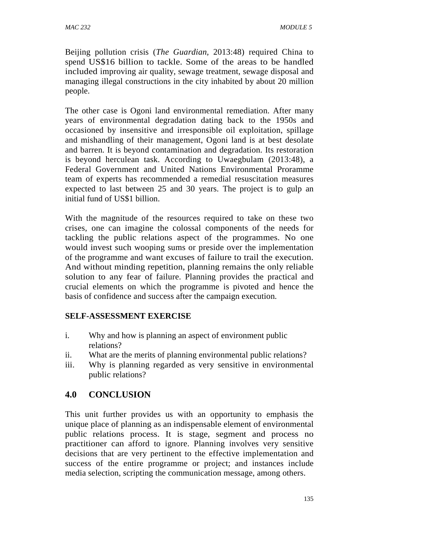Beijing pollution crisis (*The Guardian,* 2013:48) required China to spend US\$16 billion to tackle. Some of the areas to be handled included improving air quality, sewage treatment, sewage disposal and managing illegal constructions in the city inhabited by about 20 million people.

The other case is Ogoni land environmental remediation. After many years of environmental degradation dating back to the 1950s and occasioned by insensitive and irresponsible oil exploitation, spillage and mishandling of their management, Ogoni land is at best desolate and barren. It is beyond contamination and degradation. Its restoration is beyond herculean task. According to Uwaegbulam (2013:48), a Federal Government and United Nations Environmental Proramme team of experts has recommended a remedial resuscitation measures expected to last between 25 and 30 years. The project is to gulp an initial fund of US\$1 billion.

With the magnitude of the resources required to take on these two crises, one can imagine the colossal components of the needs for tackling the public relations aspect of the programmes. No one would invest such wooping sums or preside over the implementation of the programme and want excuses of failure to trail the execution. And without minding repetition, planning remains the only reliable solution to any fear of failure. Planning provides the practical and crucial elements on which the programme is pivoted and hence the basis of confidence and success after the campaign execution.

### **SELF-ASSESSMENT EXERCISE**

- i. Why and how is planning an aspect of environment public relations?
- ii. What are the merits of planning environmental public relations?
- iii. Why is planning regarded as very sensitive in environmental public relations?

### **4.0 CONCLUSION**

This unit further provides us with an opportunity to emphasis the unique place of planning as an indispensable element of environmental public relations process. It is stage, segment and process no practitioner can afford to ignore. Planning involves very sensitive decisions that are very pertinent to the effective implementation and success of the entire programme or project; and instances include media selection, scripting the communication message, among others.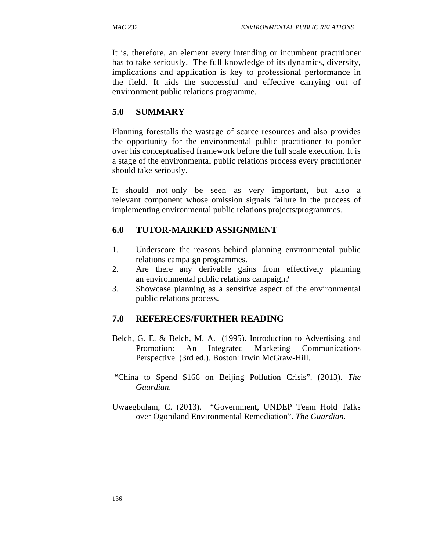It is, therefore, an element every intending or incumbent practitioner has to take seriously. The full knowledge of its dynamics, diversity, implications and application is key to professional performance in the field. It aids the successful and effective carrying out of environment public relations programme.

# **5.0 SUMMARY**

Planning forestalls the wastage of scarce resources and also provides the opportunity for the environmental public practitioner to ponder over his conceptualised framework before the full scale execution. It is a stage of the environmental public relations process every practitioner should take seriously.

It should not only be seen as very important, but also a relevant component whose omission signals failure in the process of implementing environmental public relations projects/programmes.

## **6.0 TUTOR-MARKED ASSIGNMENT**

- 1. Underscore the reasons behind planning environmental public relations campaign programmes.
- 2. Are there any derivable gains from effectively planning an environmental public relations campaign?
- 3. Showcase planning as a sensitive aspect of the environmental public relations process.

## **7.0 REFERECES/FURTHER READING**

- Belch, G. E. & Belch, M. A. (1995). Introduction to Advertising and Promotion: An Integrated Marketing Communications Perspective. (3rd ed.). Boston: Irwin McGraw-Hill.
- "China to Spend \$166 on Beijing Pollution Crisis". (2013). *The Guardian*.
- Uwaegbulam, C. (2013). "Government, UNDEP Team Hold Talks over Ogoniland Environmental Remediation". *The Guardian*.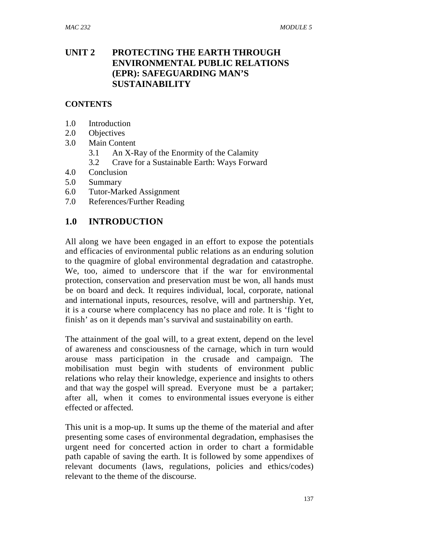## **UNIT 2 PROTECTING THE EARTH THROUGH ENVIRONMENTAL PUBLIC RELATIONS (EPR): SAFEGUARDING MAN'S SUSTAINABILITY**

### **CONTENTS**

- 1.0 Introduction
- 2.0 Objectives
- 3.0 Main Content
	- 3.1 An X-Ray of the Enormity of the Calamity
	- 3.2 Crave for a Sustainable Earth: Ways Forward
- 4.0 Conclusion
- 5.0 Summary
- 6.0 Tutor-Marked Assignment
- 7.0 References/Further Reading

## **1.0 INTRODUCTION**

All along we have been engaged in an effort to expose the potentials and efficacies of environmental public relations as an enduring solution to the quagmire of global environmental degradation and catastrophe. We, too, aimed to underscore that if the war for environmental protection, conservation and preservation must be won, all hands must be on board and deck. It requires individual, local, corporate, national and international inputs, resources, resolve, will and partnership. Yet, it is a course where complacency has no place and role. It is 'fight to finish' as on it depends man's survival and sustainability on earth.

The attainment of the goal will, to a great extent, depend on the level of awareness and consciousness of the carnage, which in turn would arouse mass participation in the crusade and campaign. The mobilisation must begin with students of environment public relations who relay their knowledge, experience and insights to others and that way the gospel will spread. Everyone must be a partaker; after all, when it comes to environmental issues everyone is either effected or affected.

This unit is a mop-up. It sums up the theme of the material and after presenting some cases of environmental degradation, emphasises the urgent need for concerted action in order to chart a formidable path capable of saving the earth. It is followed by some appendixes of relevant documents (laws, regulations, policies and ethics/codes) relevant to the theme of the discourse.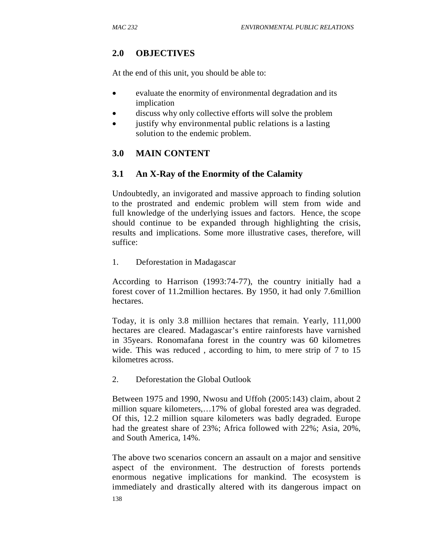# **2.0 OBJECTIVES**

At the end of this unit, you should be able to:

- evaluate the enormity of environmental degradation and its implication
- discuss why only collective efforts will solve the problem
- justify why environmental public relations is a lasting solution to the endemic problem.

# **3.0 MAIN CONTENT**

## **3.1 An X-Ray of the Enormity of the Calamity**

Undoubtedly, an invigorated and massive approach to finding solution to the prostrated and endemic problem will stem from wide and full knowledge of the underlying issues and factors. Hence, the scope should continue to be expanded through highlighting the crisis, results and implications. Some more illustrative cases, therefore, will suffice:

1. Deforestation in Madagascar

According to Harrison (1993:74-77), the country initially had a forest cover of 11.2million hectares. By 1950, it had only 7.6million hectares.

Today, it is only 3.8 milliion hectares that remain. Yearly, 111,000 hectares are cleared. Madagascar's entire rainforests have varnished in 35years. Ronomafana forest in the country was 60 kilometres wide. This was reduced , according to him, to mere strip of 7 to 15 kilometres across.

2. Deforestation the Global Outlook

Between 1975 and 1990, Nwosu and Uffoh (2005:143) claim, about 2 million square kilometers,…17% of global forested area was degraded. Of this, 12.2 million square kilometers was badly degraded. Europe had the greatest share of 23%; Africa followed with 22%; Asia, 20%, and South America, 14%.

138 The above two scenarios concern an assault on a major and sensitive aspect of the environment. The destruction of forests portends enormous negative implications for mankind. The ecosystem is immediately and drastically altered with its dangerous impact on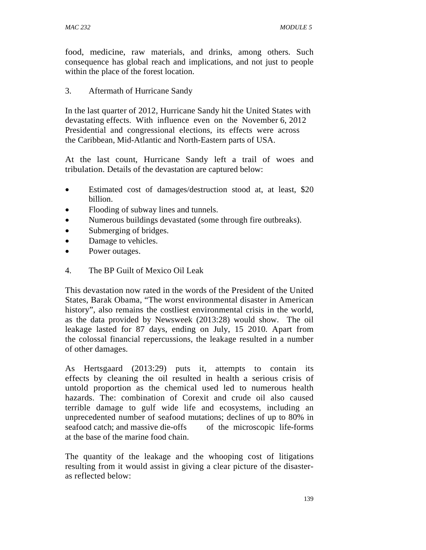food, medicine, raw materials, and drinks, among others. Such consequence has global reach and implications, and not just to people within the place of the forest location.

### 3. Aftermath of Hurricane Sandy

In the last quarter of 2012, Hurricane Sandy hit the United States with devastating effects. With influence even on the November 6, 2012 Presidential and congressional elections, its effects were across the Caribbean, Mid-Atlantic and North-Eastern parts of USA.

At the last count, Hurricane Sandy left a trail of woes and tribulation. Details of the devastation are captured below:

- Estimated cost of damages/destruction stood at, at least, \$20 billion.
- Flooding of subway lines and tunnels.
- Numerous buildings devastated (some through fire outbreaks).
- Submerging of bridges.
- Damage to vehicles.
- Power outages.
- 4. The BP Guilt of Mexico Oil Leak

This devastation now rated in the words of the President of the United States, Barak Obama, "The worst environmental disaster in American history", also remains the costliest environmental crisis in the world, as the data provided by Newsweek (2013:28) would show. The oil leakage lasted for 87 days, ending on July, 15 2010. Apart from the colossal financial repercussions, the leakage resulted in a number of other damages.

As Hertsgaard (2013:29) puts it, attempts to contain its effects by cleaning the oil resulted in health a serious crisis of untold proportion as the chemical used led to numerous health hazards. The: combination of Corexit and crude oil also caused terrible damage to gulf wide life and ecosystems, including an unprecedented number of seafood mutations; declines of up to 80% in seafood catch; and massive die-offs of the microscopic life-forms at the base of the marine food chain.

The quantity of the leakage and the whooping cost of litigations resulting from it would assist in giving a clear picture of the disasteras reflected below: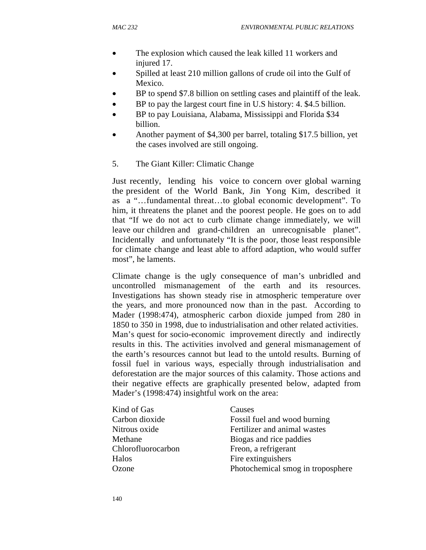- The explosion which caused the leak killed 11 workers and injured 17.
- Spilled at least 210 million gallons of crude oil into the Gulf of Mexico.
- BP to spend \$7.8 billion on settling cases and plaintiff of the leak.
- BP to pay the largest court fine in U.S history: 4. \$4.5 billion.
- BP to pay Louisiana, Alabama, Mississippi and Florida \$34 billion.
- Another payment of \$4,300 per barrel, totaling \$17.5 billion, yet the cases involved are still ongoing.
- 5. The Giant Killer: Climatic Change

Just recently, lending his voice to concern over global warning the president of the World Bank, Jin Yong Kim, described it as a "…fundamental threat…to global economic development". To him, it threatens the planet and the poorest people. He goes on to add that "If we do not act to curb climate change immediately, we will leave our children and grand-children an unrecognisable planet". Incidentally and unfortunately "It is the poor, those least responsible for climate change and least able to afford adaption, who would suffer most", he laments.

Climate change is the ugly consequence of man's unbridled and uncontrolled mismanagement of the earth and its resources. Investigations has shown steady rise in atmospheric temperature over the years, and more pronounced now than in the past. According to Mader (1998:474), atmospheric carbon dioxide jumped from 280 in 1850 to 350 in 1998, due to industrialisation and other related activities. Man's quest for socio-economic improvement directly and indirectly results in this. The activities involved and general mismanagement of the earth's resources cannot but lead to the untold results. Burning of fossil fuel in various ways, especially through industrialisation and deforestation are the major sources of this calamity. Those actions and their negative effects are graphically presented below, adapted from Mader's (1998:474) insightful work on the area:

| Kind of Gas        | Causes                            |  |
|--------------------|-----------------------------------|--|
| Carbon dioxide     | Fossil fuel and wood burning      |  |
| Nitrous oxide      | Fertilizer and animal wastes      |  |
| Methane            | Biogas and rice paddies           |  |
| Chlorofluorocarbon | Freon, a refrigerant              |  |
| Halos              | Fire extinguishers                |  |
| Ozone              | Photochemical smog in troposphere |  |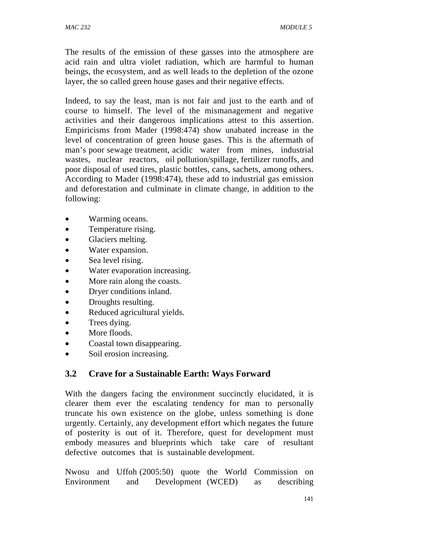The results of the emission of these gasses into the atmosphere are acid rain and ultra violet radiation, which are harmful to human beings, the ecosystem, and as well leads to the depletion of the ozone layer, the so called green house gases and their negative effects.

Indeed, to say the least, man is not fair and just to the earth and of course to himself. The level of the mismanagement and negative activities and their dangerous implications attest to this assertion. Empiricisms from Mader (1998:474) show unabated increase in the level of concentration of green house gases. This is the aftermath of man's poor sewage treatment, acidic water from mines, industrial wastes, nuclear reactors, oil pollution/spillage, fertilizer runoffs, and poor disposal of used tires, plastic bottles, cans, sachets, among others. According to Mader (1998:474), these add to industrial gas emission and deforestation and culminate in climate change, in addition to the following:

- Warming oceans.
- Temperature rising.
- Glaciers melting.
- Water expansion.
- Sea level rising.
- Water evaporation increasing.
- More rain along the coasts.
- Dryer conditions inland.
- Droughts resulting.
- Reduced agricultural yields.
- Trees dying.
- More floods.
- Coastal town disappearing.
- Soil erosion increasing.

# **3.2 Crave for a Sustainable Earth: Ways Forward**

With the dangers facing the environment succinctly elucidated, it is clearer them ever the escalating tendency for man to personally truncate his own existence on the globe, unless something is done urgently. Certainly, any development effort which negates the future of posterity is out of it. Therefore, quest for development must embody measures and blueprints which take care of resultant defective outcomes that is sustainable development.

Nwosu and Uffoh (2005:50) quote the World Commission on Environment and Development (WCED) as describing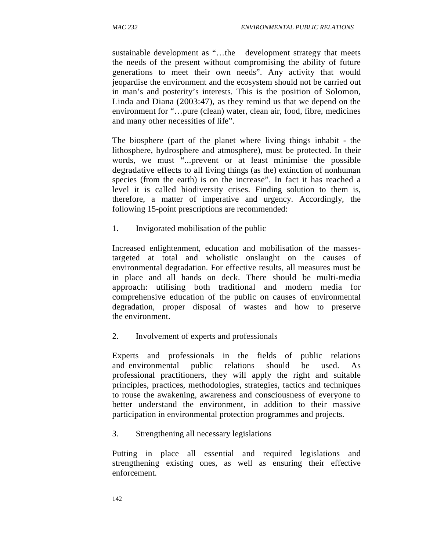sustainable development as "…the development strategy that meets the needs of the present without compromising the ability of future generations to meet their own needs". Any activity that would jeopardise the environment and the ecosystem should not be carried out in man's and posterity's interests. This is the position of Solomon, Linda and Diana (2003:47), as they remind us that we depend on the environment for "…pure (clean) water, clean air, food, fibre, medicines and many other necessities of life".

The biosphere (part of the planet where living things inhabit - the lithosphere, hydrosphere and atmosphere), must be protected. In their words, we must "...prevent or at least minimise the possible degradative effects to all living things (as the) extinction of nonhuman species (from the earth) is on the increase". In fact it has reached a level it is called biodiversity crises. Finding solution to them is, therefore, a matter of imperative and urgency. Accordingly, the following 15-point prescriptions are recommended:

1. Invigorated mobilisation of the public

Increased enlightenment, education and mobilisation of the massestargeted at total and wholistic onslaught on the causes of environmental degradation. For effective results, all measures must be in place and all hands on deck. There should be multi-media approach: utilising both traditional and modern media for comprehensive education of the public on causes of environmental degradation, proper disposal of wastes and how to preserve the environment.

2. Involvement of experts and professionals

Experts and professionals in the fields of public relations and environmental public relations should be used. As professional practitioners, they will apply the right and suitable principles, practices, methodologies, strategies, tactics and techniques to rouse the awakening, awareness and consciousness of everyone to better understand the environment, in addition to their massive participation in environmental protection programmes and projects.

3. Strengthening all necessary legislations

Putting in place all essential and required legislations and strengthening existing ones, as well as ensuring their effective enforcement.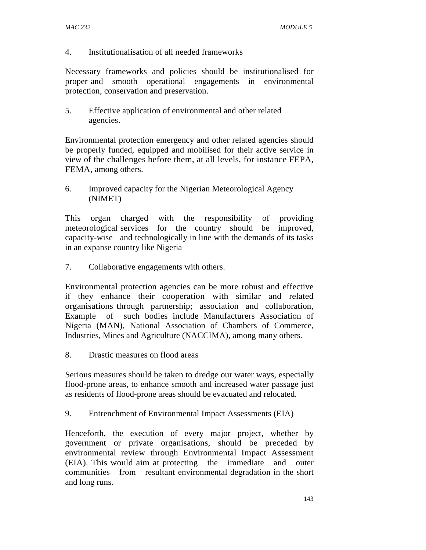#### 4. Institutionalisation of all needed frameworks

Necessary frameworks and policies should be institutionalised for proper and smooth operational engagements in environmental protection, conservation and preservation.

5. Effective application of environmental and other related agencies.

Environmental protection emergency and other related agencies should be properly funded, equipped and mobilised for their active service in view of the challenges before them, at all levels, for instance FEPA, FEMA, among others.

6. Improved capacity for the Nigerian Meteorological Agency (NIMET)

This organ charged with the responsibility of providing meteorological services for the country should be improved, capacity-wise and technologically in line with the demands of its tasks in an expanse country like Nigeria

7. Collaborative engagements with others.

Environmental protection agencies can be more robust and effective if they enhance their cooperation with similar and related organisations through partnership; association and collaboration, Example of such bodies include Manufacturers Association of Nigeria (MAN), National Association of Chambers of Commerce, Industries, Mines and Agriculture (NACCIMA), among many others.

8. Drastic measures on flood areas

Serious measures should be taken to dredge our water ways, especially flood-prone areas, to enhance smooth and increased water passage just as residents of flood-prone areas should be evacuated and relocated.

9. Entrenchment of Environmental Impact Assessments (EIA)

Henceforth, the execution of every major project, whether by government or private organisations, should be preceded by environmental review through Environmental Impact Assessment (EIA). This would aim at protecting the immediate and outer communities from resultant environmental degradation in the short and long runs.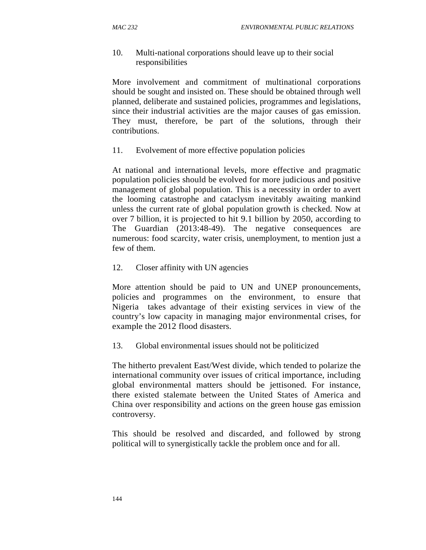#### 10. Multi-national corporations should leave up to their social responsibilities

More involvement and commitment of multinational corporations should be sought and insisted on. These should be obtained through well planned, deliberate and sustained policies, programmes and legislations, since their industrial activities are the major causes of gas emission. They must, therefore, be part of the solutions, through their contributions.

#### 11. Evolvement of more effective population policies

At national and international levels, more effective and pragmatic population policies should be evolved for more judicious and positive management of global population. This is a necessity in order to avert the looming catastrophe and cataclysm inevitably awaiting mankind unless the current rate of global population growth is checked. Now at over 7 billion, it is projected to hit 9.1 billion by 2050, according to The Guardian (2013:48-49). The negative consequences are numerous: food scarcity, water crisis, unemployment, to mention just a few of them.

12. Closer affinity with UN agencies

More attention should be paid to UN and UNEP pronouncements, policies and programmes on the environment, to ensure that Nigeria takes advantage of their existing services in view of the country's low capacity in managing major environmental crises, for example the 2012 flood disasters.

13. Global environmental issues should not be politicized

The hitherto prevalent East/West divide, which tended to polarize the international community over issues of critical importance, including global environmental matters should be jettisoned. For instance, there existed stalemate between the United States of America and China over responsibility and actions on the green house gas emission controversy.

This should be resolved and discarded, and followed by strong political will to synergistically tackle the problem once and for all.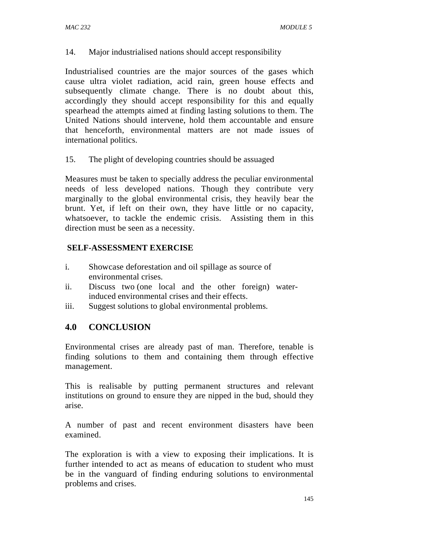14. Major industrialised nations should accept responsibility

Industrialised countries are the major sources of the gases which cause ultra violet radiation, acid rain, green house effects and subsequently climate change. There is no doubt about this, accordingly they should accept responsibility for this and equally spearhead the attempts aimed at finding lasting solutions to them. The United Nations should intervene, hold them accountable and ensure that henceforth, environmental matters are not made issues of international politics.

15. The plight of developing countries should be assuaged

Measures must be taken to specially address the peculiar environmental needs of less developed nations. Though they contribute very marginally to the global environmental crisis, they heavily bear the brunt. Yet, if left on their own, they have little or no capacity, whatsoever, to tackle the endemic crisis. Assisting them in this direction must be seen as a necessity.

### **SELF-ASSESSMENT EXERCISE**

- i. Showcase deforestation and oil spillage as source of environmental crises.
- ii. Discuss two (one local and the other foreign) waterinduced environmental crises and their effects.
- iii. Suggest solutions to global environmental problems.

### **4.0 CONCLUSION**

Environmental crises are already past of man. Therefore, tenable is finding solutions to them and containing them through effective management.

This is realisable by putting permanent structures and relevant institutions on ground to ensure they are nipped in the bud, should they arise.

A number of past and recent environment disasters have been examined.

The exploration is with a view to exposing their implications. It is further intended to act as means of education to student who must be in the vanguard of finding enduring solutions to environmental problems and crises.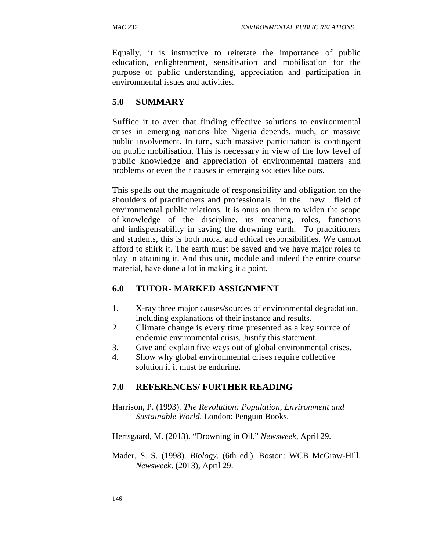Equally, it is instructive to reiterate the importance of public education, enlightenment, sensitisation and mobilisation for the purpose of public understanding, appreciation and participation in environmental issues and activities.

## **5.0 SUMMARY**

Suffice it to aver that finding effective solutions to environmental crises in emerging nations like Nigeria depends, much, on massive public involvement. In turn, such massive participation is contingent on public mobilisation. This is necessary in view of the low level of public knowledge and appreciation of environmental matters and problems or even their causes in emerging societies like ours.

This spells out the magnitude of responsibility and obligation on the shoulders of practitioners and professionals in the new field of environmental public relations. It is onus on them to widen the scope of knowledge of the discipline, its meaning, roles, functions and indispensability in saving the drowning earth. To practitioners and students, this is both moral and ethical responsibilities. We cannot afford to shirk it. The earth must be saved and we have major roles to play in attaining it. And this unit, module and indeed the entire course material, have done a lot in making it a point.

### **6.0 TUTOR- MARKED ASSIGNMENT**

- 1. X-ray three major causes/sources of environmental degradation, including explanations of their instance and results.
- 2. Climate change is every time presented as a key source of endemic environmental crisis. Justify this statement.
- 3. Give and explain five ways out of global environmental crises.
- 4. Show why global environmental crises require collective solution if it must be enduring.

## **7.0 REFERENCES/ FURTHER READING**

Harrison, P. (1993). *The Revolution: Population, Environment and Sustainable World*. London: Penguin Books.

Hertsgaard, M. (2013). "Drowning in Oil." *Newsweek*, April 29.

Mader, S. S. (1998). *Biology*. (6th ed.). Boston: WCB McGraw-Hill. *Newsweek*. (2013), April 29.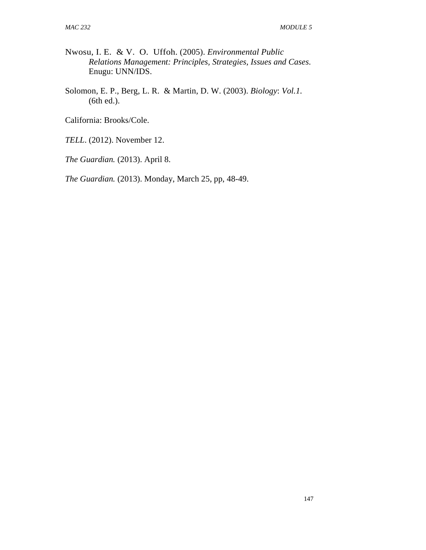- Nwosu, I. E. & V. O. Uffoh. (2005). *Environmental Public Relations Management: Principles, Strategies, Issues and Cases*. Enugu: UNN/IDS.
- Solomon, E. P., Berg, L. R. & Martin, D. W. (2003). *Biology*: *Vol.1.*  (6th ed.).

California: Brooks/Cole.

*TELL*. (2012). November 12.

*The Guardian.* (2013). April 8.

*The Guardian.* (2013). Monday, March 25, pp, 48-49.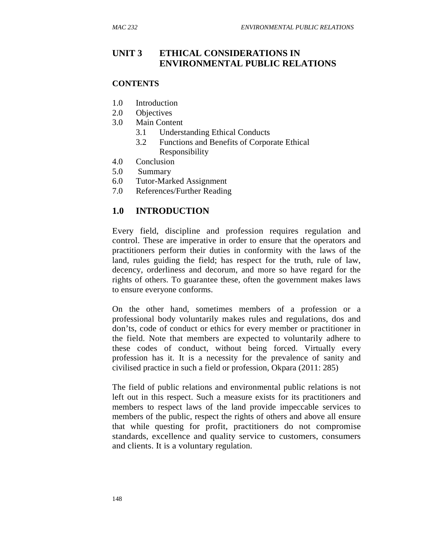### **UNIT 3 ETHICAL CONSIDERATIONS IN ENVIRONMENTAL PUBLIC RELATIONS**

#### **CONTENTS**

- 1.0 Introduction
- 2.0 Objectives
- 3.0 Main Content
	- 3.1 Understanding Ethical Conducts
	- 3.2 Functions and Benefits of Corporate Ethical Responsibility
- 4.0 Conclusion
- 5.0 Summary
- 6.0 Tutor-Marked Assignment
- 7.0 References/Further Reading

### **1.0 INTRODUCTION**

Every field, discipline and profession requires regulation and control. These are imperative in order to ensure that the operators and practitioners perform their duties in conformity with the laws of the land, rules guiding the field; has respect for the truth, rule of law, decency, orderliness and decorum, and more so have regard for the rights of others. To guarantee these, often the government makes laws to ensure everyone conforms.

On the other hand, sometimes members of a profession or a professional body voluntarily makes rules and regulations, dos and don'ts, code of conduct or ethics for every member or practitioner in the field. Note that members are expected to voluntarily adhere to these codes of conduct, without being forced. Virtually every profession has it. It is a necessity for the prevalence of sanity and civilised practice in such a field or profession, Okpara (2011: 285)

The field of public relations and environmental public relations is not left out in this respect. Such a measure exists for its practitioners and members to respect laws of the land provide impeccable services to members of the public, respect the rights of others and above all ensure that while questing for profit, practitioners do not compromise standards, excellence and quality service to customers, consumers and clients. It is a voluntary regulation.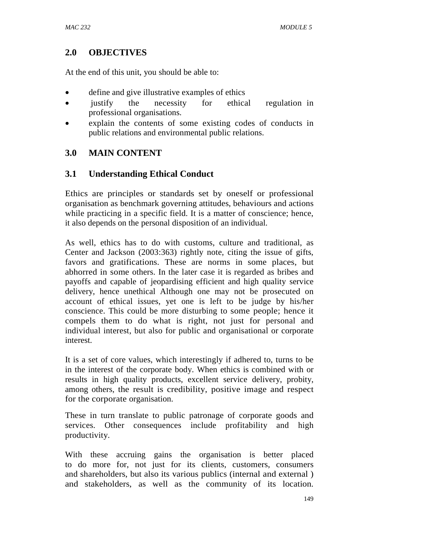## **2.0 OBJECTIVES**

At the end of this unit, you should be able to:

- define and give illustrative examples of ethics
- justify the necessity for ethical regulation in professional organisations.
- explain the contents of some existing codes of conducts in public relations and environmental public relations.

### **3.0 MAIN CONTENT**

### **3.1 Understanding Ethical Conduct**

Ethics are principles or standards set by oneself or professional organisation as benchmark governing attitudes, behaviours and actions while practicing in a specific field. It is a matter of conscience; hence, it also depends on the personal disposition of an individual.

As well, ethics has to do with customs, culture and traditional, as Center and Jackson (2003:363) rightly note, citing the issue of gifts, favors and gratifications. These are norms in some places, but abhorred in some others. In the later case it is regarded as bribes and payoffs and capable of jeopardising efficient and high quality service delivery, hence unethical Although one may not be prosecuted on account of ethical issues, yet one is left to be judge by his/her conscience. This could be more disturbing to some people; hence it compels them to do what is right, not just for personal and individual interest, but also for public and organisational or corporate interest.

It is a set of core values, which interestingly if adhered to, turns to be in the interest of the corporate body. When ethics is combined with or results in high quality products, excellent service delivery, probity, among others, the result is credibility, positive image and respect for the corporate organisation.

These in turn translate to public patronage of corporate goods and services. Other consequences include profitability and high productivity.

With these accruing gains the organisation is better placed to do more for, not just for its clients, customers, consumers and shareholders, but also its various publics (internal and external ) and stakeholders, as well as the community of its location.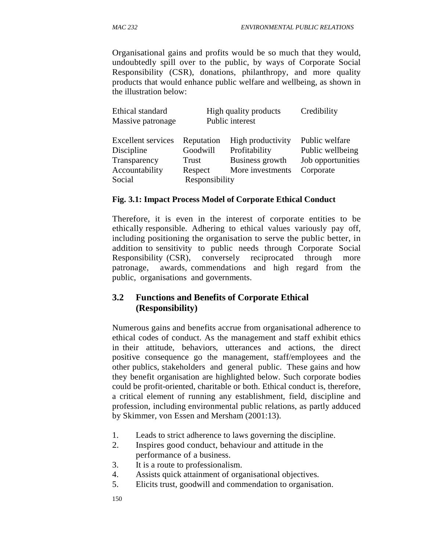Organisational gains and profits would be so much that they would, undoubtedly spill over to the public, by ways of Corporate Social Responsibility (CSR), donations, philanthropy, and more quality products that would enhance public welfare and wellbeing, as shown in the illustration below:

| Ethical standard<br>Massive patronage                                               | High quality products<br>Public interest                            |                                                                           | Credibility                                                          |
|-------------------------------------------------------------------------------------|---------------------------------------------------------------------|---------------------------------------------------------------------------|----------------------------------------------------------------------|
| <b>Excellent</b> services<br>Discipline<br>Transparency<br>Accountability<br>Social | Reputation<br>Goodwill<br><b>Trust</b><br>Respect<br>Responsibility | High productivity<br>Profitability<br>Business growth<br>More investments | Public welfare<br>Public wellbeing<br>Job opportunities<br>Corporate |

#### **Fig. 3.1: Impact Process Model of Corporate Ethical Conduct**

Therefore, it is even in the interest of corporate entities to be ethically responsible. Adhering to ethical values variously pay off, including positioning the organisation to serve the public better, in addition to sensitivity to public needs through Corporate Social Responsibility (CSR), conversely reciprocated through more patronage, awards, commendations and high regard from the public, organisations and governments.

### **3.2 Functions and Benefits of Corporate Ethical (Responsibility)**

Numerous gains and benefits accrue from organisational adherence to ethical codes of conduct. As the management and staff exhibit ethics in their attitude, behaviors, utterances and actions, the direct positive consequence go the management, staff/employees and the other publics, stakeholders and general public. These gains and how they benefit organisation are highlighted below. Such corporate bodies could be profit-oriented, charitable or both. Ethical conduct is, therefore, a critical element of running any establishment, field, discipline and profession, including environmental public relations, as partly adduced by Skimmer, von Essen and Mersham (2001:13).

- 1. Leads to strict adherence to laws governing the discipline.
- 2. Inspires good conduct, behaviour and attitude in the performance of a business.
- 3. It is a route to professionalism.
- 4. Assists quick attainment of organisational objectives.
- 5. Elicits trust, goodwill and commendation to organisation.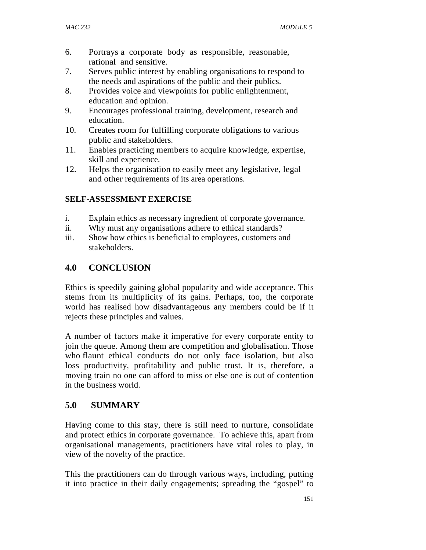- 6. Portrays a corporate body as responsible, reasonable, rational and sensitive.
- 7. Serves public interest by enabling organisations to respond to the needs and aspirations of the public and their publics.
- 8. Provides voice and viewpoints for public enlightenment, education and opinion.
- 9. Encourages professional training, development, research and education.
- 10. Creates room for fulfilling corporate obligations to various public and stakeholders.
- 11. Enables practicing members to acquire knowledge, expertise, skill and experience.
- 12. Helps the organisation to easily meet any legislative, legal and other requirements of its area operations.

### **SELF-ASSESSMENT EXERCISE**

- i. Explain ethics as necessary ingredient of corporate governance.
- ii. Why must any organisations adhere to ethical standards?
- iii. Show how ethics is beneficial to employees, customers and stakeholders.

## **4.0 CONCLUSION**

Ethics is speedily gaining global popularity and wide acceptance. This stems from its multiplicity of its gains. Perhaps, too, the corporate world has realised how disadvantageous any members could be if it rejects these principles and values.

A number of factors make it imperative for every corporate entity to join the queue. Among them are competition and globalisation. Those who flaunt ethical conducts do not only face isolation, but also loss productivity, profitability and public trust. It is, therefore, a moving train no one can afford to miss or else one is out of contention in the business world.

## **5.0 SUMMARY**

Having come to this stay, there is still need to nurture, consolidate and protect ethics in corporate governance. To achieve this, apart from organisational managements, practitioners have vital roles to play, in view of the novelty of the practice.

This the practitioners can do through various ways, including, putting it into practice in their daily engagements; spreading the "gospel" to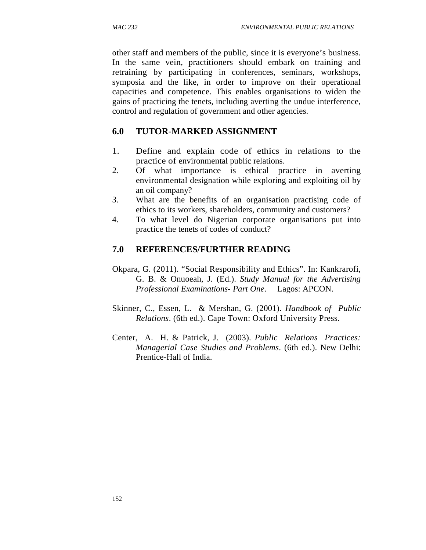other staff and members of the public, since it is everyone's business. In the same vein, practitioners should embark on training and retraining by participating in conferences, seminars, workshops, symposia and the like, in order to improve on their operational capacities and competence. This enables organisations to widen the gains of practicing the tenets, including averting the undue interference, control and regulation of government and other agencies.

## **6.0 TUTOR-MARKED ASSIGNMENT**

- 1. Define and explain code of ethics in relations to the practice of environmental public relations.
- 2. Of what importance is ethical practice in averting environmental designation while exploring and exploiting oil by an oil company?
- 3. What are the benefits of an organisation practising code of ethics to its workers, shareholders, community and customers?
- 4. To what level do Nigerian corporate organisations put into practice the tenets of codes of conduct?

## **7.0 REFERENCES/FURTHER READING**

- Okpara, G. (2011). "Social Responsibility and Ethics". In: Kankrarofi, G. B. & Onuoeah, J. (Ed.). *Study Manual for the Advertising Professional Examinations- Part One*. Lagos: APCON.
- Skinner, C., Essen, L. & Mershan, G. (2001). *Handbook of Public Relations*. (6th ed.). Cape Town: Oxford University Press.
- Center, A. H. & Patrick, J. (2003). *Public Relations Practices: Managerial Case Studies and Problems*. (6th ed.). New Delhi: Prentice-Hall of India.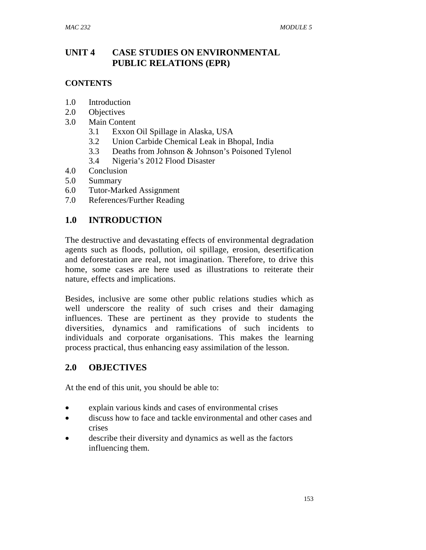## **UNIT 4 CASE STUDIES ON ENVIRONMENTAL PUBLIC RELATIONS (EPR)**

### **CONTENTS**

- 1.0 Introduction
- 2.0 Objectives
- 3.0 Main Content
	- 3.1 Exxon Oil Spillage in Alaska, USA
	- 3.2 Union Carbide Chemical Leak in Bhopal, India
	- 3.3 Deaths from Johnson & Johnson's Poisoned Tylenol
	- 3.4 Nigeria's 2012 Flood Disaster
- 4.0 Conclusion
- 5.0 Summary
- 6.0 Tutor-Marked Assignment
- 7.0 References/Further Reading

### **1.0 INTRODUCTION**

The destructive and devastating effects of environmental degradation agents such as floods, pollution, oil spillage, erosion, desertification and deforestation are real, not imagination. Therefore, to drive this home, some cases are here used as illustrations to reiterate their nature, effects and implications.

Besides, inclusive are some other public relations studies which as well underscore the reality of such crises and their damaging influences. These are pertinent as they provide to students the diversities, dynamics and ramifications of such incidents to individuals and corporate organisations. This makes the learning process practical, thus enhancing easy assimilation of the lesson.

### **2.0 OBJECTIVES**

At the end of this unit, you should be able to:

- explain various kinds and cases of environmental crises
- discuss how to face and tackle environmental and other cases and crises
- describe their diversity and dynamics as well as the factors influencing them.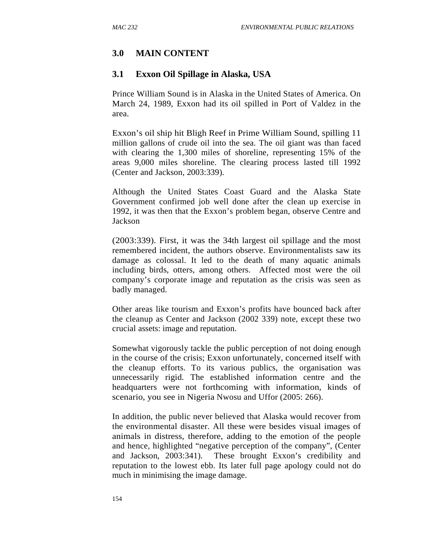## **3.0 MAIN CONTENT**

### **3.1 Exxon Oil Spillage in Alaska, USA**

Prince William Sound is in Alaska in the United States of America. On March 24, 1989, Exxon had its oil spilled in Port of Valdez in the area.

Exxon's oil ship hit Bligh Reef in Prime William Sound, spilling 11 million gallons of crude oil into the sea. The oil giant was than faced with clearing the 1,300 miles of shoreline, representing 15% of the areas 9,000 miles shoreline. The clearing process lasted till 1992 (Center and Jackson, 2003:339).

Although the United States Coast Guard and the Alaska State Government confirmed job well done after the clean up exercise in 1992, it was then that the Exxon's problem began, observe Centre and Jackson

(2003:339). First, it was the 34th largest oil spillage and the most remembered incident, the authors observe. Environmentalists saw its damage as colossal. It led to the death of many aquatic animals including birds, otters, among others. Affected most were the oil company's corporate image and reputation as the crisis was seen as badly managed.

Other areas like tourism and Exxon's profits have bounced back after the cleanup as Center and Jackson (2002 339) note, except these two crucial assets: image and reputation.

Somewhat vigorously tackle the public perception of not doing enough in the course of the crisis; Exxon unfortunately, concerned itself with the cleanup efforts. To its various publics, the organisation was unnecessarily rigid. The established information centre and the headquarters were not forthcoming with information, kinds of scenario, you see in Nigeria Nwosu and Uffor (2005: 266).

In addition, the public never believed that Alaska would recover from the environmental disaster. All these were besides visual images of animals in distress, therefore, adding to the emotion of the people and hence, highlighted "negative perception of the company", (Center and Jackson, 2003:341). These brought Exxon's credibility and reputation to the lowest ebb. Its later full page apology could not do much in minimising the image damage.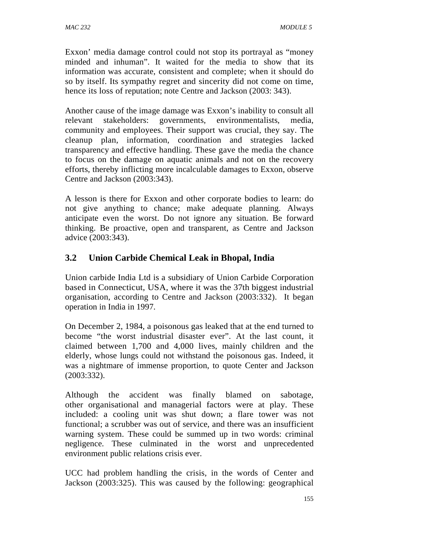Exxon' media damage control could not stop its portrayal as "money minded and inhuman". It waited for the media to show that its information was accurate, consistent and complete; when it should do so by itself. Its sympathy regret and sincerity did not come on time, hence its loss of reputation; note Centre and Jackson (2003: 343).

Another cause of the image damage was Exxon's inability to consult all relevant stakeholders: governments, environmentalists, media, community and employees. Their support was crucial, they say. The cleanup plan, information, coordination and strategies lacked transparency and effective handling. These gave the media the chance to focus on the damage on aquatic animals and not on the recovery efforts, thereby inflicting more incalculable damages to Exxon, observe Centre and Jackson (2003:343).

A lesson is there for Exxon and other corporate bodies to learn: do not give anything to chance; make adequate planning. Always anticipate even the worst. Do not ignore any situation. Be forward thinking. Be proactive, open and transparent, as Centre and Jackson advice (2003:343).

# **3.2 Union Carbide Chemical Leak in Bhopal, India**

Union carbide India Ltd is a subsidiary of Union Carbide Corporation based in Connecticut, USA, where it was the 37th biggest industrial organisation, according to Centre and Jackson (2003:332). It began operation in India in 1997.

On December 2, 1984, a poisonous gas leaked that at the end turned to become "the worst industrial disaster ever". At the last count, it claimed between 1,700 and 4,000 lives, mainly children and the elderly, whose lungs could not withstand the poisonous gas. Indeed, it was a nightmare of immense proportion, to quote Center and Jackson (2003:332).

Although the accident was finally blamed on sabotage, other organisational and managerial factors were at play. These included: a cooling unit was shut down; a flare tower was not functional; a scrubber was out of service, and there was an insufficient warning system. These could be summed up in two words: criminal negligence. These culminated in the worst and unprecedented environment public relations crisis ever.

UCC had problem handling the crisis, in the words of Center and Jackson (2003:325). This was caused by the following: geographical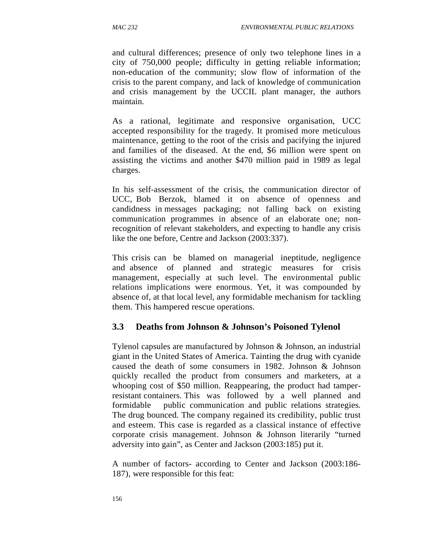and cultural differences; presence of only two telephone lines in a city of 750,000 people; difficulty in getting reliable information; non-education of the community; slow flow of information of the crisis to the parent company, and lack of knowledge of communication and crisis management by the UCCIL plant manager, the authors maintain.

As a rational, legitimate and responsive organisation, UCC accepted responsibility for the tragedy. It promised more meticulous maintenance, getting to the root of the crisis and pacifying the injured and families of the diseased. At the end, \$6 million were spent on assisting the victims and another \$470 million paid in 1989 as legal charges.

In his self-assessment of the crisis, the communication director of UCC, Bob Berzok, blamed it on absence of openness and candidness in messages packaging; not falling back on existing communication programmes in absence of an elaborate one; nonrecognition of relevant stakeholders, and expecting to handle any crisis like the one before, Centre and Jackson (2003:337).

This crisis can be blamed on managerial ineptitude, negligence and absence of planned and strategic measures for crisis management, especially at such level. The environmental public relations implications were enormous. Yet, it was compounded by absence of, at that local level, any formidable mechanism for tackling them. This hampered rescue operations.

### **3.3 Deaths from Johnson & Johnson's Poisoned Tylenol**

Tylenol capsules are manufactured by Johnson & Johnson, an industrial giant in the United States of America. Tainting the drug with cyanide caused the death of some consumers in 1982. Johnson & Johnson quickly recalled the product from consumers and marketers, at a whooping cost of \$50 million. Reappearing, the product had tamperresistant containers. This was followed by a well planned and formidable public communication and public relations strategies. The drug bounced. The company regained its credibility, public trust and esteem. This case is regarded as a classical instance of effective corporate crisis management. Johnson & Johnson literarily "turned adversity into gain", as Center and Jackson (2003:185) put it.

A number of factors- according to Center and Jackson (2003:186- 187), were responsible for this feat: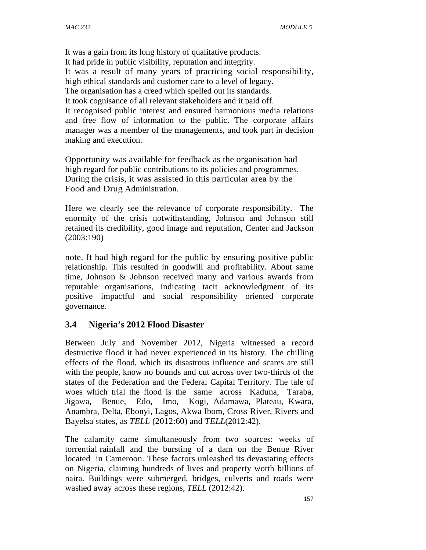It was a gain from its long history of qualitative products. It had pride in public visibility, reputation and integrity. It was a result of many years of practicing social responsibility, high ethical standards and customer care to a level of legacy. The organisation has a creed which spelled out its standards. It took cognisance of all relevant stakeholders and it paid off. It recognised public interest and ensured harmonious media relations and free flow of information to the public. The corporate affairs manager was a member of the managements, and took part in decision making and execution.

Opportunity was available for feedback as the organisation had high regard for public contributions to its policies and programmes. During the crisis, it was assisted in this particular area by the Food and Drug Administration.

Here we clearly see the relevance of corporate responsibility. The enormity of the crisis notwithstanding, Johnson and Johnson still retained its credibility, good image and reputation, Center and Jackson (2003:190)

note. It had high regard for the public by ensuring positive public relationship. This resulted in goodwill and profitability. About same time, Johnson & Johnson received many and various awards from reputable organisations, indicating tacit acknowledgment of its positive impactful and social responsibility oriented corporate governance.

### **3.4 Nigeria's 2012 Flood Disaster**

Between July and November 2012, Nigeria witnessed a record destructive flood it had never experienced in its history. The chilling effects of the flood, which its disastrous influence and scares are still with the people, know no bounds and cut across over two-thirds of the states of the Federation and the Federal Capital Territory. The tale of woes which trial the flood is the same across Kaduna, Taraba, Jigawa, Benue, Edo, Imo, Kogi, Adamawa, Plateau, Kwara, Anambra, Delta, Ebonyi, Lagos, Akwa Ibom, Cross River, Rivers and Bayelsa states, as *TELL* (2012:60) and *TELL*(2012:42).

The calamity came simultaneously from two sources: weeks of torrential rainfall and the bursting of a dam on the Benue River located in Cameroon. These factors unleashed its devastating effects on Nigeria, claiming hundreds of lives and property worth billions of naira. Buildings were submerged, bridges, culverts and roads were washed away across these regions, *TELL* (2012:42).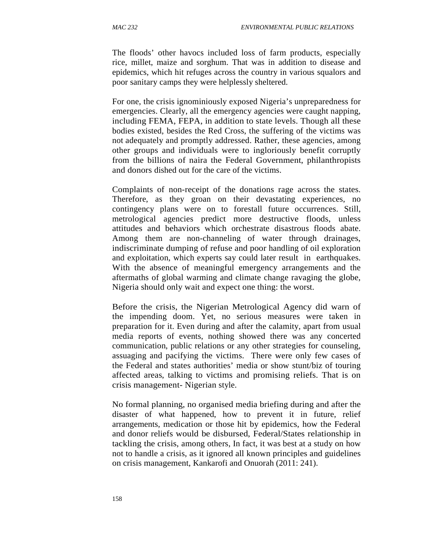The floods' other havocs included loss of farm products, especially rice, millet, maize and sorghum. That was in addition to disease and epidemics, which hit refuges across the country in various squalors and poor sanitary camps they were helplessly sheltered.

For one, the crisis ignominiously exposed Nigeria's unpreparedness for emergencies. Clearly, all the emergency agencies were caught napping, including FEMA, FEPA, in addition to state levels. Though all these bodies existed, besides the Red Cross, the suffering of the victims was not adequately and promptly addressed. Rather, these agencies, among other groups and individuals were to ingloriously benefit corruptly from the billions of naira the Federal Government, philanthropists and donors dished out for the care of the victims.

Complaints of non-receipt of the donations rage across the states. Therefore, as they groan on their devastating experiences, no contingency plans were on to forestall future occurrences. Still, metrological agencies predict more destructive floods, unless attitudes and behaviors which orchestrate disastrous floods abate. Among them are non-channeling of water through drainages, indiscriminate dumping of refuse and poor handling of oil exploration and exploitation, which experts say could later result in earthquakes. With the absence of meaningful emergency arrangements and the aftermaths of global warming and climate change ravaging the globe, Nigeria should only wait and expect one thing: the worst.

Before the crisis, the Nigerian Metrological Agency did warn of the impending doom. Yet, no serious measures were taken in preparation for it. Even during and after the calamity, apart from usual media reports of events, nothing showed there was any concerted communication, public relations or any other strategies for counseling, assuaging and pacifying the victims. There were only few cases of the Federal and states authorities' media or show stunt/biz of touring affected areas, talking to victims and promising reliefs. That is on crisis management- Nigerian style.

No formal planning, no organised media briefing during and after the disaster of what happened, how to prevent it in future, relief arrangements, medication or those hit by epidemics, how the Federal and donor reliefs would be disbursed, Federal/States relationship in tackling the crisis, among others, In fact, it was best at a study on how not to handle a crisis, as it ignored all known principles and guidelines on crisis management, Kankarofi and Onuorah (2011: 241).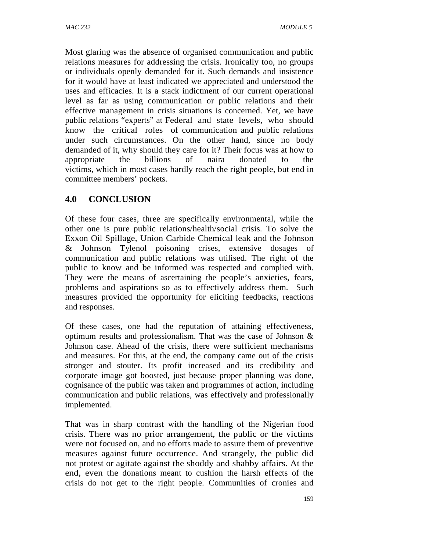Most glaring was the absence of organised communication and public relations measures for addressing the crisis. Ironically too, no groups or individuals openly demanded for it. Such demands and insistence for it would have at least indicated we appreciated and understood the uses and efficacies. It is a stack indictment of our current operational level as far as using communication or public relations and their effective management in crisis situations is concerned. Yet, we have public relations "experts" at Federal and state levels, who should know the critical roles of communication and public relations under such circumstances. On the other hand, since no body demanded of it, why should they care for it? Their focus was at how to appropriate the billions of naira donated to the victims, which in most cases hardly reach the right people, but end in committee members' pockets.

# **4.0 CONCLUSION**

Of these four cases, three are specifically environmental, while the other one is pure public relations/health/social crisis. To solve the Exxon Oil Spillage, Union Carbide Chemical leak and the Johnson & Johnson Tylenol poisoning crises, extensive dosages of communication and public relations was utilised. The right of the public to know and be informed was respected and complied with. They were the means of ascertaining the people's anxieties, fears, problems and aspirations so as to effectively address them. Such measures provided the opportunity for eliciting feedbacks, reactions and responses.

Of these cases, one had the reputation of attaining effectiveness, optimum results and professionalism. That was the case of Johnson & Johnson case. Ahead of the crisis, there were sufficient mechanisms and measures. For this, at the end, the company came out of the crisis stronger and stouter. Its profit increased and its credibility and corporate image got boosted, just because proper planning was done, cognisance of the public was taken and programmes of action, including communication and public relations, was effectively and professionally implemented.

That was in sharp contrast with the handling of the Nigerian food crisis. There was no prior arrangement, the public or the victims were not focused on, and no efforts made to assure them of preventive measures against future occurrence. And strangely, the public did not protest or agitate against the shoddy and shabby affairs. At the end, even the donations meant to cushion the harsh effects of the crisis do not get to the right people. Communities of cronies and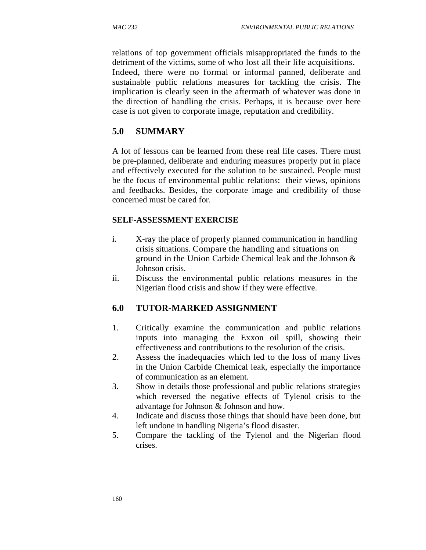relations of top government officials misappropriated the funds to the detriment of the victims, some of who lost all their life acquisitions. Indeed, there were no formal or informal panned, deliberate and sustainable public relations measures for tackling the crisis. The implication is clearly seen in the aftermath of whatever was done in the direction of handling the crisis. Perhaps, it is because over here case is not given to corporate image, reputation and credibility.

## **5.0 SUMMARY**

A lot of lessons can be learned from these real life cases. There must be pre-planned, deliberate and enduring measures properly put in place and effectively executed for the solution to be sustained. People must be the focus of environmental public relations: their views, opinions and feedbacks. Besides, the corporate image and credibility of those concerned must be cared for.

### **SELF-ASSESSMENT EXERCISE**

- i. X-ray the place of properly planned communication in handling crisis situations. Compare the handling and situations on ground in the Union Carbide Chemical leak and the Johnson & Johnson crisis.
- ii. Discuss the environmental public relations measures in the Nigerian flood crisis and show if they were effective.

### **6.0 TUTOR-MARKED ASSIGNMENT**

- 1. Critically examine the communication and public relations inputs into managing the Exxon oil spill, showing their effectiveness and contributions to the resolution of the crisis.
- 2. Assess the inadequacies which led to the loss of many lives in the Union Carbide Chemical leak, especially the importance of communication as an element.
- 3. Show in details those professional and public relations strategies which reversed the negative effects of Tylenol crisis to the advantage for Johnson & Johnson and how.
- 4. Indicate and discuss those things that should have been done, but left undone in handling Nigeria's flood disaster.
- 5. Compare the tackling of the Tylenol and the Nigerian flood crises.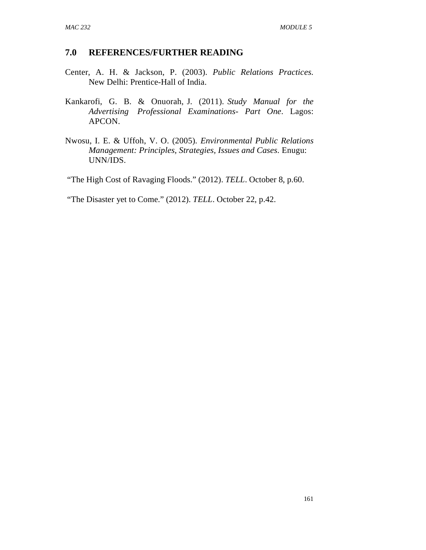### **7.0 REFERENCES/FURTHER READING**

- Center, A. H. & Jackson, P. (2003). *Public Relations Practices*. New Delhi: Prentice-Hall of India.
- Kankarofi, G. B. & Onuorah, J. (2011). *Study Manual for the Advertising Professional Examinations- Part One*. Lagos: APCON.
- Nwosu, I. E. & Uffoh, V. O. (2005). *Environmental Public Relations Management: Principles, Strategies, Issues and Cases*. Enugu: UNN/IDS.

"The High Cost of Ravaging Floods." (2012). *TELL*. October 8, p.60.

"The Disaster yet to Come." (2012). *TELL*. October 22, p.42.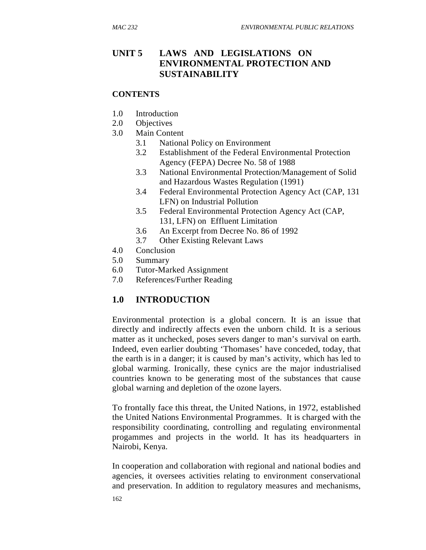## **UNIT 5 LAWS AND LEGISLATIONS ON ENVIRONMENTAL PROTECTION AND SUSTAINABILITY**

### **CONTENTS**

- 1.0 Introduction
- 2.0 Objectives
- 3.0 Main Content
	- 3.1 National Policy on Environment
	- 3.2 Establishment of the Federal Environmental Protection Agency (FEPA) Decree No. 58 of 1988
	- 3.3 National Environmental Protection/Management of Solid and Hazardous Wastes Regulation (1991)
	- 3.4 Federal Environmental Protection Agency Act (CAP, 131 LFN) on Industrial Pollution
	- 3.5 Federal Environmental Protection Agency Act (CAP, 131, LFN) on Effluent Limitation
	- 3.6 An Excerpt from Decree No. 86 of 1992
	- 3.7 Other Existing Relevant Laws
- 4.0 Conclusion
- 5.0 Summary
- 6.0 Tutor-Marked Assignment
- 7.0 References/Further Reading

## **1.0 INTRODUCTION**

Environmental protection is a global concern. It is an issue that directly and indirectly affects even the unborn child. It is a serious matter as it unchecked, poses severs danger to man's survival on earth. Indeed, even earlier doubting 'Thomases' have conceded, today, that the earth is in a danger; it is caused by man's activity, which has led to global warming. Ironically, these cynics are the major industrialised countries known to be generating most of the substances that cause global warning and depletion of the ozone layers.

To frontally face this threat, the United Nations, in 1972, established the United Nations Environmental Programmes. It is charged with the responsibility coordinating, controlling and regulating environmental progammes and projects in the world. It has its headquarters in Nairobi, Kenya.

In cooperation and collaboration with regional and national bodies and agencies, it oversees activities relating to environment conservational and preservation. In addition to regulatory measures and mechanisms,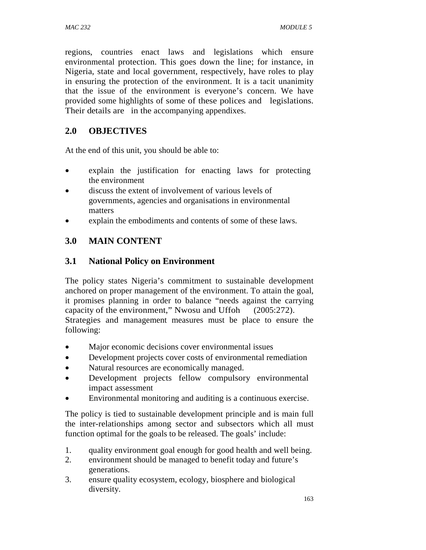regions, countries enact laws and legislations which ensure environmental protection. This goes down the line; for instance, in Nigeria, state and local government, respectively, have roles to play in ensuring the protection of the environment. It is a tacit unanimity that the issue of the environment is everyone's concern. We have provided some highlights of some of these polices and legislations. Their details are in the accompanying appendixes.

# **2.0 OBJECTIVES**

At the end of this unit, you should be able to:

- explain the justification for enacting laws for protecting the environment
- discuss the extent of involvement of various levels of governments, agencies and organisations in environmental matters
- explain the embodiments and contents of some of these laws.

# **3.0 MAIN CONTENT**

## **3.1 National Policy on Environment**

The policy states Nigeria's commitment to sustainable development anchored on proper management of the environment. To attain the goal, it promises planning in order to balance "needs against the carrying capacity of the environment," Nwosu and Uffoh (2005:272). Strategies and management measures must be place to ensure the following:

- Major economic decisions cover environmental issues
- Development projects cover costs of environmental remediation
- Natural resources are economically managed.
- Development projects fellow compulsory environmental impact assessment
- Environmental monitoring and auditing is a continuous exercise.

The policy is tied to sustainable development principle and is main full the inter-relationships among sector and subsectors which all must function optimal for the goals to be released. The goals' include:

- 1. quality environment goal enough for good health and well being.
- 2. environment should be managed to benefit today and future's generations.
- 3. ensure quality ecosystem, ecology, biosphere and biological diversity.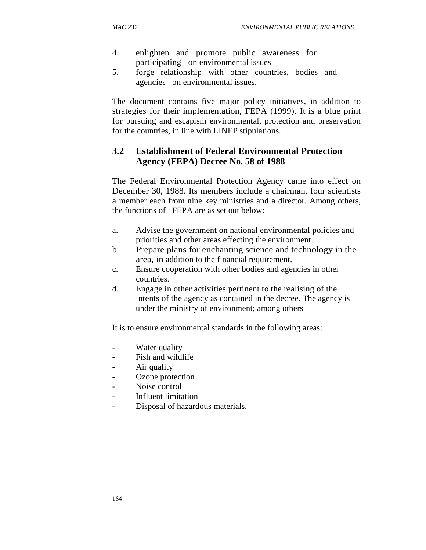- 4. enlighten and promote public awareness for participating on environmental issues
- 5. forge relationship with other countries, bodies and agencies on environmental issues.

The document contains five major policy initiatives, in addition to strategies for their implementation, FEPA (1999). It is a blue print for pursuing and escapism environmental, protection and preservation for the countries, in line with LINEP stipulations.

## **3.2 Establishment of Federal Environmental Protection Agency (FEPA) Decree No. 58 of 1988**

The Federal Environmental Protection Agency came into effect on December 30, 1988. Its members include a chairman, four scientists a member each from nine key ministries and a director. Among others, the functions of FEPA are as set out below:

- a. Advise the government on national environmental policies and priorities and other areas effecting the environment.
- b. Prepare plans for enchanting science and technology in the area, in addition to the financial requirement.
- c. Ensure cooperation with other bodies and agencies in other countries.
- d. Engage in other activities pertinent to the realising of the intents of the agency as contained in the decree. The agency is under the ministry of environment; among others

It is to ensure environmental standards in the following areas:

- Water quality
- Fish and wildlife
- Air quality
- Ozone protection
- Noise control
- Influent limitation
- Disposal of hazardous materials.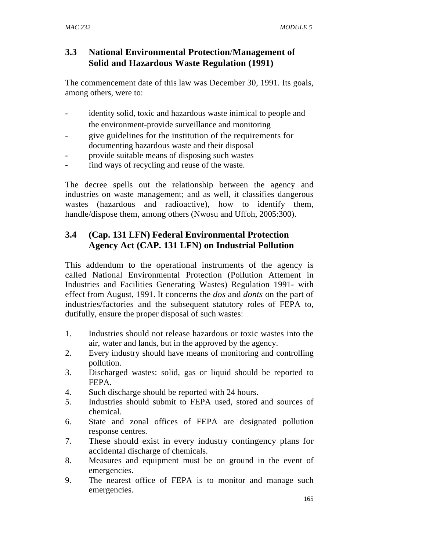## **3.3 National Environmental Protection**/**Management of Solid and Hazardous Waste Regulation (1991)**

The commencement date of this law was December 30, 1991. Its goals, among others, were to:

- identity solid, toxic and hazardous waste inimical to people and the environment-provide surveillance and monitoring
- give guidelines for the institution of the requirements for documenting hazardous waste and their disposal
- provide suitable means of disposing such wastes
- find ways of recycling and reuse of the waste.

The decree spells out the relationship between the agency and industries on waste management; and as well, it classifies dangerous wastes (hazardous and radioactive), how to identify them, handle/dispose them, among others (Nwosu and Uffoh, 2005:300).

# **3.4 (Cap. 131 LFN) Federal Environmental Protection Agency Act (CAP. 131 LFN) on Industrial Pollution**

This addendum to the operational instruments of the agency is called National Environmental Protection (Pollution Attement in Industries and Facilities Generating Wastes) Regulation 1991- with effect from August, 1991. It concerns the *dos* and *donts* on the part of industries/factories and the subsequent statutory roles of FEPA to, dutifully, ensure the proper disposal of such wastes:

- 1. Industries should not release hazardous or toxic wastes into the air, water and lands, but in the approved by the agency.
- 2. Every industry should have means of monitoring and controlling pollution.
- 3. Discharged wastes: solid, gas or liquid should be reported to FEPA.
- 4. Such discharge should be reported with 24 hours.
- 5. Industries should submit to FEPA used, stored and sources of chemical.
- 6. State and zonal offices of FEPA are designated pollution response centres.
- 7. These should exist in every industry contingency plans for accidental discharge of chemicals.
- 8. Measures and equipment must be on ground in the event of emergencies.
- 9. The nearest office of FEPA is to monitor and manage such emergencies.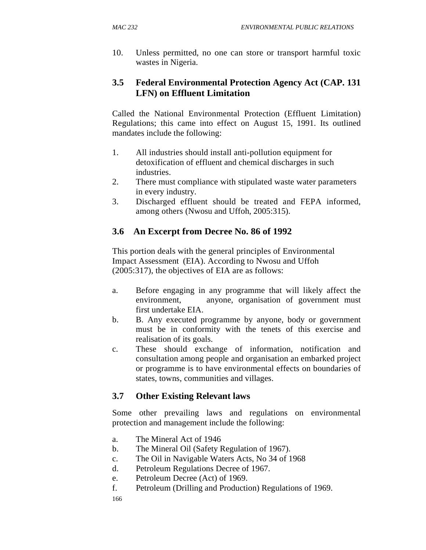10. Unless permitted, no one can store or transport harmful toxic wastes in Nigeria.

## **3.5 Federal Environmental Protection Agency Act (CAP. 131 LFN) on Effluent Limitation**

Called the National Environmental Protection (Effluent Limitation) Regulations; this came into effect on August 15, 1991. Its outlined mandates include the following:

- 1. All industries should install anti-pollution equipment for detoxification of effluent and chemical discharges in such industries.
- 2. There must compliance with stipulated waste water parameters in every industry.
- 3. Discharged effluent should be treated and FEPA informed, among others (Nwosu and Uffoh, 2005:315).

## **3.6 An Excerpt from Decree No. 86 of 1992**

This portion deals with the general principles of Environmental Impact Assessment (EIA). According to Nwosu and Uffoh (2005:317), the objectives of EIA are as follows:

- a. Before engaging in any programme that will likely affect the environment, anyone, organisation of government must first undertake EIA.
- b. B. Any executed programme by anyone, body or government must be in conformity with the tenets of this exercise and realisation of its goals.
- c. These should exchange of information, notification and consultation among people and organisation an embarked project or programme is to have environmental effects on boundaries of states, towns, communities and villages.

## **3.7 Other Existing Relevant laws**

Some other prevailing laws and regulations on environmental protection and management include the following:

- a. The Mineral Act of 1946
- b. The Mineral Oil (Safety Regulation of 1967).
- c. The Oil in Navigable Waters Acts, No 34 of 1968
- d. Petroleum Regulations Decree of 1967.
- e. Petroleum Decree (Act) of 1969.
- f. Petroleum (Drilling and Production) Regulations of 1969.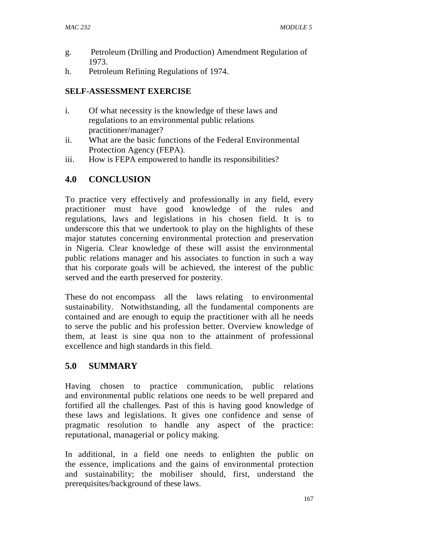- g. Petroleum (Drilling and Production) Amendment Regulation of 1973.
- h. Petroleum Refining Regulations of 1974.

#### **SELF-ASSESSMENT EXERCISE**

- i. Of what necessity is the knowledge of these laws and regulations to an environmental public relations practitioner/manager?
- ii. What are the basic functions of the Federal Environmental Protection Agency (FEPA).
- iii. How is FEPA empowered to handle its responsibilities?

### **4.0 CONCLUSION**

To practice very effectively and professionally in any field, every practitioner must have good knowledge of the rules and regulations, laws and legislations in his chosen field. It is to underscore this that we undertook to play on the highlights of these major statutes concerning environmental protection and preservation in Nigeria. Clear knowledge of these will assist the environmental public relations manager and his associates to function in such a way that his corporate goals will be achieved, the interest of the public served and the earth preserved for posterity.

These do not encompass all the laws relating to environmental sustainability. Notwithstanding, all the fundamental components are contained and are enough to equip the practitioner with all he needs to serve the public and his profession better. Overview knowledge of them, at least is sine qua non to the attainment of professional excellence and high standards in this field.

### **5.0 SUMMARY**

Having chosen to practice communication, public relations and environmental public relations one needs to be well prepared and fortified all the challenges. Past of this is having good knowledge of these laws and legislations. It gives one confidence and sense of pragmatic resolution to handle any aspect of the practice: reputational, managerial or policy making.

In additional, in a field one needs to enlighten the public on the essence, implications and the gains of environmental protection and sustainability; the mobiliser should, first, understand the prerequisites/background of these laws.